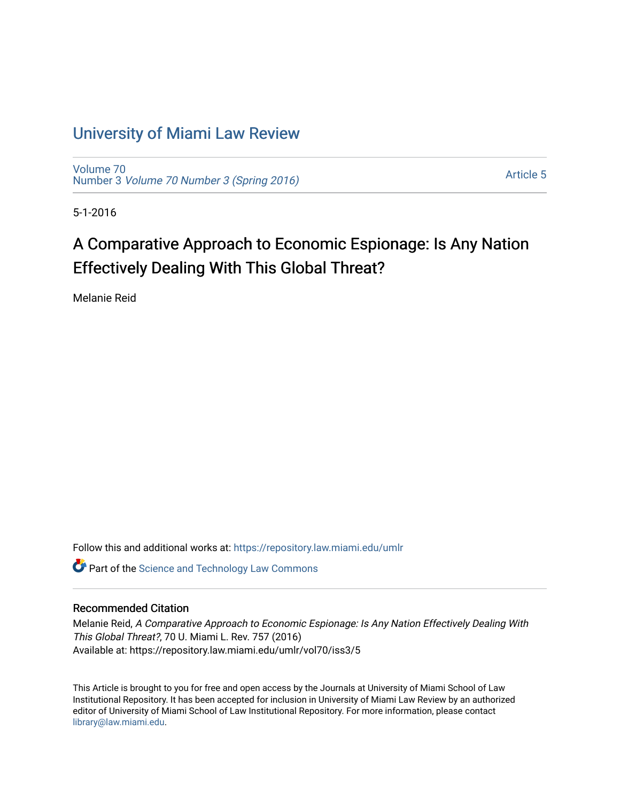## [University of Miami Law Review](https://repository.law.miami.edu/umlr)

[Volume 70](https://repository.law.miami.edu/umlr/vol70) Number 3 [Volume 70 Number 3 \(Spring 2016\)](https://repository.law.miami.edu/umlr/vol70/iss3)

[Article 5](https://repository.law.miami.edu/umlr/vol70/iss3/5) 

5-1-2016

# A Comparative Approach to Economic Espionage: Is Any Nation Effectively Dealing With This Global Threat?

Melanie Reid

Follow this and additional works at: [https://repository.law.miami.edu/umlr](https://repository.law.miami.edu/umlr?utm_source=repository.law.miami.edu%2Fumlr%2Fvol70%2Fiss3%2F5&utm_medium=PDF&utm_campaign=PDFCoverPages)

Part of the [Science and Technology Law Commons](http://network.bepress.com/hgg/discipline/875?utm_source=repository.law.miami.edu%2Fumlr%2Fvol70%2Fiss3%2F5&utm_medium=PDF&utm_campaign=PDFCoverPages)

### Recommended Citation

Melanie Reid, A Comparative Approach to Economic Espionage: Is Any Nation Effectively Dealing With This Global Threat?, 70 U. Miami L. Rev. 757 (2016) Available at: https://repository.law.miami.edu/umlr/vol70/iss3/5

This Article is brought to you for free and open access by the Journals at University of Miami School of Law Institutional Repository. It has been accepted for inclusion in University of Miami Law Review by an authorized editor of University of Miami School of Law Institutional Repository. For more information, please contact [library@law.miami.edu.](mailto:library@law.miami.edu)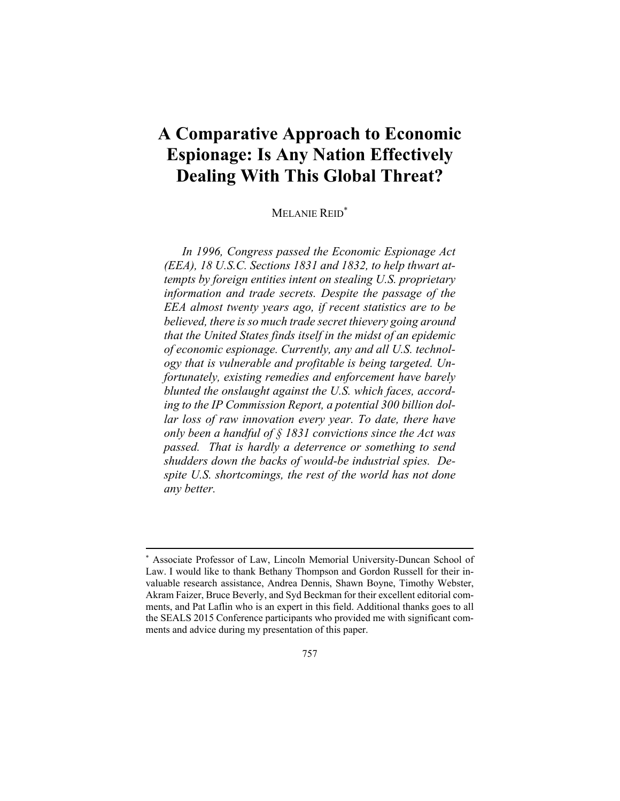## **A Comparative Approach to Economic Espionage: Is Any Nation Effectively Dealing With This Global Threat?**

## MELANIE REID\*

*In 1996, Congress passed the Economic Espionage Act (EEA), 18 U.S.C. Sections 1831 and 1832, to help thwart attempts by foreign entities intent on stealing U.S. proprietary information and trade secrets. Despite the passage of the EEA almost twenty years ago, if recent statistics are to be believed, there is so much trade secret thievery going around that the United States finds itself in the midst of an epidemic of economic espionage. Currently, any and all U.S. technology that is vulnerable and profitable is being targeted. Unfortunately, existing remedies and enforcement have barely blunted the onslaught against the U.S. which faces, according to the IP Commission Report, a potential 300 billion dollar loss of raw innovation every year. To date, there have only been a handful of § 1831 convictions since the Act was passed. That is hardly a deterrence or something to send shudders down the backs of would-be industrial spies. Despite U.S. shortcomings, the rest of the world has not done any better.* 

<sup>\*</sup> Associate Professor of Law, Lincoln Memorial University-Duncan School of Law. I would like to thank Bethany Thompson and Gordon Russell for their invaluable research assistance, Andrea Dennis, Shawn Boyne, Timothy Webster, Akram Faizer, Bruce Beverly, and Syd Beckman for their excellent editorial comments, and Pat Laflin who is an expert in this field. Additional thanks goes to all the SEALS 2015 Conference participants who provided me with significant comments and advice during my presentation of this paper.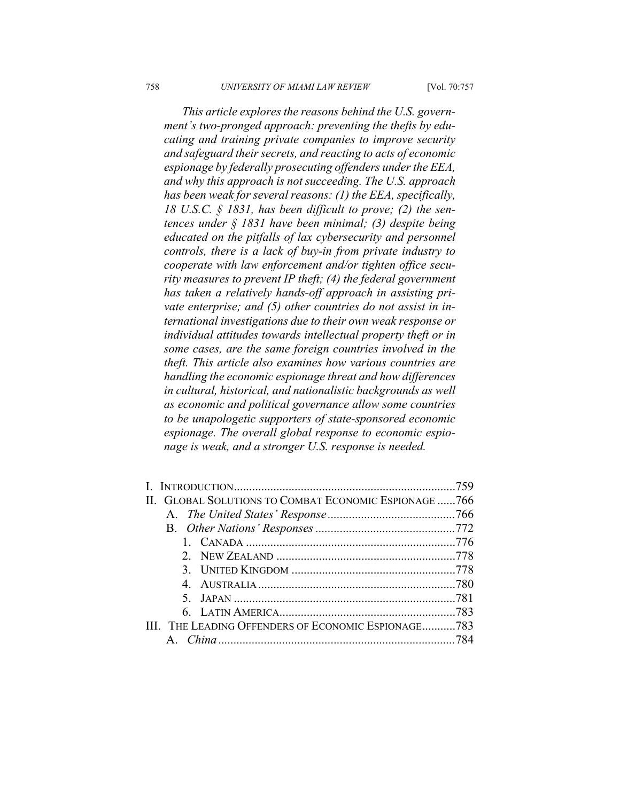*This article explores the reasons behind the U.S. government's two-pronged approach: preventing the thefts by educating and training private companies to improve security and safeguard their secrets, and reacting to acts of economic espionage by federally prosecuting offenders under the EEA, and why this approach is not succeeding. The U.S. approach has been weak for several reasons: (1) the EEA, specifically, 18 U.S.C. § 1831, has been difficult to prove; (2) the sentences under § 1831 have been minimal; (3) despite being educated on the pitfalls of lax cybersecurity and personnel controls, there is a lack of buy-in from private industry to cooperate with law enforcement and/or tighten office security measures to prevent IP theft; (4) the federal government has taken a relatively hands-off approach in assisting private enterprise; and (5) other countries do not assist in international investigations due to their own weak response or individual attitudes towards intellectual property theft or in some cases, are the same foreign countries involved in the theft. This article also examines how various countries are handling the economic espionage threat and how differences in cultural, historical, and nationalistic backgrounds as well as economic and political governance allow some countries to be unapologetic supporters of state-sponsored economic espionage. The overall global response to economic espionage is weak, and a stronger U.S. response is needed.* 

|                                                       | -759 |
|-------------------------------------------------------|------|
| II. GLOBAL SOLUTIONS TO COMBAT ECONOMIC ESPIONAGE 766 |      |
|                                                       |      |
|                                                       |      |
|                                                       |      |
|                                                       |      |
|                                                       |      |
|                                                       |      |
|                                                       |      |
|                                                       |      |
| III. THE LEADING OFFENDERS OF ECONOMIC ESPIONAGE783   |      |
|                                                       |      |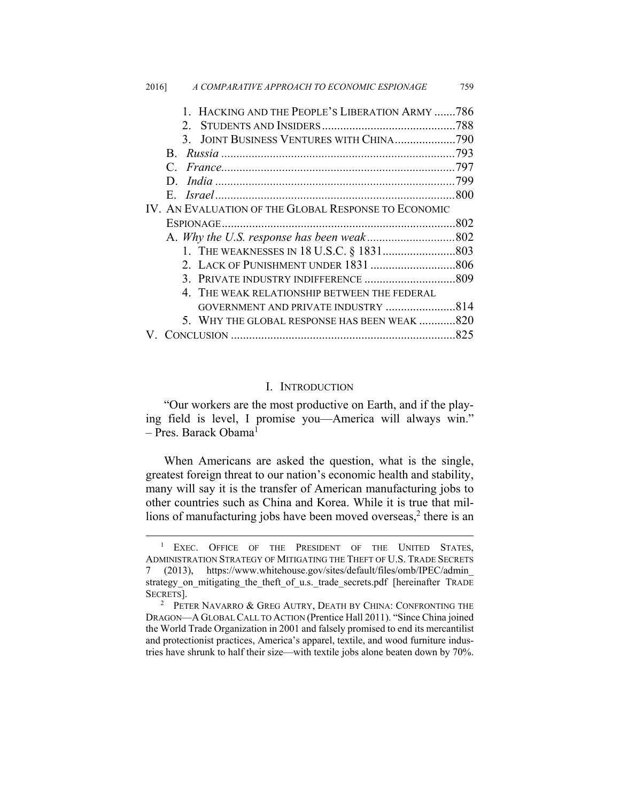| 2016] | A COMPARATIVE APPROACH TO ECONOMIC ESPIONAGE         | 759 |
|-------|------------------------------------------------------|-----|
|       | 1. HACKING AND THE PEOPLE'S LIBERATION ARMY 786      |     |
|       | $2^{\circ}$                                          |     |
|       | 3. JOINT BUSINESS VENTURES WITH CHINA790             |     |
|       | $\mathbf{B}$                                         |     |
|       |                                                      |     |
|       |                                                      |     |
|       |                                                      |     |
|       | IV. AN EVALUATION OF THE GLOBAL RESPONSE TO ECONOMIC |     |
|       |                                                      |     |
|       |                                                      |     |
|       |                                                      |     |
|       |                                                      |     |
|       |                                                      |     |
|       | 4. THE WEAK RELATIONSHIP BETWEEN THE FEDERAL         |     |
|       |                                                      |     |
|       | 5. WHY THE GLOBAL RESPONSE HAS BEEN WEAK 820         |     |
|       |                                                      | 825 |

#### I. INTRODUCTION

"Our workers are the most productive on Earth, and if the playing field is level, I promise you—America will always win."  $-$  Pres. Barack Obama<sup>1</sup>

When Americans are asked the question, what is the single, greatest foreign threat to our nation's economic health and stability, many will say it is the transfer of American manufacturing jobs to other countries such as China and Korea. While it is true that millions of manufacturing jobs have been moved overseas, $2$  there is an

 $\frac{1}{1}$ <sup>1</sup> EXEC. OFFICE OF THE PRESIDENT OF THE UNITED STATES, ADMINISTRATION STRATEGY OF MITIGATING THE THEFT OF U.S. TRADE SECRETS 7 (2013), https://www.whitehouse.gov/sites/default/files/omb/IPEC/admin\_ strategy\_on\_mitigating\_the\_theft\_of\_u.s.\_trade\_secrets.pdf [hereinafter TRADE SECRETS].

<sup>&</sup>lt;sup>2</sup> PETER NAVARRO  $\&$  GREG AUTRY, DEATH BY CHINA: CONFRONTING THE DRAGON—A GLOBAL CALL TO ACTION (Prentice Hall 2011). "Since China joined the World Trade Organization in 2001 and falsely promised to end its mercantilist and protectionist practices, America's apparel, textile, and wood furniture industries have shrunk to half their size—with textile jobs alone beaten down by 70%.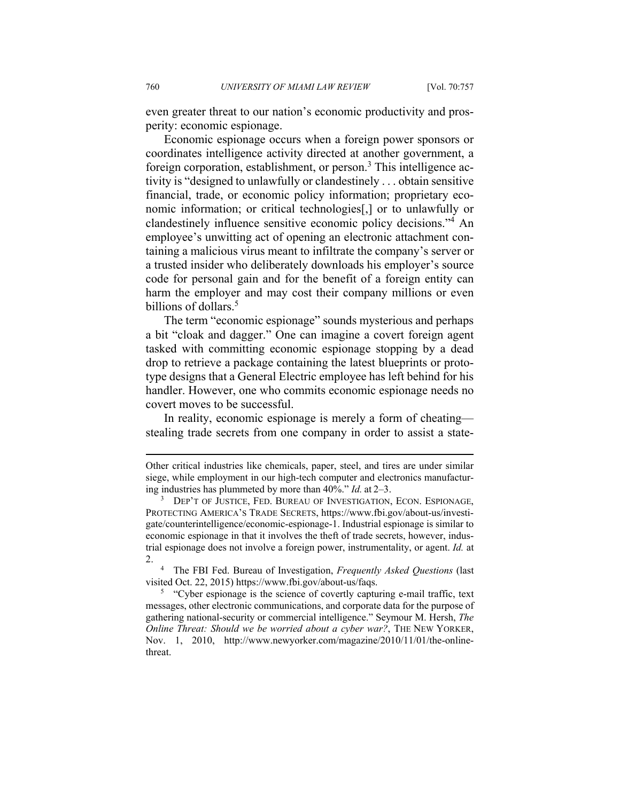even greater threat to our nation's economic productivity and prosperity: economic espionage.

Economic espionage occurs when a foreign power sponsors or coordinates intelligence activity directed at another government, a foreign corporation, establishment, or person.<sup>3</sup> This intelligence activity is "designed to unlawfully or clandestinely . . . obtain sensitive financial, trade, or economic policy information; proprietary economic information; or critical technologies[,] or to unlawfully or clandestinely influence sensitive economic policy decisions."<sup>4</sup> An employee's unwitting act of opening an electronic attachment containing a malicious virus meant to infiltrate the company's server or a trusted insider who deliberately downloads his employer's source code for personal gain and for the benefit of a foreign entity can harm the employer and may cost their company millions or even billions of dollars.<sup>5</sup>

The term "economic espionage" sounds mysterious and perhaps a bit "cloak and dagger." One can imagine a covert foreign agent tasked with committing economic espionage stopping by a dead drop to retrieve a package containing the latest blueprints or prototype designs that a General Electric employee has left behind for his handler. However, one who commits economic espionage needs no covert moves to be successful.

In reality, economic espionage is merely a form of cheating stealing trade secrets from one company in order to assist a state-

Other critical industries like chemicals, paper, steel, and tires are under similar siege, while employment in our high-tech computer and electronics manufacturing industries has plummeted by more than 40%." *Id.* at 2-3.

<sup>&</sup>lt;sup>3</sup> DEP'T OF JUSTICE, FED. BUREAU OF INVESTIGATION, ECON. ESPIONAGE, PROTECTING AMERICA'S TRADE SECRETS, https://www.fbi.gov/about-us/investigate/counterintelligence/economic-espionage-1. Industrial espionage is similar to economic espionage in that it involves the theft of trade secrets, however, industrial espionage does not involve a foreign power, instrumentality, or agent. *Id.* at  $\mathfrak{2}$ .

The FBI Fed. Bureau of Investigation, *Frequently Asked Questions* (last visited Oct. 22, 2015) https://www.fbi.gov/about-us/faqs. 5

<sup>&</sup>lt;sup>5</sup> "Cyber espionage is the science of covertly capturing e-mail traffic, text messages, other electronic communications, and corporate data for the purpose of gathering national-security or commercial intelligence." Seymour M. Hersh, *The Online Threat: Should we be worried about a cyber war?*, THE NEW YORKER, Nov. 1, 2010, http://www.newyorker.com/magazine/2010/11/01/the-onlinethreat.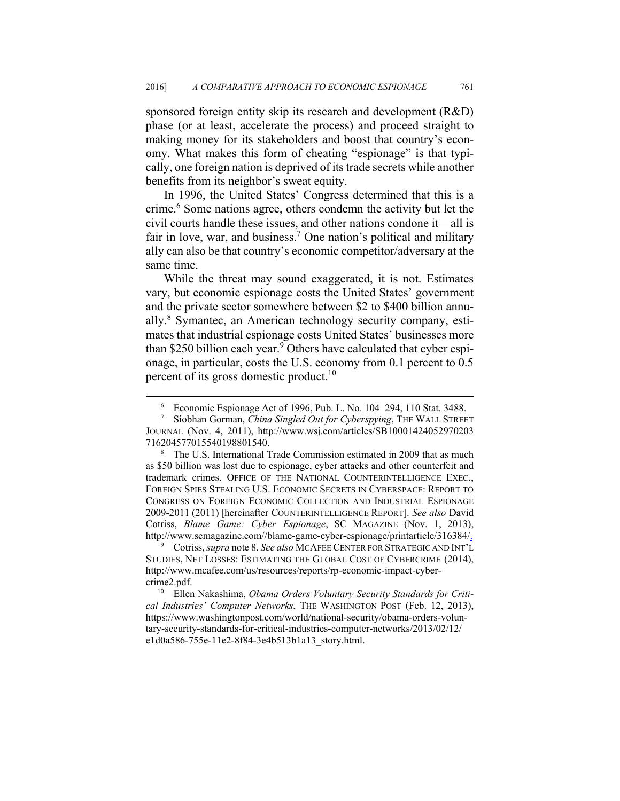sponsored foreign entity skip its research and development (R&D) phase (or at least, accelerate the process) and proceed straight to making money for its stakeholders and boost that country's economy. What makes this form of cheating "espionage" is that typically, one foreign nation is deprived of its trade secrets while another benefits from its neighbor's sweat equity.

In 1996, the United States' Congress determined that this is a crime.<sup>6</sup> Some nations agree, others condemn the activity but let the civil courts handle these issues, and other nations condone it—all is fair in love, war, and business.<sup>7</sup> One nation's political and military ally can also be that country's economic competitor/adversary at the same time.

While the threat may sound exaggerated, it is not. Estimates vary, but economic espionage costs the United States' government and the private sector somewhere between \$2 to \$400 billion annually.<sup>8</sup> Symantec, an American technology security company, estimates that industrial espionage costs United States' businesses more than \$250 billion each year.<sup>9</sup> Others have calculated that cyber espionage, in particular, costs the U.S. economy from 0.1 percent to 0.5 percent of its gross domestic product.<sup>10</sup>

9 Cotriss, *supra* note 8. *See also* MCAFEE CENTER FOR STRATEGIC AND INT'L STUDIES, NET LOSSES: ESTIMATING THE GLOBAL COST OF CYBERCRIME (2014), http://www.mcafee.com/us/resources/reports/rp-economic-impact-cybercrime2.pdf. 10 Ellen Nakashima, *Obama Orders Voluntary Security Standards for Criti-*

*cal Industries' Computer Networks*, THE WASHINGTON POST (Feb. 12, 2013), https://www.washingtonpost.com/world/national-security/obama-orders-voluntary-security-standards-for-critical-industries-computer-networks/2013/02/12/ e1d0a586-755e-11e2-8f84-3e4b513b1a13\_story.html.

 $\overline{\phantom{0}}$ Economic Espionage Act of 1996, Pub. L. No. 104–294, 110 Stat. 3488.

<sup>7</sup> Siobhan Gorman, *China Singled Out for Cyberspying*, THE WALL STREET JOURNAL (Nov. 4, 2011), http://www.wsj.com/articles/SB10001424052970203 716204577015540198801540. 8

The U.S. International Trade Commission estimated in 2009 that as much as \$50 billion was lost due to espionage, cyber attacks and other counterfeit and trademark crimes. OFFICE OF THE NATIONAL COUNTERINTELLIGENCE EXEC., FOREIGN SPIES STEALING U.S. ECONOMIC SECRETS IN CYBERSPACE: REPORT TO CONGRESS ON FOREIGN ECONOMIC COLLECTION AND INDUSTRIAL ESPIONAGE 2009-2011 (2011) [hereinafter COUNTERINTELLIGENCE REPORT]. *See also* David Cotriss, *Blame Game: Cyber Espionage*, SC MAGAZINE (Nov. 1, 2013), http://www.scmagazine.com//blame-game-cyber-espionage/printarticle/316384/.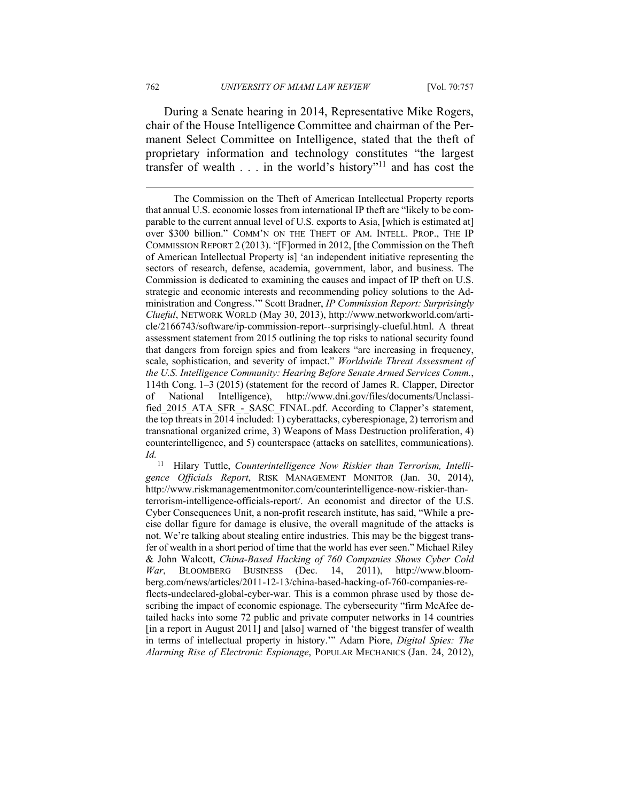During a Senate hearing in 2014, Representative Mike Rogers, chair of the House Intelligence Committee and chairman of the Permanent Select Committee on Intelligence, stated that the theft of proprietary information and technology constitutes "the largest transfer of wealth  $\ldots$  in the world's history"<sup>11</sup> and has cost the

11 Hilary Tuttle, *Counterintelligence Now Riskier than Terrorism, Intelligence Officials Report*, RISK MANAGEMENT MONITOR (Jan. 30, 2014), http://www.riskmanagementmonitor.com/counterintelligence-now-riskier-thanterrorism-intelligence-officials-report/. An economist and director of the U.S. Cyber Consequences Unit, a non-profit research institute, has said, "While a precise dollar figure for damage is elusive, the overall magnitude of the attacks is not. We're talking about stealing entire industries. This may be the biggest transfer of wealth in a short period of time that the world has ever seen." Michael Riley & John Walcott, *China-Based Hacking of 760 Companies Shows Cyber Cold War*, BLOOMBERG BUSINESS (Dec. 14, 2011), http://www.bloomberg.com/news/articles/2011-12-13/china-based-hacking-of-760-companies-reflects-undeclared-global-cyber-war. This is a common phrase used by those describing the impact of economic espionage. The cybersecurity "firm McAfee detailed hacks into some 72 public and private computer networks in 14 countries [in a report in August 2011] and [also] warned of 'the biggest transfer of wealth in terms of intellectual property in history.'" Adam Piore, *Digital Spies: The Alarming Rise of Electronic Espionage*, POPULAR MECHANICS (Jan. 24, 2012),

The Commission on the Theft of American Intellectual Property reports that annual U.S. economic losses from international IP theft are "likely to be comparable to the current annual level of U.S. exports to Asia, [which is estimated at] over \$300 billion." COMM'N ON THE THEFT OF AM. INTELL. PROP., THE IP COMMISSION REPORT 2 (2013). "[F]ormed in 2012, [the Commission on the Theft of American Intellectual Property is] 'an independent initiative representing the sectors of research, defense, academia, government, labor, and business. The Commission is dedicated to examining the causes and impact of IP theft on U.S. strategic and economic interests and recommending policy solutions to the Administration and Congress.'" Scott Bradner, *IP Commission Report: Surprisingly Clueful*, NETWORK WORLD (May 30, 2013), http://www.networkworld.com/article/2166743/software/ip-commission-report--surprisingly-clueful.html. A threat assessment statement from 2015 outlining the top risks to national security found that dangers from foreign spies and from leakers "are increasing in frequency, scale, sophistication, and severity of impact." *Worldwide Threat Assessment of the U.S. Intelligence Community: Hearing Before Senate Armed Services Comm.*, 114th Cong. 1–3 (2015) (statement for the record of James R. Clapper, Director of National Intelligence), http://www.dni.gov/files/documents/Unclassified\_2015\_ATA\_SFR\_-\_SASC\_FINAL.pdf. According to Clapper's statement, the top threats in 2014 included: 1) cyberattacks, cyberespionage, 2) terrorism and transnational organized crime, 3) Weapons of Mass Destruction proliferation, 4) counterintelligence, and 5) counterspace (attacks on satellites, communications). *Id.*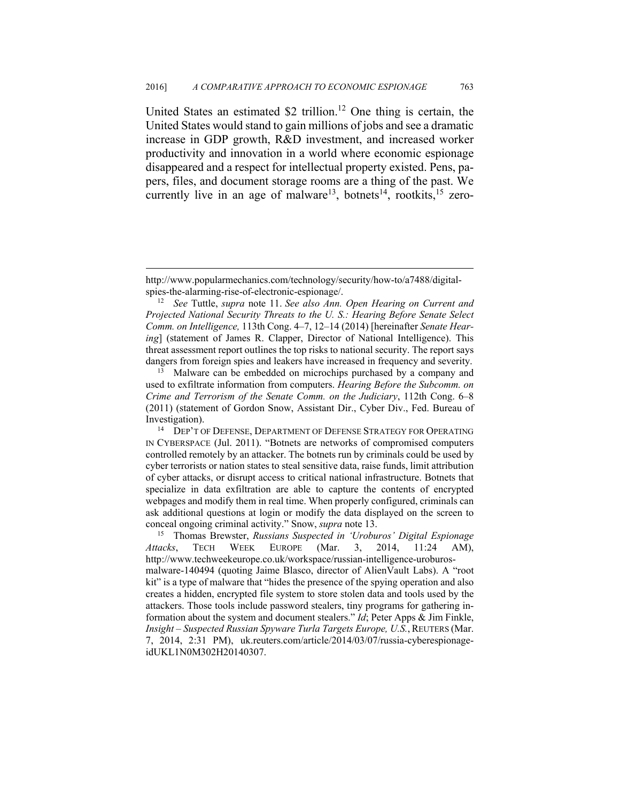United States an estimated \$2 trillion.<sup>12</sup> One thing is certain, the United States would stand to gain millions of jobs and see a dramatic increase in GDP growth, R&D investment, and increased worker productivity and innovation in a world where economic espionage disappeared and a respect for intellectual property existed. Pens, papers, files, and document storage rooms are a thing of the past. We currently live in an age of malware<sup>13</sup>, botnets<sup>14</sup>, rootkits,<sup>15</sup> zero-

http://www.popularmechanics.com/technology/security/how-to/a7488/digitalspies-the-alarming-rise-of-electronic-espionage/. 12 *See* Tuttle, *supra* note 11. *See also Ann. Open Hearing on Current and* 

*Projected National Security Threats to the U. S.: Hearing Before Senate Select Comm. on Intelligence,* 113th Cong. 4–7, 12–14 (2014) [hereinafter *Senate Hearing*] (statement of James R. Clapper, Director of National Intelligence). This threat assessment report outlines the top risks to national security. The report says dangers from foreign spies and leakers have increased in frequency and severity.<br><sup>13</sup> Malware can be embedded on microchips purchased by a company and

used to exfiltrate information from computers. *Hearing Before the Subcomm. on Crime and Terrorism of the Senate Comm. on the Judiciary*, 112th Cong. 6–8 (2011) (statement of Gordon Snow, Assistant Dir., Cyber Div., Fed. Bureau of

Investigation).<br><sup>14</sup> DEP'T OF DEFENSE, DEPARTMENT OF DEFENSE STRATEGY FOR OPERATING IN CYBERSPACE (Jul. 2011). "Botnets are networks of compromised computers controlled remotely by an attacker. The botnets run by criminals could be used by cyber terrorists or nation states to steal sensitive data, raise funds, limit attribution of cyber attacks, or disrupt access to critical national infrastructure. Botnets that specialize in data exfiltration are able to capture the contents of encrypted webpages and modify them in real time. When properly configured, criminals can ask additional questions at login or modify the data displayed on the screen to conceal ongoing criminal activity." Snow, *supra* note 13. 15 Thomas Brewster, *Russians Suspected in 'Uroburos' Digital Espionage* 

*Attacks*, TECH WEEK EUROPE (Mar. 3, 2014, 11:24 AM), http://www.techweekeurope.co.uk/workspace/russian-intelligence-uroburosmalware-140494 (quoting Jaime Blasco, director of AlienVault Labs). A "root kit" is a type of malware that "hides the presence of the spying operation and also creates a hidden, encrypted file system to store stolen data and tools used by the attackers. Those tools include password stealers, tiny programs for gathering information about the system and document stealers." *Id*; Peter Apps & Jim Finkle, *Insight – Suspected Russian Spyware Turla Targets Europe, U.S.*, REUTERS (Mar. 7, 2014, 2:31 PM), uk.reuters.com/article/2014/03/07/russia-cyberespionageidUKL1N0M302H20140307.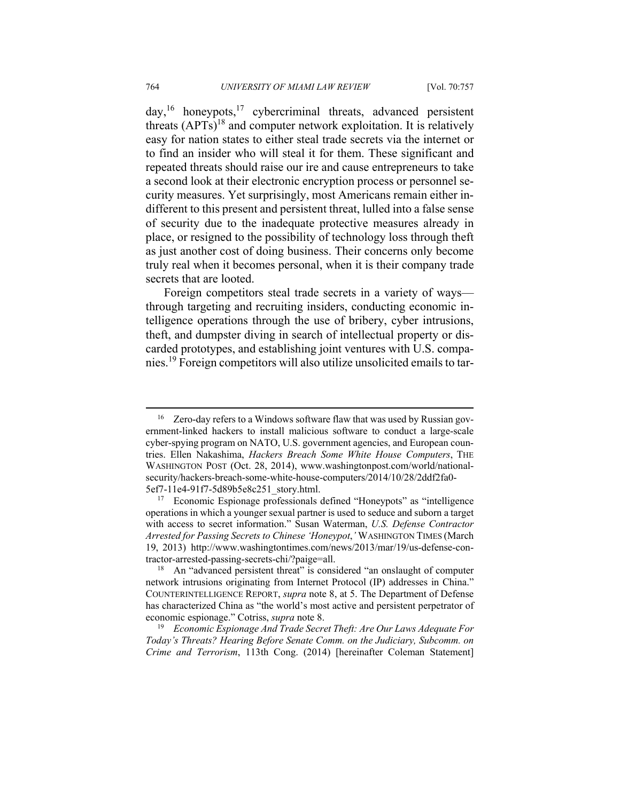$day$ ,<sup>16</sup> honeypots,<sup>17</sup> cybercriminal threats, advanced persistent threats  $(APTs)^{18}$  and computer network exploitation. It is relatively easy for nation states to either steal trade secrets via the internet or to find an insider who will steal it for them. These significant and repeated threats should raise our ire and cause entrepreneurs to take a second look at their electronic encryption process or personnel security measures. Yet surprisingly, most Americans remain either indifferent to this present and persistent threat, lulled into a false sense of security due to the inadequate protective measures already in place, or resigned to the possibility of technology loss through theft as just another cost of doing business. Their concerns only become truly real when it becomes personal, when it is their company trade secrets that are looted.

Foreign competitors steal trade secrets in a variety of ways through targeting and recruiting insiders, conducting economic intelligence operations through the use of bribery, cyber intrusions, theft, and dumpster diving in search of intellectual property or discarded prototypes, and establishing joint ventures with U.S. companies.19 Foreign competitors will also utilize unsolicited emails to tar-

<sup>&</sup>lt;sup>16</sup> Zero-day refers to a Windows software flaw that was used by Russian government-linked hackers to install malicious software to conduct a large-scale cyber-spying program on NATO, U.S. government agencies, and European countries. Ellen Nakashima, *Hackers Breach Some White House Computers*, THE WASHINGTON POST (Oct. 28, 2014), www.washingtonpost.com/world/nationalsecurity/hackers-breach-some-white-house-computers/2014/10/28/2ddf2fa0-

<sup>5</sup>ef7-11e4-91f7-5d89b5e8c251\_story.html. 17 Economic Espionage professionals defined "Honeypots" as "intelligence operations in which a younger sexual partner is used to seduce and suborn a target with access to secret information." Susan Waterman, *U.S. Defense Contractor Arrested for Passing Secrets to Chinese 'Honeypot*,*'* WASHINGTON TIMES (March 19, 2013) http://www.washingtontimes.com/news/2013/mar/19/us-defense-contractor-arrested-passing-secrets-chi/?paige=all. 18 An "advanced persistent threat" is considered "an onslaught of computer

network intrusions originating from Internet Protocol (IP) addresses in China." COUNTERINTELLIGENCE REPORT, *supra* note 8, at 5. The Department of Defense has characterized China as "the world's most active and persistent perpetrator of economic espionage." Cotriss, *supra* note 8.<br><sup>19</sup> *Economic Espionage And Trade Secret Theft: Are Our Laws Adequate For* 

*Today's Threats? Hearing Before Senate Comm. on the Judiciary, Subcomm. on Crime and Terrorism*, 113th Cong. (2014) [hereinafter Coleman Statement]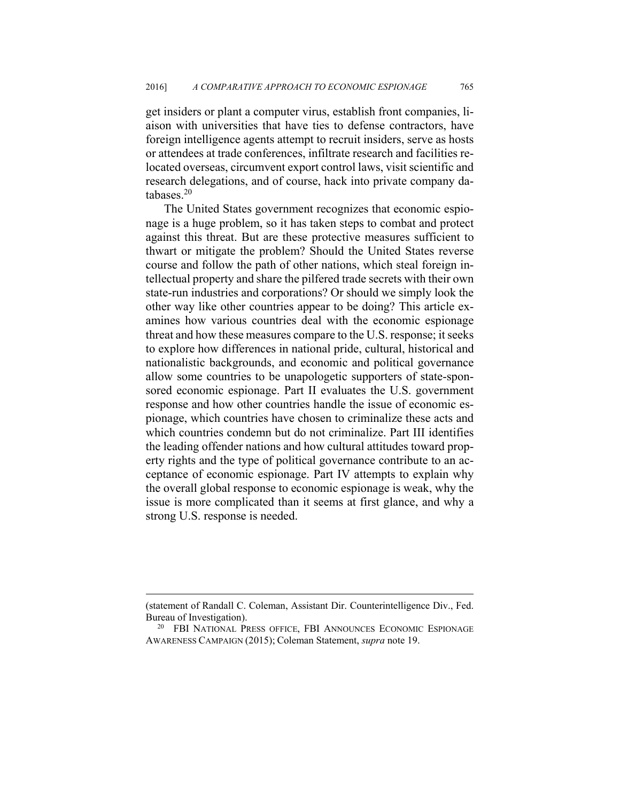get insiders or plant a computer virus, establish front companies, liaison with universities that have ties to defense contractors, have foreign intelligence agents attempt to recruit insiders, serve as hosts or attendees at trade conferences, infiltrate research and facilities relocated overseas, circumvent export control laws, visit scientific and research delegations, and of course, hack into private company databases.20

The United States government recognizes that economic espionage is a huge problem, so it has taken steps to combat and protect against this threat. But are these protective measures sufficient to thwart or mitigate the problem? Should the United States reverse course and follow the path of other nations, which steal foreign intellectual property and share the pilfered trade secrets with their own state-run industries and corporations? Or should we simply look the other way like other countries appear to be doing? This article examines how various countries deal with the economic espionage threat and how these measures compare to the U.S. response; it seeks to explore how differences in national pride, cultural, historical and nationalistic backgrounds, and economic and political governance allow some countries to be unapologetic supporters of state-sponsored economic espionage. Part II evaluates the U.S. government response and how other countries handle the issue of economic espionage, which countries have chosen to criminalize these acts and which countries condemn but do not criminalize. Part III identifies the leading offender nations and how cultural attitudes toward property rights and the type of political governance contribute to an acceptance of economic espionage. Part IV attempts to explain why the overall global response to economic espionage is weak, why the issue is more complicated than it seems at first glance, and why a strong U.S. response is needed.

<sup>(</sup>statement of Randall C. Coleman, Assistant Dir. Counterintelligence Div., Fed. Bureau of Investigation).<br><sup>20</sup> FBI NATIONAL PRESS OFFICE, FBI ANNOUNCES ECONOMIC ESPIONAGE

AWARENESS CAMPAIGN (2015); Coleman Statement, *supra* note 19.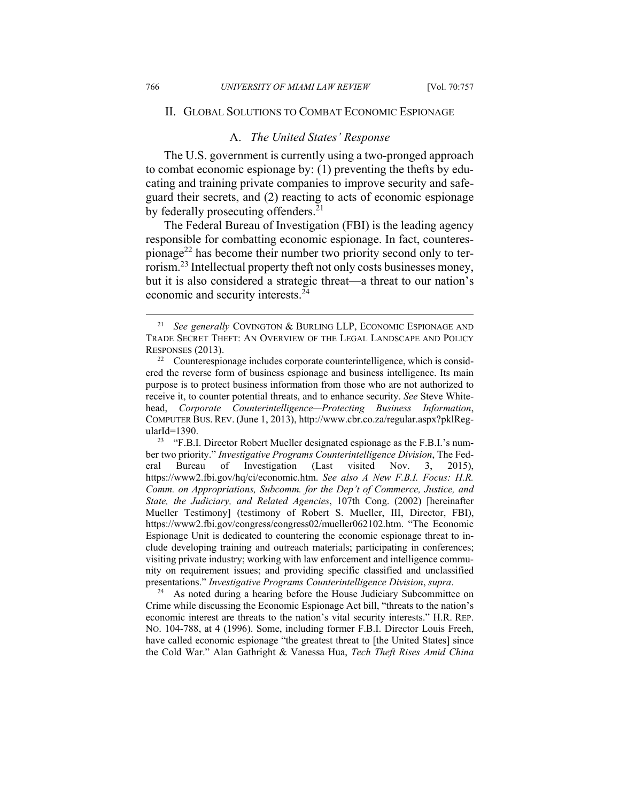#### II. GLOBAL SOLUTIONS TO COMBAT ECONOMIC ESPIONAGE

#### A. *The United States' Response*

The U.S. government is currently using a two-pronged approach to combat economic espionage by: (1) preventing the thefts by educating and training private companies to improve security and safeguard their secrets, and (2) reacting to acts of economic espionage by federally prosecuting offenders.<sup>21</sup>

The Federal Bureau of Investigation (FBI) is the leading agency responsible for combatting economic espionage. In fact, counterespionage<sup>22</sup> has become their number two priority second only to terrorism.23 Intellectual property theft not only costs businesses money, but it is also considered a strategic threat—a threat to our nation's economic and security interests.24

ber two priority." *Investigative Programs Counterintelligence Division*, The Federal Bureau of Investigation (Last visited Nov. 3, 2015), https://www2.fbi.gov/hq/ci/economic.htm. *See also A New F.B.I. Focus: H.R. Comm. on Appropriations, Subcomm. for the Dep't of Commerce, Justice, and State, the Judiciary, and Related Agencies*, 107th Cong. (2002) [hereinafter Mueller Testimony] (testimony of Robert S. Mueller, III, Director, FBI), https://www2.fbi.gov/congress/congress02/mueller062102.htm. "The Economic Espionage Unit is dedicated to countering the economic espionage threat to include developing training and outreach materials; participating in conferences; visiting private industry; working with law enforcement and intelligence community on requirement issues; and providing specific classified and unclassified presentations." *Investigative Programs Counterintelligence Division*, *supra*. 24 As noted during a hearing before the House Judiciary Subcommittee on

Crime while discussing the Economic Espionage Act bill, "threats to the nation's economic interest are threats to the nation's vital security interests." H.R. REP. NO. 104-788, at 4 (1996). Some, including former F.B.I. Director Louis Freeh, have called economic espionage "the greatest threat to [the United States] since the Cold War." Alan Gathright & Vanessa Hua, *Tech Theft Rises Amid China* 

 <sup>21</sup> *See generally* COVINGTON & BURLING LLP, ECONOMIC ESPIONAGE AND TRADE SECRET THEFT: AN OVERVIEW OF THE LEGAL LANDSCAPE AND POLICY RESPONSES (2013).<br><sup>22</sup> Counterespionage includes corporate counterintelligence, which is consid-

ered the reverse form of business espionage and business intelligence. Its main purpose is to protect business information from those who are not authorized to receive it, to counter potential threats, and to enhance security. *See* Steve Whitehead, *Corporate Counterintelligence—Protecting Business Information*, COMPUTER BUS. REV. (June 1, 2013), http://www.cbr.co.za/regular.aspx?pklRegularId=1390.<br><sup>23</sup> "F.B.I. Director Robert Mueller designated espionage as the F.B.I.'s num-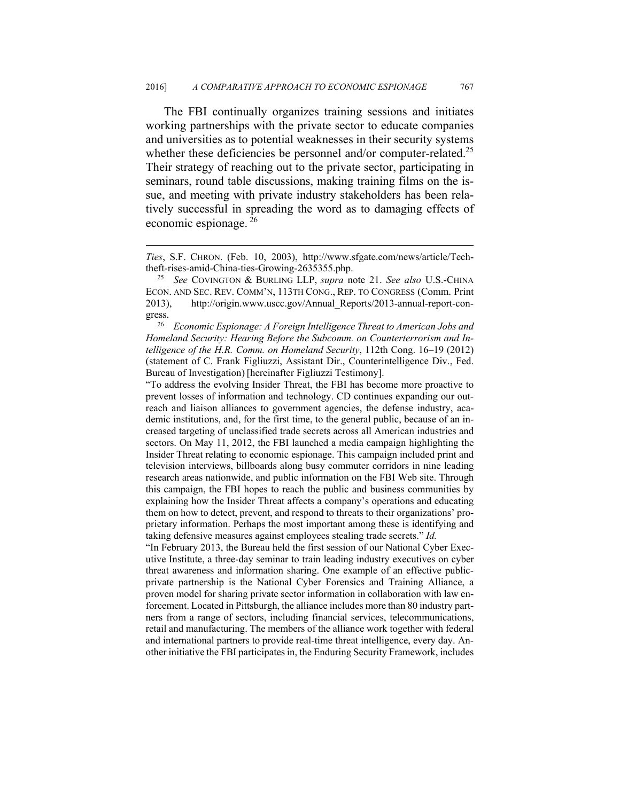The FBI continually organizes training sessions and initiates working partnerships with the private sector to educate companies and universities as to potential weaknesses in their security systems whether these deficiencies be personnel and/or computer-related.<sup>25</sup> Their strategy of reaching out to the private sector, participating in seminars, round table discussions, making training films on the issue, and meeting with private industry stakeholders has been relatively successful in spreading the word as to damaging effects of economic espionage. 26

 $\overline{a}$ 

<sup>26</sup> *Economic Espionage: A Foreign Intelligence Threat to American Jobs and Homeland Security: Hearing Before the Subcomm. on Counterterrorism and Intelligence of the H.R. Comm. on Homeland Security*, 112th Cong. 16–19 (2012) (statement of C. Frank Figliuzzi, Assistant Dir., Counterintelligence Div., Fed. Bureau of Investigation) [hereinafter Figliuzzi Testimony].

"To address the evolving Insider Threat, the FBI has become more proactive to prevent losses of information and technology. CD continues expanding our outreach and liaison alliances to government agencies, the defense industry, academic institutions, and, for the first time, to the general public, because of an increased targeting of unclassified trade secrets across all American industries and sectors. On May 11, 2012, the FBI launched a media campaign highlighting the Insider Threat relating to economic espionage. This campaign included print and television interviews, billboards along busy commuter corridors in nine leading research areas nationwide, and public information on the FBI Web site. Through this campaign, the FBI hopes to reach the public and business communities by explaining how the Insider Threat affects a company's operations and educating them on how to detect, prevent, and respond to threats to their organizations' proprietary information. Perhaps the most important among these is identifying and taking defensive measures against employees stealing trade secrets." *Id.*

"In February 2013, the Bureau held the first session of our National Cyber Executive Institute, a three-day seminar to train leading industry executives on cyber threat awareness and information sharing. One example of an effective publicprivate partnership is the National Cyber Forensics and Training Alliance, a proven model for sharing private sector information in collaboration with law enforcement. Located in Pittsburgh, the alliance includes more than 80 industry partners from a range of sectors, including financial services, telecommunications, retail and manufacturing. The members of the alliance work together with federal and international partners to provide real-time threat intelligence, every day. Another initiative the FBI participates in, the Enduring Security Framework, includes

*Ties*, S.F. CHRON. (Feb. 10, 2003), http://www.sfgate.com/news/article/Techtheft-rises-amid-China-ties-Growing-2635355.php. 25 *See* COVINGTON & BURLING LLP, *supra* note 21. *See also* U.S.-CHINA

ECON. AND SEC. REV. COMM'N, 113TH CONG., REP. TO CONGRESS (Comm. Print 2013), http://origin.www.uscc.gov/Annual\_Reports/2013-annual-report-congress.<br> $_{26}^{2}$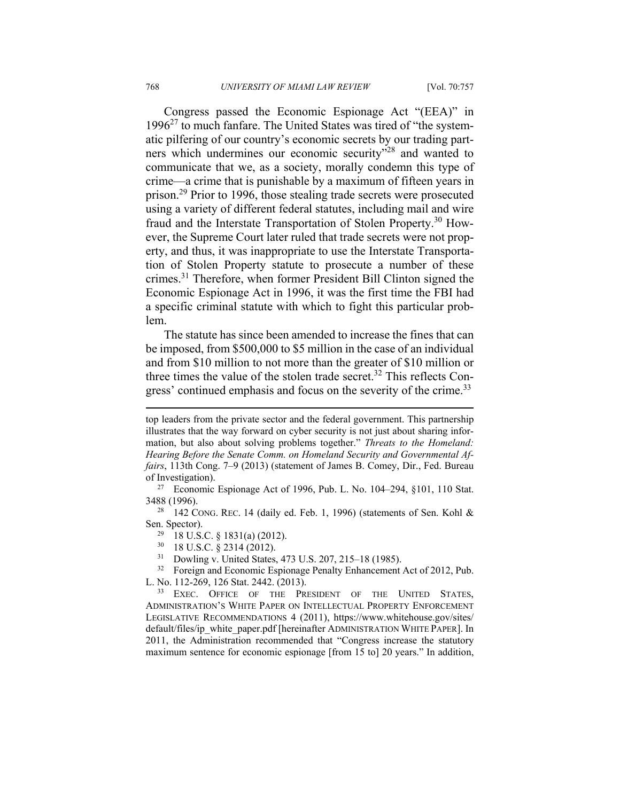Congress passed the Economic Espionage Act "(EEA)" in  $1996<sup>27</sup>$  to much fanfare. The United States was tired of "the systematic pilfering of our country's economic secrets by our trading partners which undermines our economic security"28 and wanted to communicate that we, as a society, morally condemn this type of crime—a crime that is punishable by a maximum of fifteen years in prison.29 Prior to 1996, those stealing trade secrets were prosecuted using a variety of different federal statutes, including mail and wire fraud and the Interstate Transportation of Stolen Property.30 However, the Supreme Court later ruled that trade secrets were not property, and thus, it was inappropriate to use the Interstate Transportation of Stolen Property statute to prosecute a number of these crimes.31 Therefore, when former President Bill Clinton signed the Economic Espionage Act in 1996, it was the first time the FBI had a specific criminal statute with which to fight this particular problem.

The statute has since been amended to increase the fines that can be imposed, from \$500,000 to \$5 million in the case of an individual and from \$10 million to not more than the greater of \$10 million or three times the value of the stolen trade secret.<sup>32</sup> This reflects Congress' continued emphasis and focus on the severity of the crime.<sup>33</sup>

Sen. Spector).<br><sup>29</sup> 18 U.S.C. § 1831(a) (2012).

30 18 U.S.C. § 2314 (2012).

<sup>31</sup> Dowling v. United States,  $473$  U.S.  $207$ ,  $215-18$  (1985).<br><sup>32</sup> Foreign and Economic Espionage Penalty Enhancement

32 Foreign and Economic Espionage Penalty Enhancement Act of 2012, Pub. L. No. 112-269, 126 Stat. 2442. (2013).<br><sup>33</sup> EXEC. OFFICE OF THE PRESIDENT OF THE UNITED STATES,

ADMINISTRATION'S WHITE PAPER ON INTELLECTUAL PROPERTY ENFORCEMENT LEGISLATIVE RECOMMENDATIONS 4 (2011), https://www.whitehouse.gov/sites/ default/files/ip\_white\_paper.pdf [hereinafter ADMINISTRATION WHITE PAPER]. In 2011, the Administration recommended that "Congress increase the statutory maximum sentence for economic espionage [from 15 to] 20 years." In addition,

top leaders from the private sector and the federal government. This partnership illustrates that the way forward on cyber security is not just about sharing information, but also about solving problems together." *Threats to the Homeland: Hearing Before the Senate Comm. on Homeland Security and Governmental Affairs*, 113th Cong. 7–9 (2013) (statement of James B. Comey, Dir., Fed. Bureau of Investigation). 27 Economic Espionage Act of 1996, Pub. L. No. 104–294, §101, 110 Stat.

<sup>3488 (1996).&</sup>lt;br><sup>28</sup> 142 CONG. REC. 14 (daily ed. Feb. 1, 1996) (statements of Sen. Kohl &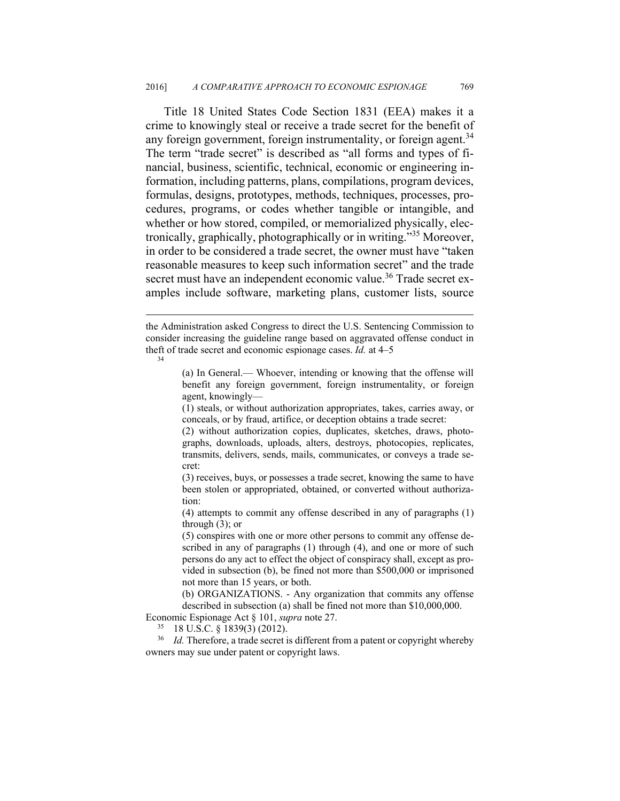Title 18 United States Code Section 1831 (EEA) makes it a crime to knowingly steal or receive a trade secret for the benefit of any foreign government, foreign instrumentality, or foreign agent.<sup>34</sup> The term "trade secret" is described as "all forms and types of financial, business, scientific, technical, economic or engineering information, including patterns, plans, compilations, program devices, formulas, designs, prototypes, methods, techniques, processes, procedures, programs, or codes whether tangible or intangible, and whether or how stored, compiled, or memorialized physically, electronically, graphically, photographically or in writing."35 Moreover, in order to be considered a trade secret, the owner must have "taken reasonable measures to keep such information secret" and the trade secret must have an independent economic value.<sup>36</sup> Trade secret examples include software, marketing plans, customer lists, source

 $\overline{a}$ 

<sup>36</sup> *Id.* Therefore, a trade secret is different from a patent or copyright whereby owners may sue under patent or copyright laws.

the Administration asked Congress to direct the U.S. Sentencing Commission to consider increasing the guideline range based on aggravated offense conduct in theft of trade secret and economic espionage cases. *Id.* at 4–5

<sup>(</sup>a) In General.— Whoever, intending or knowing that the offense will benefit any foreign government, foreign instrumentality, or foreign agent, knowingly—

<sup>(1)</sup> steals, or without authorization appropriates, takes, carries away, or conceals, or by fraud, artifice, or deception obtains a trade secret:

<sup>(2)</sup> without authorization copies, duplicates, sketches, draws, photographs, downloads, uploads, alters, destroys, photocopies, replicates, transmits, delivers, sends, mails, communicates, or conveys a trade secret:

<sup>(3)</sup> receives, buys, or possesses a trade secret, knowing the same to have been stolen or appropriated, obtained, or converted without authorization:

<sup>(4)</sup> attempts to commit any offense described in any of paragraphs (1) through (3); or

<sup>(5)</sup> conspires with one or more other persons to commit any offense described in any of paragraphs (1) through (4), and one or more of such persons do any act to effect the object of conspiracy shall, except as provided in subsection (b), be fined not more than \$500,000 or imprisoned not more than 15 years, or both.

<sup>(</sup>b) ORGANIZATIONS. - Any organization that commits any offense described in subsection (a) shall be fined not more than \$10,000,000.

Economic Espionage Act § 101, *supra* note 27. 35 18 U.S.C. § 1839(3) (2012).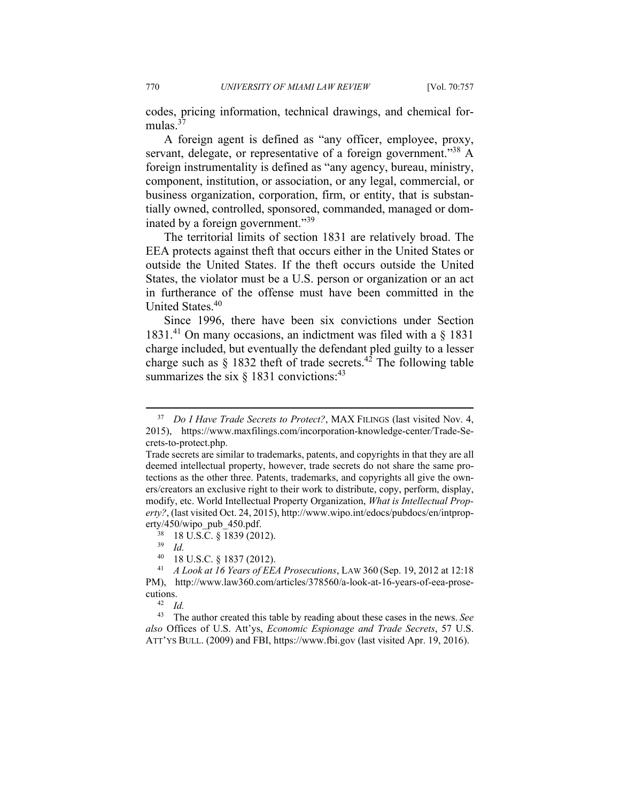codes, pricing information, technical drawings, and chemical formulas  $37$ 

A foreign agent is defined as "any officer, employee, proxy, servant, delegate, or representative of a foreign government."<sup>38</sup> A foreign instrumentality is defined as "any agency, bureau, ministry, component, institution, or association, or any legal, commercial, or business organization, corporation, firm, or entity, that is substantially owned, controlled, sponsored, commanded, managed or dominated by a foreign government."39

The territorial limits of section 1831 are relatively broad. The EEA protects against theft that occurs either in the United States or outside the United States. If the theft occurs outside the United States, the violator must be a U.S. person or organization or an act in furtherance of the offense must have been committed in the United States.<sup>40</sup>

Since 1996, there have been six convictions under Section  $1831<sup>41</sup>$  On many occasions, an indictment was filed with a  $\S$  1831 charge included, but eventually the defendant pled guilty to a lesser charge such as  $\S$  1832 theft of trade secrets.<sup>42</sup> The following table summarizes the six  $\S$  1831 convictions:<sup>43</sup>

 <sup>37</sup> *Do I Have Trade Secrets to Protect?*, MAX FILINGS (last visited Nov. 4, 2015), https://www.maxfilings.com/incorporation-knowledge-center/Trade-Secrets-to-protect.php.

Trade secrets are similar to trademarks, patents, and copyrights in that they are all deemed intellectual property, however, trade secrets do not share the same protections as the other three. Patents, trademarks, and copyrights all give the owners/creators an exclusive right to their work to distribute, copy, perform, display, modify, etc. World Intellectual Property Organization, *What is Intellectual Property?*, (last visited Oct. 24, 2015), http://www.wipo.int/edocs/pubdocs/en/intproperty/450/wipo\_pub\_450.pdf. 38 18 U.S.C. § 1839 (2012).

<sup>39</sup> *Id.*

<sup>&</sup>lt;sup>40</sup> 18 U.S.C. § 1837 (2012).<br><sup>41</sup> *A Look at 16 Years of EE*.

<sup>41</sup> *A Look at 16 Years of EEA Prosecutions*, LAW 360 (Sep. 19, 2012 at 12:18 PM), http://www.law360.com/articles/378560/a-look-at-16-years-of-eea-prosecutions.<br> $^{42}$  *Id.* 

<sup>43</sup> The author created this table by reading about these cases in the news. *See also* Offices of U.S. Att'ys, *Economic Espionage and Trade Secrets*, 57 U.S. ATT'YS BULL. (2009) and FBI, https://www.fbi.gov (last visited Apr. 19, 2016).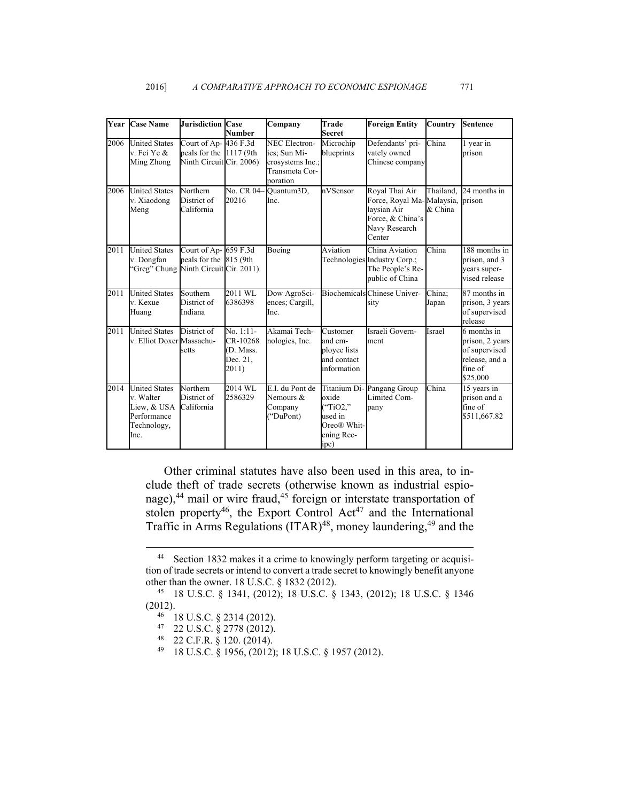|      | <b>Year Case Name</b>                                                                  | <b>Jurisdiction Case</b>                                                     | <b>Number</b>                                             | Company                                                                                | Trade<br><b>Secret</b>                                            | <b>Foreign Entity</b>                                                                                            | Country         | <b>Sentence</b>                                                                          |
|------|----------------------------------------------------------------------------------------|------------------------------------------------------------------------------|-----------------------------------------------------------|----------------------------------------------------------------------------------------|-------------------------------------------------------------------|------------------------------------------------------------------------------------------------------------------|-----------------|------------------------------------------------------------------------------------------|
| 2006 | <b>United States</b><br>v. Fei Ye &<br>Ming Zhong                                      | Court of Ap- 436 F.3d<br>peals for the 1117 (9th<br>Ninth Circuit Cir. 2006) |                                                           | <b>NEC Electron-</b><br>ics; Sun Mi-<br>crosystems Inc.;<br>Transmeta Cor-<br>poration | Microchip<br>blueprints                                           | Defendants' pri-<br>vately owned<br>Chinese company                                                              | China           | 1 year in<br>prison                                                                      |
| 2006 | <b>United States</b><br>v. Xiaodong<br>Meng                                            | Northern<br>District of<br>California                                        | 20216                                                     | No. CR 04-Quantum3D,<br>Inc.                                                           | nVSensor                                                          | Royal Thai Air<br>Force, Royal Ma-Malaysia, prison<br>laysian Air<br>Force, & China's<br>Navy Research<br>Center | & China         | Thailand. 24 months in                                                                   |
| 2011 | <b>United States</b><br>v. Dongfan<br>'Greg" Chung Ninth Circuit Cir. 2011)            | Court of Ap-659 F.3d<br>peals for the 815 (9th                               |                                                           | Boeing                                                                                 | Aviation                                                          | China Aviation<br>Technologies Industry Corp.;<br>The People's Re-<br>public of China                            | China           | $\overline{188}$ months in<br>prison, and 3<br>years super-<br>vised release             |
| 2011 | <b>United States</b><br>v. Kexue<br>Huang                                              | Southern<br>District of<br>Indiana                                           | 2011 WL<br>6386398                                        | Dow AgroSci-<br>ences: Cargill.<br>Inc.                                                |                                                                   | <b>Biochemicals Chinese Univer-</b><br>sity                                                                      | China:<br>Japan | 87 months in<br>prison, 3 years<br>of supervised<br>release                              |
| 2011 | <b>United States</b><br>v. Elliot Doxer Massachu-                                      | District of<br>setts                                                         | $No. 1:11-$<br>CR-10268<br>(D. Mass.<br>Dec. 21.<br>2011) | Akamai Tech-<br>nologies, Inc.                                                         | Customer<br>and em-<br>ployee lists<br>and contact<br>information | Israeli Govern-<br>ment                                                                                          | Israel          | 6 months in<br>prison, 2 years<br>of supervised<br>release, and a<br>fine of<br>\$25,000 |
| 2014 | <b>United States</b><br>v. Walter<br>Liew, & USA<br>Performance<br>Technology,<br>Inc. | Northern<br>District of<br>California                                        | 2014 WL<br>2586329                                        | E.I. du Pont de<br>Nemours &<br>Company<br>("DuPont)                                   | oxide<br>("TiO2,"<br>used in<br>Oreo® Whit-<br>ening Rec-<br>ipe) | Titanium Di-Pangang Group<br>Limited Com-<br>pany                                                                | China           | 15 years in<br>prison and a<br>fine of<br>\$511,667.82                                   |

Other criminal statutes have also been used in this area, to include theft of trade secrets (otherwise known as industrial espionage), $44$  mail or wire fraud, $45$  foreign or interstate transportation of stolen property<sup>46</sup>, the Export Control Act<sup>47</sup> and the International Traffic in Arms Regulations  $(ITAR)^{48}$ , money laundering,  $^{49}$  and the

 <sup>44</sup> Section 1832 makes it a crime to knowingly perform targeting or acquisition of trade secrets or intend to convert a trade secret to knowingly benefit anyone other than the owner. 18 U.S.C. § 1832 (2012). 45 18 U.S.C. § 1341, (2012); 18 U.S.C. § 1343, (2012); 18 U.S.C. § 1346

<sup>(2012). 46 18</sup> U.S.C. § 2314 (2012).

<sup>47 22</sup> U.S.C. § 2778 (2012).

<sup>48 22</sup> C.F.R. § 120. (2014).

<sup>49 18</sup> U.S.C. § 1956, (2012); 18 U.S.C. § 1957 (2012).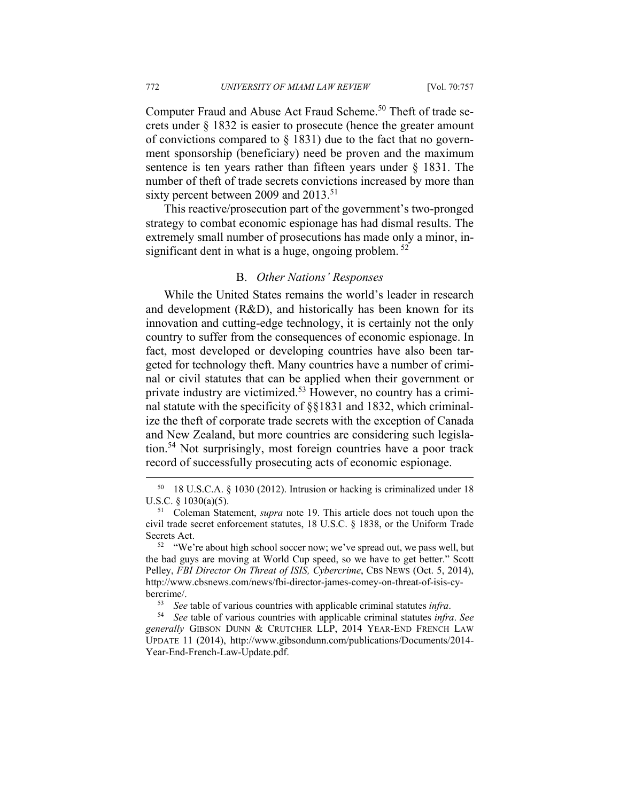Computer Fraud and Abuse Act Fraud Scheme.<sup>50</sup> Theft of trade secrets under § 1832 is easier to prosecute (hence the greater amount of convictions compared to  $\S$  1831) due to the fact that no government sponsorship (beneficiary) need be proven and the maximum sentence is ten years rather than fifteen years under § 1831. The number of theft of trade secrets convictions increased by more than sixty percent between 2009 and 2013.<sup>51</sup>

This reactive/prosecution part of the government's two-pronged strategy to combat economic espionage has had dismal results. The extremely small number of prosecutions has made only a minor, insignificant dent in what is a huge, ongoing problem.  $52$ 

#### B. *Other Nations' Responses*

While the United States remains the world's leader in research and development (R&D), and historically has been known for its innovation and cutting-edge technology, it is certainly not the only country to suffer from the consequences of economic espionage. In fact, most developed or developing countries have also been targeted for technology theft. Many countries have a number of criminal or civil statutes that can be applied when their government or private industry are victimized.53 However, no country has a criminal statute with the specificity of §§1831 and 1832, which criminalize the theft of corporate trade secrets with the exception of Canada and New Zealand, but more countries are considering such legislation.54 Not surprisingly, most foreign countries have a poor track record of successfully prosecuting acts of economic espionage.

 <sup>50 18</sup> U.S.C.A. § 1030 (2012). Intrusion or hacking is criminalized under 18 U.S.C. § 1030(a)(5).<br><sup>51</sup> Coleman Statement, *supra* note 19. This article does not touch upon the

civil trade secret enforcement statutes, 18 U.S.C. § 1838, or the Uniform Trade Secrets Act.<br><sup>52</sup> "We're about high school soccer now; we've spread out, we pass well, but

the bad guys are moving at World Cup speed, so we have to get better." Scott Pelley, *FBI Director On Threat of ISIS, Cybercrime*, CBS NEWS (Oct. 5, 2014), http://www.cbsnews.com/news/fbi-director-james-comey-on-threat-of-isis-cybercrime/. 53 *See* table of various countries with applicable criminal statutes *infra*. 54 *See* table of various countries with applicable criminal statutes *infra*. *See* 

*generally* GIBSON DUNN & CRUTCHER LLP, 2014 YEAR-END FRENCH LAW UPDATE 11 (2014), http://www.gibsondunn.com/publications/Documents/2014- Year-End-French-Law-Update.pdf.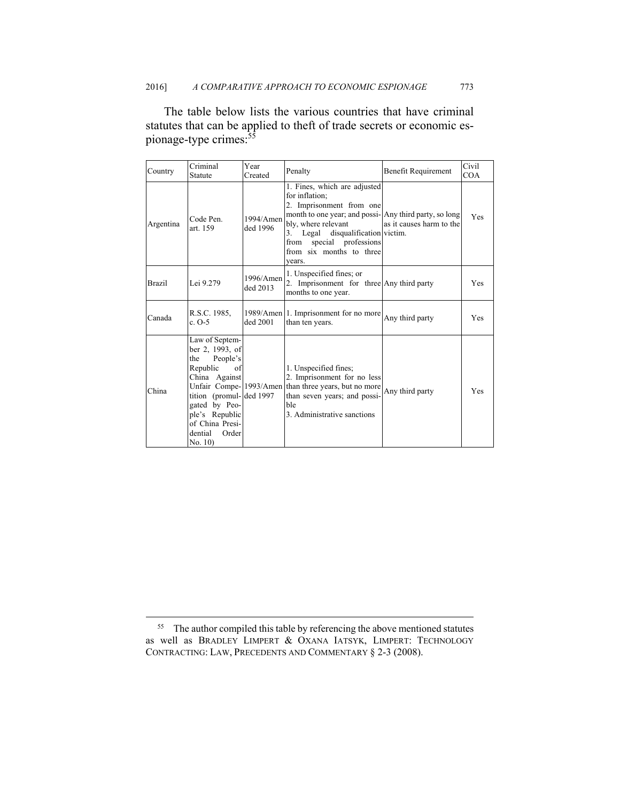The table below lists the various countries that have criminal statutes that can be applied to theft of trade secrets or economic espionage-type crimes:<sup>55</sup>

| Country       | Criminal<br>Statute                                                                                                                                                                                    | Year<br>Created          | Penalty                                                                                                                                                                                                                                                                 | <b>Benefit Requirement</b> | Civil<br>COA |
|---------------|--------------------------------------------------------------------------------------------------------------------------------------------------------------------------------------------------------|--------------------------|-------------------------------------------------------------------------------------------------------------------------------------------------------------------------------------------------------------------------------------------------------------------------|----------------------------|--------------|
| Argentina     | Code Pen.<br>art. 159                                                                                                                                                                                  | 1994/Amen<br>ded 1996    | 1. Fines, which are adjusted<br>for inflation:<br>2. Imprisonment from one<br>month to one year; and possi-Any third party, so long<br>bly, where relevant<br>Legal disqualification victim.<br>3.<br>special professions<br>from<br>from six months to three<br>vears. | as it causes harm to the   | Yes          |
| <b>Brazil</b> | Lei 9.279                                                                                                                                                                                              | $1996/A$ men<br>ded 2013 | 1. Unspecified fines; or<br>2. Imprisonment for three Any third party<br>months to one year.                                                                                                                                                                            |                            | <b>Yes</b>   |
| Canada        | R.S.C. 1985.<br>c. $O-5$                                                                                                                                                                               | ded 2001                 | 1989/Amen 1. Imprisonment for no more<br>than ten years.                                                                                                                                                                                                                | Any third party            | <b>Yes</b>   |
| China         | Law of Septem-<br>ber 2, 1993, of<br>People's<br>the<br>Republic<br>of<br>China Against<br>tition (promul-ded 1997<br>gated by Peo-<br>ple's Republic<br>of China Presi-<br>dential<br>Order<br>No. 10 |                          | 1. Unspecified fines;<br>2. Imprisonment for no less<br>Unfair Compe-1993/Amen than three years, but no more<br>than seven years; and possi-<br><b>ble</b><br>3. Administrative sanctions                                                                               | Any third party            | Yes          |

<sup>&</sup>lt;sup>55</sup> The author compiled this table by referencing the above mentioned statutes as well as BRADLEY LIMPERT & OXANA IATSYK, LIMPERT: TECHNOLOGY CONTRACTING: LAW, PRECEDENTS AND COMMENTARY § 2-3 (2008).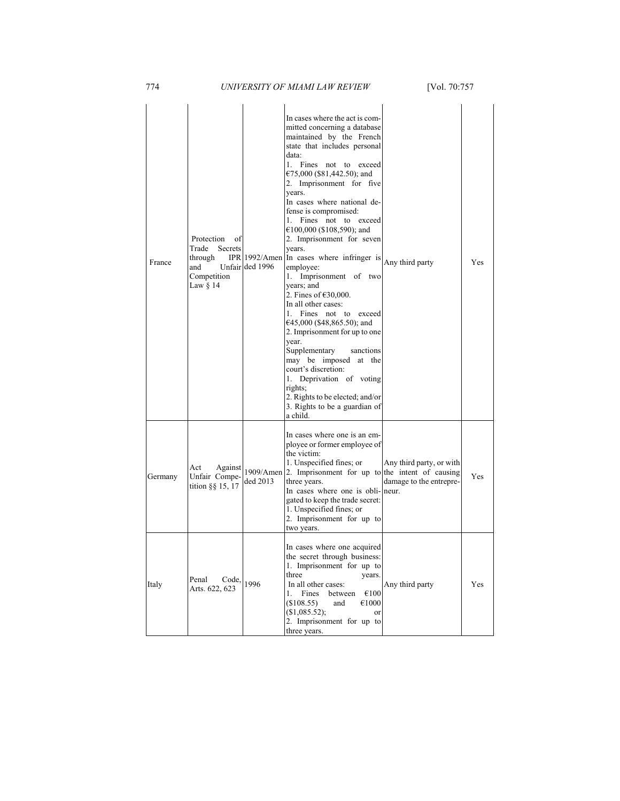| France  | Protection<br>οf<br>Trade<br>Secrets<br>through<br>and<br>Competition<br>Law § 14 | Unfair ded 1996       | In cases where the act is com-<br>mitted concerning a database<br>maintained by the French<br>state that includes personal<br>data:<br>1. Fines not to exceed<br>€75,000 (\$81,442.50); and<br>2. Imprisonment for five<br>years.<br>In cases where national de-<br>fense is compromised:<br>1. Fines not to exceed<br>€100,000 (\$108,590); and<br>2. Imprisonment for seven<br>years.<br>IPR 1992/Amen In cases where infringer is $\begin{bmatrix} \text{Any third party} \end{bmatrix}$<br>employee:<br>1. Imprisonment of two<br>years; and<br>2. Fines of $€30,000$ .<br>In all other cases:<br>1. Fines not to exceed<br>€45,000 (\$48,865.50); and<br>2. Imprisonment for up to one<br>year.<br>Supplementary<br>sanctions<br>may be imposed at the<br>court's discretion:<br>1. Deprivation of voting<br>rights;<br>2. Rights to be elected; and/or<br>3. Rights to be a guardian of<br>a child. |                                                     | Yes |
|---------|-----------------------------------------------------------------------------------|-----------------------|-----------------------------------------------------------------------------------------------------------------------------------------------------------------------------------------------------------------------------------------------------------------------------------------------------------------------------------------------------------------------------------------------------------------------------------------------------------------------------------------------------------------------------------------------------------------------------------------------------------------------------------------------------------------------------------------------------------------------------------------------------------------------------------------------------------------------------------------------------------------------------------------------------------|-----------------------------------------------------|-----|
| Germany | Act<br>Against<br>Unfair Compe-<br>tition §§ 15, 17                               | 1909/Amen<br>ded 2013 | In cases where one is an em-<br>ployee or former employee of<br>the victim:<br>1. Unspecified fines; or<br>2. Imprisonment for up to the intent of causing<br>three years.<br>In cases where one is obli-neur.<br>gated to keep the trade secret:<br>1. Unspecified fines; or<br>2. Imprisonment for up to<br>two years.                                                                                                                                                                                                                                                                                                                                                                                                                                                                                                                                                                                  | Any third party, or with<br>damage to the entrepre- | Yes |
| Italy   | Code,<br>Penal<br>Arts. 622, 623                                                  | 1996                  | In cases where one acquired<br>the secret through business:<br>1. Imprisonment for up to<br>three<br>years.<br>In all other cases:<br>Fines<br>€100<br>1.<br>between<br>€1000<br>(\$108.55)<br>and<br>(\$1,085.52);<br>or<br>2. Imprisonment for up to<br>three years.                                                                                                                                                                                                                                                                                                                                                                                                                                                                                                                                                                                                                                    | Any third party                                     | Yes |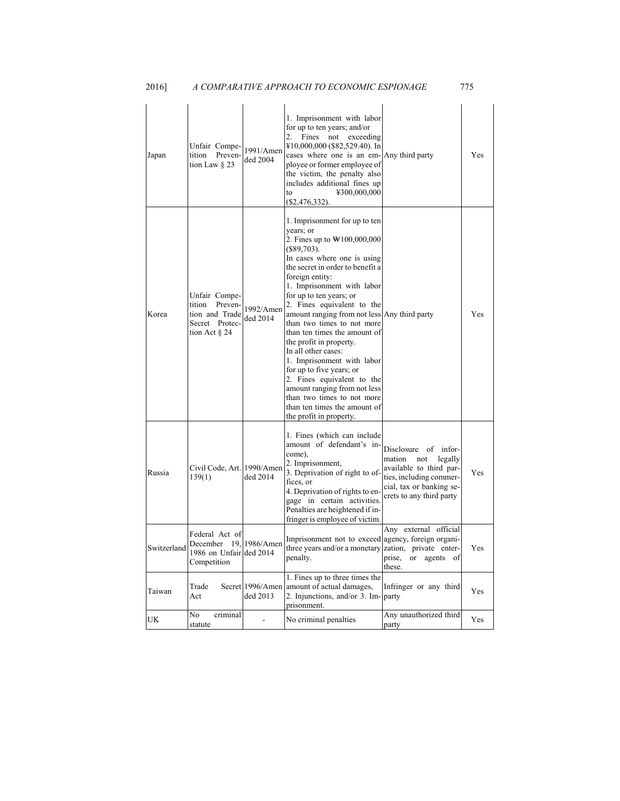| Japan       | Unfair Compe-<br>tition<br>Preven-<br>tion Law $\S$ 23                                     | 1991/Amen<br>ded 2004        | 1. Imprisonment with labor<br>for up to ten years; and/or<br>Fines<br>$\mathbf{2}$ .<br>not<br>exceeding<br>¥10,000,000 (\$82,529.40). In<br>cases where one is an em-Any third party<br>ployee or former employee of<br>the victim, the penalty also<br>includes additional fines up<br>¥300,000,000<br>to<br>$(\$2,476,332).$                                                                                                                                                                                                                                                                                                                                    |                                                                                                                                                                | Yes |
|-------------|--------------------------------------------------------------------------------------------|------------------------------|--------------------------------------------------------------------------------------------------------------------------------------------------------------------------------------------------------------------------------------------------------------------------------------------------------------------------------------------------------------------------------------------------------------------------------------------------------------------------------------------------------------------------------------------------------------------------------------------------------------------------------------------------------------------|----------------------------------------------------------------------------------------------------------------------------------------------------------------|-----|
| Korea       | Unfair Compe-<br>tition<br>Preven-<br>tion and Trade<br>Secret Protec-<br>tion Act $\S 24$ | 1992/Amen<br>ded 2014        | 1. Imprisonment for up to ten<br>years; or<br>2. Fines up to $\text{W100,000,000}$<br>$(\$89,703)$ .<br>In cases where one is using<br>the secret in order to benefit a<br>foreign entity:<br>1. Imprisonment with labor<br>for up to ten years; or<br>2. Fines equivalent to the<br>amount ranging from not less Any third party<br>than two times to not more<br>than ten times the amount of<br>the profit in property.<br>In all other cases:<br>1. Imprisonment with labor<br>for up to five years; or<br>2. Fines equivalent to the<br>amount ranging from not less<br>than two times to not more<br>than ten times the amount of<br>the profit in property. |                                                                                                                                                                | Yes |
| Russia      | Civil Code, Art. 1990/Amen<br>139(1)                                                       | ded 2014                     | 1. Fines (which can include<br>amount of defendant's in-<br>come).<br>2. Imprisonment,<br>3. Deprivation of right to of-<br>fices, or<br>4. Deprivation of rights to en-<br>gage in certain activities.<br>Penalties are heightened if in-<br>fringer is employee of victim.                                                                                                                                                                                                                                                                                                                                                                                       | Disclosure of infor-<br>mation<br>legally<br>not<br>available to third par-<br>ties, including commer-<br>cial, tax or banking se-<br>crets to any third party | Yes |
| Switzerland | Federal Act of<br>December<br>1986 on Unfair ded 2014<br>Competition                       | 19, 1986/Amen                | Imprisonment not to exceed agency, foreign organi-<br>three years and/or a monetary<br>penalty.                                                                                                                                                                                                                                                                                                                                                                                                                                                                                                                                                                    | Any external official<br>zation, private enter-<br>prise,<br>or<br>agents<br>of<br>these.                                                                      | Yes |
| Taiwan      | Trade<br>Act                                                                               | Secret 1996/Amen<br>ded 2013 | 1. Fines up to three times the<br>amount of actual damages,<br>2. Injunctions, and/or 3. Im- party<br>prisonment.                                                                                                                                                                                                                                                                                                                                                                                                                                                                                                                                                  | Infringer or any third                                                                                                                                         | Yes |
| UK          | No<br>criminal<br>statute                                                                  |                              | No criminal penalties                                                                                                                                                                                                                                                                                                                                                                                                                                                                                                                                                                                                                                              | Any unauthorized third<br>party                                                                                                                                | Yes |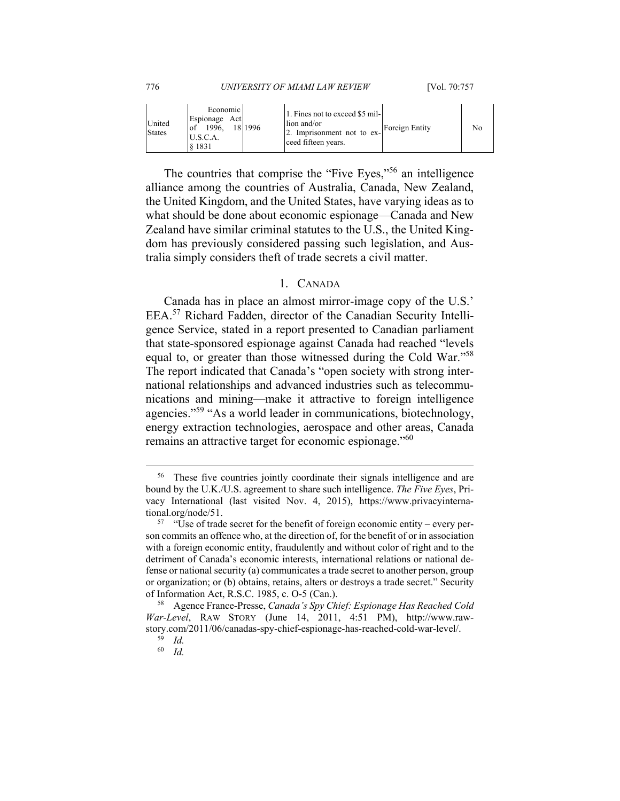| United<br><b>States</b> | Economic<br>Espionage Act<br>1996.<br>U.S.C.A.<br>8 1 8 3 1 | 18 1996 | 1. Fines not to exceed \$5 mil-<br>lion and/or<br>2. Imprisonment not to ex-<br>ceed fifteen years. | Foreign Entity | No |
|-------------------------|-------------------------------------------------------------|---------|-----------------------------------------------------------------------------------------------------|----------------|----|
|-------------------------|-------------------------------------------------------------|---------|-----------------------------------------------------------------------------------------------------|----------------|----|

The countries that comprise the "Five Eyes,"56 an intelligence alliance among the countries of Australia, Canada, New Zealand, the United Kingdom, and the United States, have varying ideas as to what should be done about economic espionage—Canada and New Zealand have similar criminal statutes to the U.S., the United Kingdom has previously considered passing such legislation, and Australia simply considers theft of trade secrets a civil matter.

### 1. CANADA

Canada has in place an almost mirror-image copy of the U.S.' EEA.57 Richard Fadden, director of the Canadian Security Intelligence Service, stated in a report presented to Canadian parliament that state-sponsored espionage against Canada had reached "levels equal to, or greater than those witnessed during the Cold War."58 The report indicated that Canada's "open society with strong international relationships and advanced industries such as telecommunications and mining—make it attractive to foreign intelligence agencies."59 "As a world leader in communications, biotechnology, energy extraction technologies, aerospace and other areas, Canada remains an attractive target for economic espionage."<sup>60</sup>

 <sup>56</sup> These five countries jointly coordinate their signals intelligence and are bound by the U.K./U.S. agreement to share such intelligence. *The Five Eyes*, Privacy International (last visited Nov. 4, 2015), https://www.privacyinternational.org/node/51.<br><sup>57</sup> "Use of trade secret for the benefit of foreign economic entity – every per-

son commits an offence who, at the direction of, for the benefit of or in association with a foreign economic entity, fraudulently and without color of right and to the detriment of Canada's economic interests, international relations or national defense or national security (a) communicates a trade secret to another person, group or organization; or (b) obtains, retains, alters or destroys a trade secret." Security of Information Act, R.S.C. 1985, c. O-5 (Can.). 58 Agence France-Presse, *Canada's Spy Chief: Espionage Has Reached Cold* 

*War-Level*, RAW STORY (June 14, 2011, 4:51 PM), http://www.rawstory.com/2011/06/canadas-spy-chief-espionage-has-reached-cold-war-level/. 59 *Id.*

<sup>60</sup> *Id.*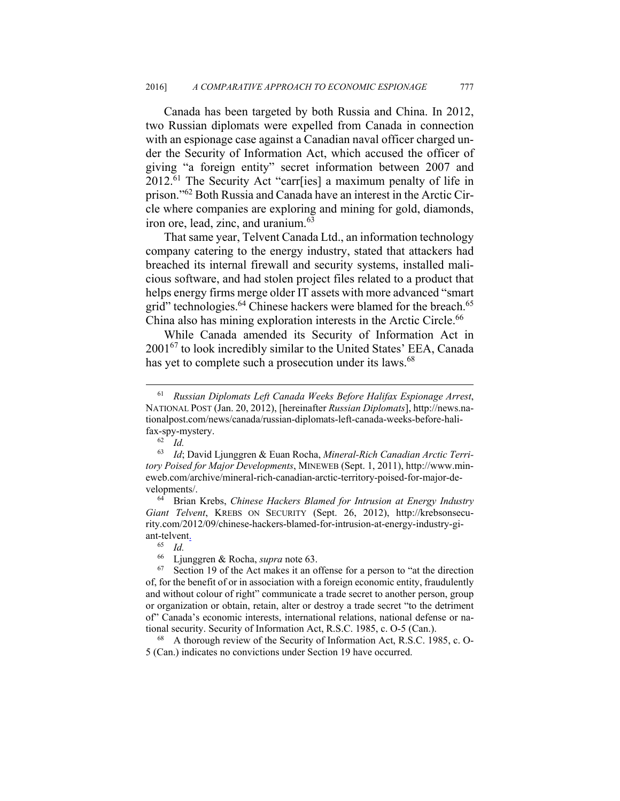Canada has been targeted by both Russia and China. In 2012, two Russian diplomats were expelled from Canada in connection with an espionage case against a Canadian naval officer charged under the Security of Information Act, which accused the officer of giving "a foreign entity" secret information between 2007 and 2012.61 The Security Act "carr[ies] a maximum penalty of life in prison."62 Both Russia and Canada have an interest in the Arctic Circle where companies are exploring and mining for gold, diamonds, iron ore, lead, zinc, and uranium.<sup>63</sup>

That same year, Telvent Canada Ltd., an information technology company catering to the energy industry, stated that attackers had breached its internal firewall and security systems, installed malicious software, and had stolen project files related to a product that helps energy firms merge older IT assets with more advanced "smart grid" technologies.<sup>64</sup> Chinese hackers were blamed for the breach.<sup>65</sup> China also has mining exploration interests in the Arctic Circle.<sup>66</sup>

While Canada amended its Security of Information Act in 200167 to look incredibly similar to the United States' EEA, Canada has yet to complete such a prosecution under its laws.<sup>68</sup>

5 (Can.) indicates no convictions under Section 19 have occurred.

 <sup>61</sup> *Russian Diplomats Left Canada Weeks Before Halifax Espionage Arrest*, NATIONAL POST (Jan. 20, 2012), [hereinafter *Russian Diplomats*], http://news.nationalpost.com/news/canada/russian-diplomats-left-canada-weeks-before-halifax-spy-mystery. 62 *Id.*

<sup>63</sup> *Id*; David Ljunggren & Euan Rocha, *Mineral-Rich Canadian Arctic Territory Poised for Major Developments*, MINEWEB (Sept. 1, 2011), http://www.mineweb.com/archive/mineral-rich-canadian-arctic-territory-poised-for-major-developments/. 64 Brian Krebs, *Chinese Hackers Blamed for Intrusion at Energy Industry* 

*Giant Telvent*, KREBS ON SECURITY (Sept. 26, 2012), http://krebsonsecurity.com/2012/09/chinese-hackers-blamed-for-intrusion-at-energy-industry-giant-telvent.

<sup>65</sup> *Id.*

<sup>66</sup> Ljunggren & Rocha, *supra* note 63. 67 Section 19 of the Act makes it an offense for a person to "at the direction of, for the benefit of or in association with a foreign economic entity, fraudulently and without colour of right" communicate a trade secret to another person, group or organization or obtain, retain, alter or destroy a trade secret "to the detriment of" Canada's economic interests, international relations, national defense or national security. Security of Information Act, R.S.C. 1985, c. O-5 (Can.).<br><sup>68</sup> A thorough review of the Security of Information Act, R.S.C. 1985, c. O-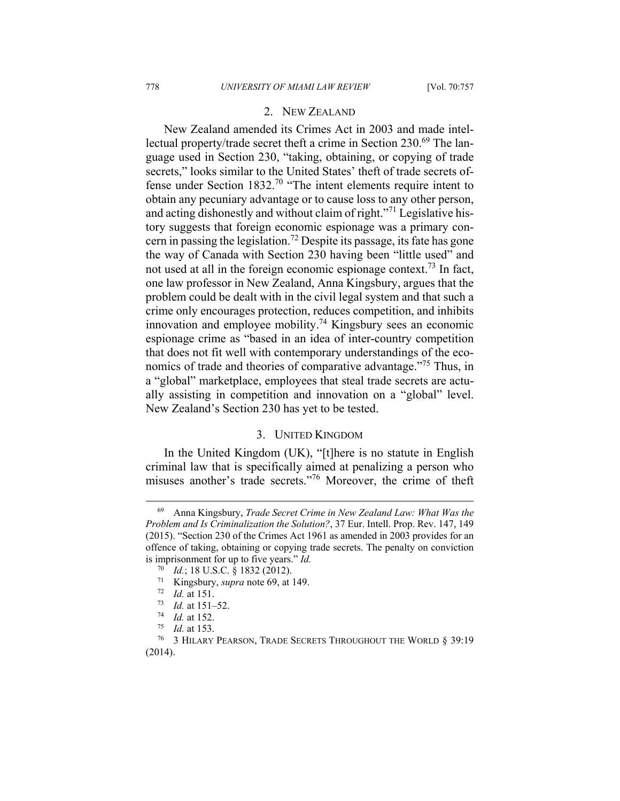### 2. NEW ZEALAND

New Zealand amended its Crimes Act in 2003 and made intellectual property/trade secret theft a crime in Section 230.<sup>69</sup> The language used in Section 230, "taking, obtaining, or copying of trade secrets," looks similar to the United States' theft of trade secrets offense under Section 1832.70 "The intent elements require intent to obtain any pecuniary advantage or to cause loss to any other person, and acting dishonestly and without claim of right."71 Legislative history suggests that foreign economic espionage was a primary concern in passing the legislation.72 Despite its passage, its fate has gone the way of Canada with Section 230 having been "little used" and not used at all in the foreign economic espionage context.<sup>73</sup> In fact, one law professor in New Zealand, Anna Kingsbury, argues that the problem could be dealt with in the civil legal system and that such a crime only encourages protection, reduces competition, and inhibits innovation and employee mobility.<sup>74</sup> Kingsbury sees an economic espionage crime as "based in an idea of inter-country competition that does not fit well with contemporary understandings of the economics of trade and theories of comparative advantage."<sup>75</sup> Thus, in a "global" marketplace, employees that steal trade secrets are actually assisting in competition and innovation on a "global" level. New Zealand's Section 230 has yet to be tested.

## 3. UNITED KINGDOM

In the United Kingdom (UK), "[t]here is no statute in English criminal law that is specifically aimed at penalizing a person who misuses another's trade secrets."76 Moreover, the crime of theft

 <sup>69</sup> Anna Kingsbury, *Trade Secret Crime in New Zealand Law: What Was the Problem and Is Criminalization the Solution?*, 37 Eur. Intell. Prop. Rev. 147, 149 (2015). "Section 230 of the Crimes Act 1961 as amended in 2003 provides for an offence of taking, obtaining or copying trade secrets. The penalty on conviction is imprisonment for up to five years." *Id.*

<sup>&</sup>lt;sup>70</sup> *Id.*; 18 U.S.C. § 1832 (2012).<br>
<sup>71</sup> Kingsbury, *supra* note 69, at 149.<br>
<sup>72</sup> *Id.* at 151.<br>
<sup>73</sup> *Id.* at 152.<br>
<sup>74</sup> *Id.* at 152.<br>
<sup>75</sup> *Id.* at 153.<br>
<sup>76</sup> 3 HILARY PEARSON, TRADE SECRETS THROUGHOUT THE WORLD § 3 (2014).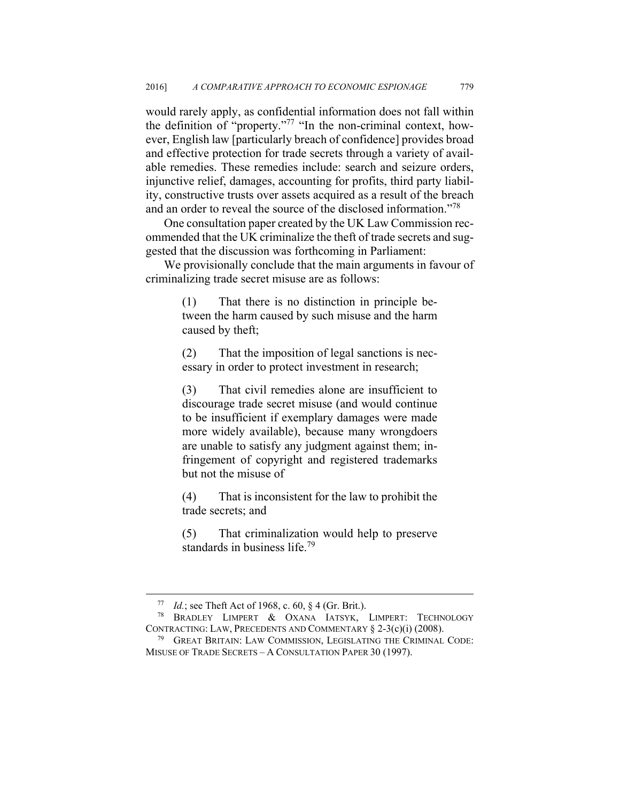would rarely apply, as confidential information does not fall within the definition of "property."77 "In the non-criminal context, however, English law [particularly breach of confidence] provides broad and effective protection for trade secrets through a variety of available remedies. These remedies include: search and seizure orders, injunctive relief, damages, accounting for profits, third party liability, constructive trusts over assets acquired as a result of the breach and an order to reveal the source of the disclosed information."78

One consultation paper created by the UK Law Commission recommended that the UK criminalize the theft of trade secrets and suggested that the discussion was forthcoming in Parliament:

We provisionally conclude that the main arguments in favour of criminalizing trade secret misuse are as follows:

> (1) That there is no distinction in principle between the harm caused by such misuse and the harm caused by theft;

> (2) That the imposition of legal sanctions is necessary in order to protect investment in research;

> (3) That civil remedies alone are insufficient to discourage trade secret misuse (and would continue to be insufficient if exemplary damages were made more widely available), because many wrongdoers are unable to satisfy any judgment against them; infringement of copyright and registered trademarks but not the misuse of

> (4) That is inconsistent for the law to prohibit the trade secrets; and

> (5) That criminalization would help to preserve standards in business life.<sup>79</sup>

<sup>77</sup> *Id.*; see Theft Act of 1968, c. 60, § 4 (Gr. Brit.). 78 BRADLEY LIMPERT & OXANA IATSYK, LIMPERT: TECHNOLOGY CONTRACTING: LAW, PRECEDENTS AND COMMENTARY  $\S$  2-3(c)(i) (2008).<br><sup>79</sup> GREAT BRITAIN: LAW COMMISSION, LEGISLATING THE CRIMINAL CODE:

MISUSE OF TRADE SECRETS – A CONSULTATION PAPER 30 (1997).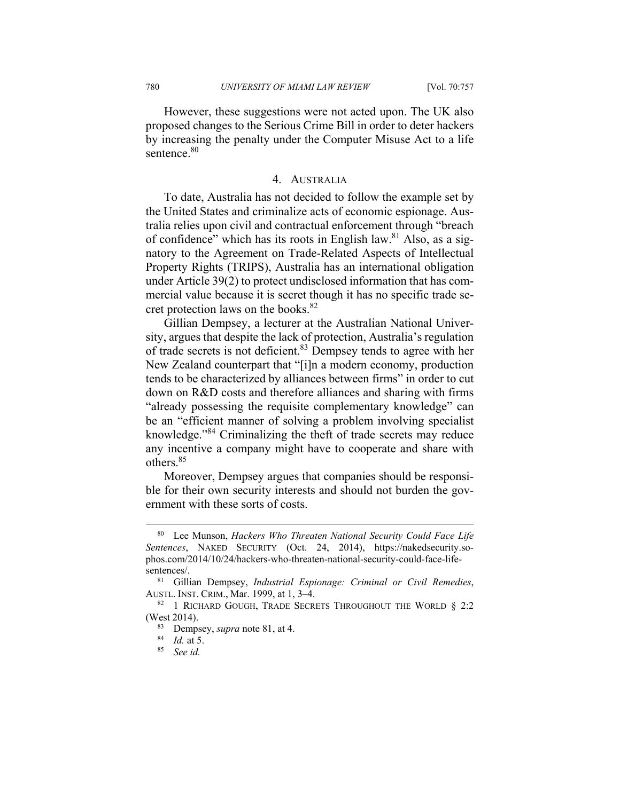However, these suggestions were not acted upon. The UK also proposed changes to the Serious Crime Bill in order to deter hackers by increasing the penalty under the Computer Misuse Act to a life sentence.<sup>80</sup>

#### 4. AUSTRALIA

To date, Australia has not decided to follow the example set by the United States and criminalize acts of economic espionage. Australia relies upon civil and contractual enforcement through "breach of confidence" which has its roots in English law. $81$  Also, as a signatory to the Agreement on Trade-Related Aspects of Intellectual Property Rights (TRIPS), Australia has an international obligation under Article 39(2) to protect undisclosed information that has commercial value because it is secret though it has no specific trade secret protection laws on the books. $82$ 

Gillian Dempsey, a lecturer at the Australian National University, argues that despite the lack of protection, Australia's regulation of trade secrets is not deficient.83 Dempsey tends to agree with her New Zealand counterpart that "[i]n a modern economy, production tends to be characterized by alliances between firms" in order to cut down on R&D costs and therefore alliances and sharing with firms "already possessing the requisite complementary knowledge" can be an "efficient manner of solving a problem involving specialist knowledge."84 Criminalizing the theft of trade secrets may reduce any incentive a company might have to cooperate and share with others.85

Moreover, Dempsey argues that companies should be responsible for their own security interests and should not burden the government with these sorts of costs.

 <sup>80</sup> Lee Munson, *Hackers Who Threaten National Security Could Face Life Sentences*, NAKED SECURITY (Oct. 24, 2014), https://nakedsecurity.sophos.com/2014/10/24/hackers-who-threaten-national-security-could-face-lifesentences/. 81 Gillian Dempsey, *Industrial Espionage: Criminal or Civil Remedies*,

AUSTL. INST. CRIM., Mar. 1999, at 1, 3–4.<br><sup>82</sup> 1 RICHARD GOUGH, TRADE SECRETS THROUGHOUT THE WORLD § 2:2

<sup>(</sup>West 2014). 83 Dempsey, *supra* note 81, at 4. 84 *Id.* at 5. 85 *See id.*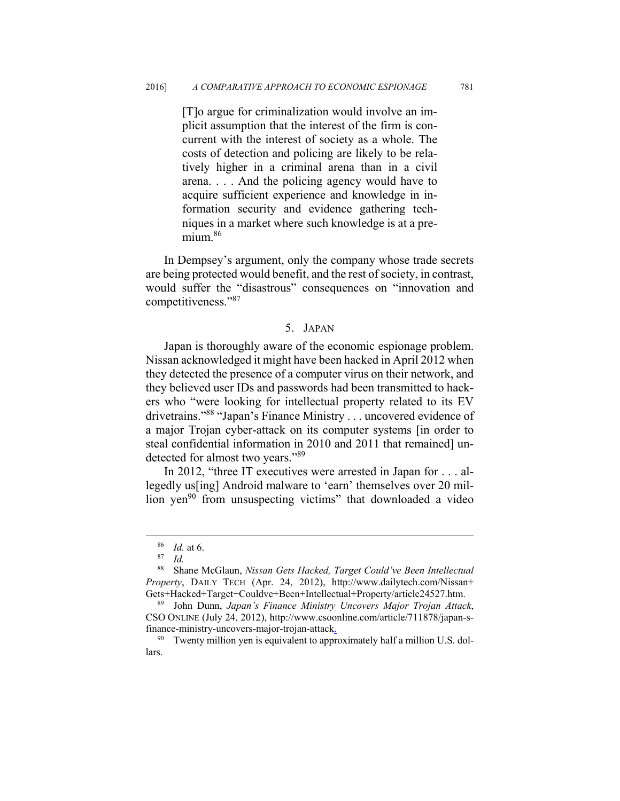[T]o argue for criminalization would involve an implicit assumption that the interest of the firm is concurrent with the interest of society as a whole. The costs of detection and policing are likely to be relatively higher in a criminal arena than in a civil arena. . . . And the policing agency would have to acquire sufficient experience and knowledge in information security and evidence gathering techniques in a market where such knowledge is at a premium.<sup>86</sup>

In Dempsey's argument, only the company whose trade secrets are being protected would benefit, and the rest of society, in contrast, would suffer the "disastrous" consequences on "innovation and competitiveness."87

### 5. JAPAN

Japan is thoroughly aware of the economic espionage problem. Nissan acknowledged it might have been hacked in April 2012 when they detected the presence of a computer virus on their network, and they believed user IDs and passwords had been transmitted to hackers who "were looking for intellectual property related to its EV drivetrains."88 "Japan's Finance Ministry . . . uncovered evidence of a major Trojan cyber-attack on its computer systems [in order to steal confidential information in 2010 and 2011 that remained] undetected for almost two years."89

In 2012, "three IT executives were arrested in Japan for . . . allegedly us[ing] Android malware to 'earn' themselves over 20 million yen<sup>90</sup> from unsuspecting victims" that downloaded a video

<sup>86</sup> *Id.* at 6. 87 *Id.*

<sup>88</sup> Shane McGlaun, *Nissan Gets Hacked, Target Could've Been Intellectual Property*, DAILY TECH (Apr. 24, 2012), http://www.dailytech.com/Nissan+ Gets+Hacked+Target+Couldve+Been+Intellectual+Property/article24527.htm. 89 John Dunn, *Japan's Finance Ministry Uncovers Major Trojan Attack*,

CSO ONLINE (July 24, 2012), http://www.csoonline.com/article/711878/japan-sfinance-ministry-uncovers-major-trojan-attack.

<sup>&</sup>lt;sup>90</sup> Twenty million yen is equivalent to approximately half a million U.S. dollars.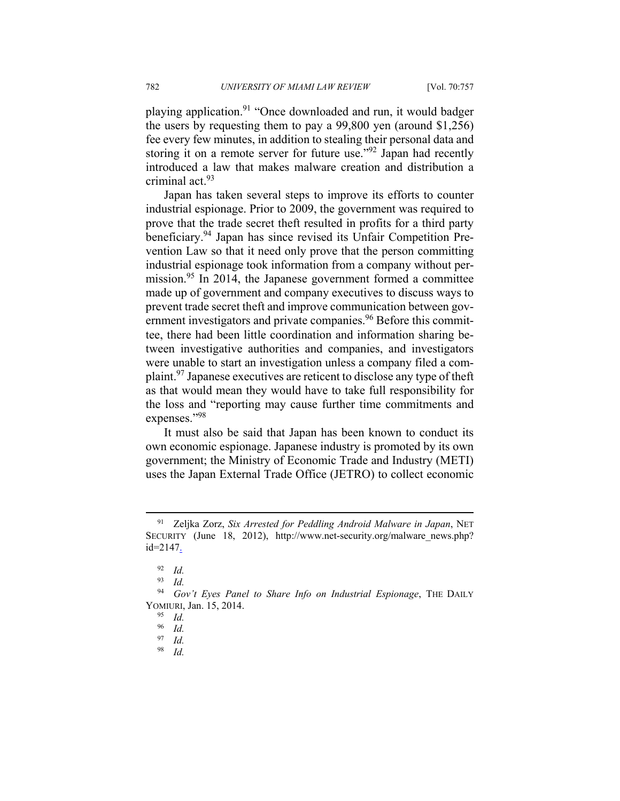playing application.<sup>91</sup> "Once downloaded and run, it would badger the users by requesting them to pay a 99,800 yen (around \$1,256) fee every few minutes, in addition to stealing their personal data and storing it on a remote server for future use."<sup>92</sup> Japan had recently introduced a law that makes malware creation and distribution a criminal act.93

Japan has taken several steps to improve its efforts to counter industrial espionage. Prior to 2009, the government was required to prove that the trade secret theft resulted in profits for a third party beneficiary.94 Japan has since revised its Unfair Competition Prevention Law so that it need only prove that the person committing industrial espionage took information from a company without permission.<sup>95</sup> In 2014, the Japanese government formed a committee made up of government and company executives to discuss ways to prevent trade secret theft and improve communication between government investigators and private companies.<sup>96</sup> Before this committee, there had been little coordination and information sharing between investigative authorities and companies, and investigators were unable to start an investigation unless a company filed a complaint.97 Japanese executives are reticent to disclose any type of theft as that would mean they would have to take full responsibility for the loss and "reporting may cause further time commitments and expenses."<sup>98</sup>

It must also be said that Japan has been known to conduct its own economic espionage. Japanese industry is promoted by its own government; the Ministry of Economic Trade and Industry (METI) uses the Japan External Trade Office (JETRO) to collect economic

*Id.* 

 <sup>91</sup> Zeljka Zorz, *Six Arrested for Peddling Android Malware in Japan*, NET SECURITY (June 18, 2012), http://www.net-security.org/malware\_news.php? id=2147.

<sup>92</sup> *Id.*

<sup>93</sup> *Id.*

<sup>94</sup> *Gov't Eyes Panel to Share Info on Industrial Espionage*, THE DAILY YOMIURI, Jan. 15, 2014.<br><sup>95</sup> *Id.*<br>96 *Id* 

 $\frac{96}{97}$  *Id.* 

<sup>97</sup> *Id.*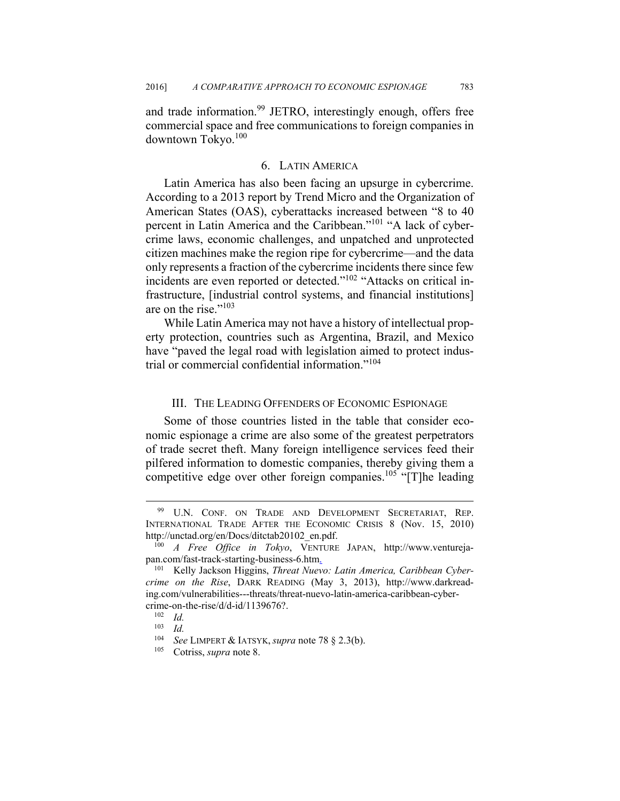and trade information.<sup>99</sup> JETRO, interestingly enough, offers free commercial space and free communications to foreign companies in downtown Tokyo.<sup>100</sup>

#### 6. LATIN AMERICA

Latin America has also been facing an upsurge in cybercrime. According to a 2013 report by Trend Micro and the Organization of American States (OAS), cyberattacks increased between "8 to 40 percent in Latin America and the Caribbean."101 "A lack of cybercrime laws, economic challenges, and unpatched and unprotected citizen machines make the region ripe for cybercrime—and the data only represents a fraction of the cybercrime incidents there since few incidents are even reported or detected."<sup>102</sup> "Attacks on critical infrastructure, [industrial control systems, and financial institutions] are on the rise."<sup>103</sup>

While Latin America may not have a history of intellectual property protection, countries such as Argentina, Brazil, and Mexico have "paved the legal road with legislation aimed to protect industrial or commercial confidential information."<sup>104</sup>

#### III. THE LEADING OFFENDERS OF ECONOMIC ESPIONAGE

Some of those countries listed in the table that consider economic espionage a crime are also some of the greatest perpetrators of trade secret theft. Many foreign intelligence services feed their pilfered information to domestic companies, thereby giving them a competitive edge over other foreign companies.<sup>105</sup> "[T]he leading

<sup>99</sup> U.N. CONF. ON TRADE AND DEVELOPMENT SECRETARIAT, REP. INTERNATIONAL TRADE AFTER THE ECONOMIC CRISIS 8 (Nov. 15, 2010) http://unctad.org/en/Docs/ditctab20102\_en.pdf. 100 *A Free Office in Tokyo*, VENTURE JAPAN, http://www.ventureja-

pan.com/fast-track-starting-business-6.htm.

<sup>101</sup> Kelly Jackson Higgins, *Threat Nuevo: Latin America, Caribbean Cybercrime on the Rise*, DARK READING (May 3, 2013), http://www.darkreading.com/vulnerabilities---threats/threat-nuevo-latin-america-caribbean-cybercrime-on-the-rise/d/d-id/1139676?.<br><sup>102</sup> *Id.*<br><sup>103</sup> *Id.* 

 $\frac{103}{104}$  *Id.* 

<sup>104</sup> *See* LIMPERT & IATSYK, *supra* note 78 § 2.3(b). 105 Cotriss, *supra* note 8.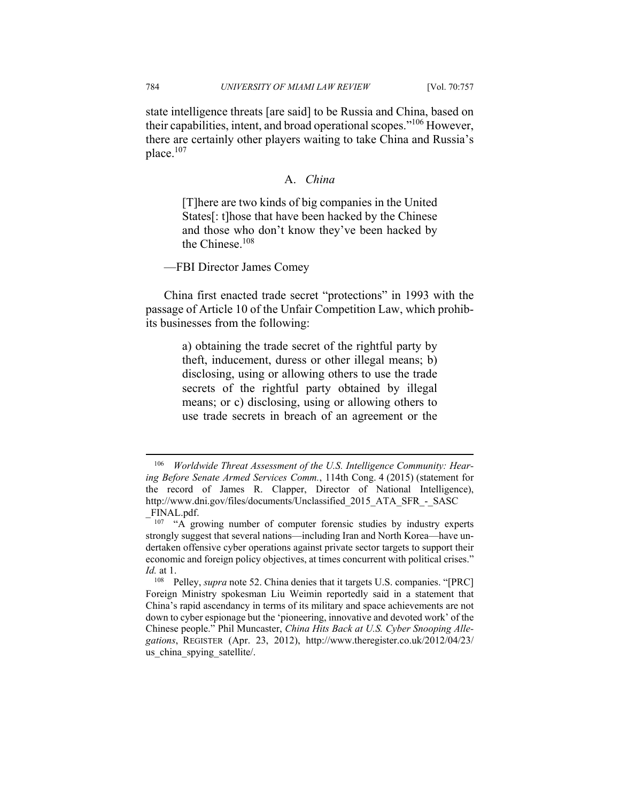state intelligence threats [are said] to be Russia and China, based on their capabilities, intent, and broad operational scopes."106 However, there are certainly other players waiting to take China and Russia's place.107

#### A. *China*

[T]here are two kinds of big companies in the United States[: t]hose that have been hacked by the Chinese and those who don't know they've been hacked by the Chinese.108

—FBI Director James Comey

China first enacted trade secret "protections" in 1993 with the passage of Article 10 of the Unfair Competition Law, which prohibits businesses from the following:

> a) obtaining the trade secret of the rightful party by theft, inducement, duress or other illegal means; b) disclosing, using or allowing others to use the trade secrets of the rightful party obtained by illegal means; or c) disclosing, using or allowing others to use trade secrets in breach of an agreement or the

<u>.</u>

<sup>106</sup> *Worldwide Threat Assessment of the U.S. Intelligence Community: Hearing Before Senate Armed Services Comm.*, 114th Cong. 4 (2015) (statement for the record of James R. Clapper, Director of National Intelligence), http://www.dni.gov/files/documents/Unclassified\_2015\_ATA\_SFR\_-\_SASC

<sup>&</sup>lt;sup>107</sup> "A growing number of computer forensic studies by industry experts strongly suggest that several nations—including Iran and North Korea—have undertaken offensive cyber operations against private sector targets to support their economic and foreign policy objectives, at times concurrent with political crises." *Id.* at 1.

<sup>108</sup> Pelley, *supra* note 52. China denies that it targets U.S. companies. "[PRC] Foreign Ministry spokesman Liu Weimin reportedly said in a statement that China's rapid ascendancy in terms of its military and space achievements are not down to cyber espionage but the 'pioneering, innovative and devoted work' of the Chinese people." Phil Muncaster, *China Hits Back at U.S. Cyber Snooping Allegations*, REGISTER (Apr. 23, 2012), http://www.theregister.co.uk/2012/04/23/ us china spying satellite.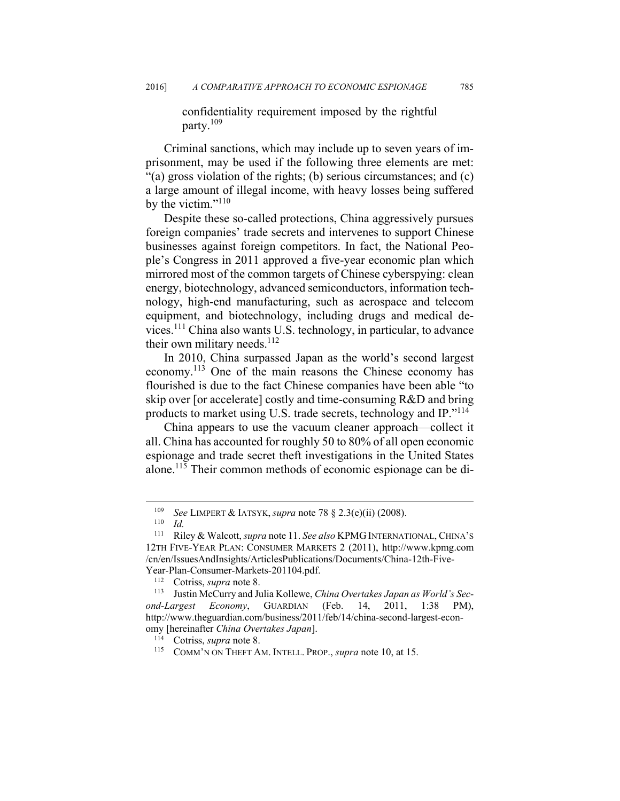confidentiality requirement imposed by the rightful party.109

Criminal sanctions, which may include up to seven years of imprisonment, may be used if the following three elements are met: "(a) gross violation of the rights; (b) serious circumstances; and (c) a large amount of illegal income, with heavy losses being suffered by the victim." $110$ 

Despite these so-called protections, China aggressively pursues foreign companies' trade secrets and intervenes to support Chinese businesses against foreign competitors. In fact, the National People's Congress in 2011 approved a five-year economic plan which mirrored most of the common targets of Chinese cyberspying: clean energy, biotechnology, advanced semiconductors, information technology, high-end manufacturing, such as aerospace and telecom equipment, and biotechnology, including drugs and medical devices.111 China also wants U.S. technology, in particular, to advance their own military needs.<sup>112</sup>

In 2010, China surpassed Japan as the world's second largest economy.113 One of the main reasons the Chinese economy has flourished is due to the fact Chinese companies have been able "to skip over [or accelerate] costly and time-consuming R&D and bring products to market using U.S. trade secrets, technology and IP."114

China appears to use the vacuum cleaner approach—collect it all. China has accounted for roughly 50 to 80% of all open economic espionage and trade secret theft investigations in the United States alone.115 Their common methods of economic espionage can be di-

<sup>109</sup> *See* LIMPERT & IATSYK, *supra* note 78 § 2.3(e)(ii) (2008).<br>
110 *Id.*<br>
111 Riley & Walcott *supra* note 11 *See also* KPMG INTERNAT

<sup>111</sup> Riley & Walcott, *supra* note 11. *See also* KPMG INTERNATIONAL, CHINA'S 12TH FIVE-YEAR PLAN: CONSUMER MARKETS 2 (2011), http://www.kpmg.com /cn/en/IssuesAndInsights/ArticlesPublications/Documents/China-12th-Five-Year-Plan-Consumer-Markets-201104.pdf.<br><sup>112</sup> Cotriss, *supra* note 8.<br><sup>113</sup> Justin McCurry and Julia Kollewe, *China Overtakes Japan as World's Sec-*

*ond-Largest Economy*, GUARDIAN (Feb. 14, 2011, 1:38 PM), http://www.theguardian.com/business/2011/feb/14/china-second-largest-economy [hereinafter *China Overtakes Japan*].<br><sup>114</sup> Cotriss, *supra* note 8.<br><sup>115</sup> COMM'N ON THEFT AM. INTELL. PROP., *supra* note 10, at 15.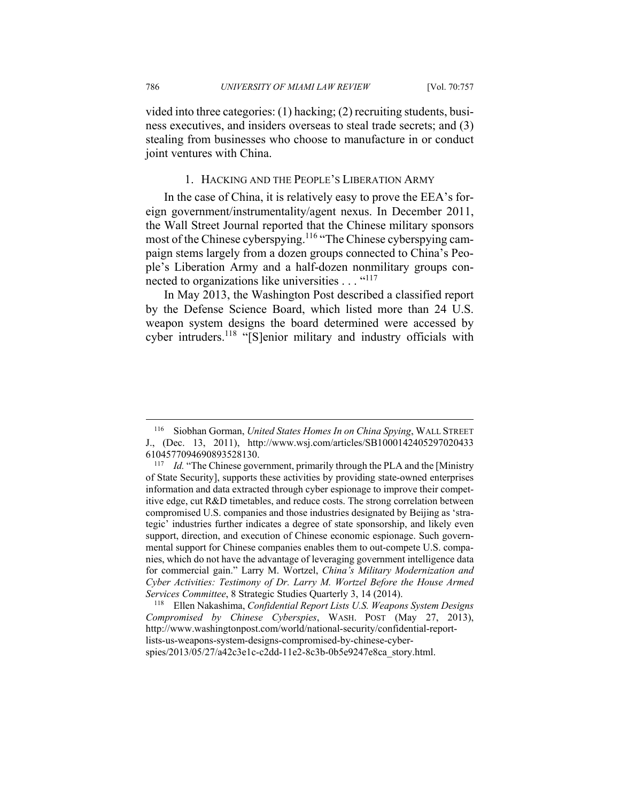786 *UNIVERSITY OF MIAMI LAW REVIEW* [Vol. 70:757

vided into three categories: (1) hacking; (2) recruiting students, business executives, and insiders overseas to steal trade secrets; and (3) stealing from businesses who choose to manufacture in or conduct joint ventures with China.

## 1. HACKING AND THE PEOPLE'S LIBERATION ARMY

In the case of China, it is relatively easy to prove the EEA's foreign government/instrumentality/agent nexus. In December 2011, the Wall Street Journal reported that the Chinese military sponsors most of the Chinese cyberspying.<sup>116</sup> "The Chinese cyberspying campaign stems largely from a dozen groups connected to China's People's Liberation Army and a half-dozen nonmilitary groups connected to organizations like universities . . . "<sup>117</sup>

In May 2013, the Washington Post described a classified report by the Defense Science Board, which listed more than 24 U.S. weapon system designs the board determined were accessed by cyber intruders.<sup>118</sup> "[S]enior military and industry officials with

<sup>116</sup> Siobhan Gorman, *United States Homes In on China Spying*, WALL STREET J., (Dec. 13, 2011), http://www.wsj.com/articles/SB1000142405297020433

<sup>6104577094690893528130. 117</sup> *Id.* "The Chinese government, primarily through the PLA and the [Ministry of State Security], supports these activities by providing state-owned enterprises information and data extracted through cyber espionage to improve their competitive edge, cut R&D timetables, and reduce costs. The strong correlation between compromised U.S. companies and those industries designated by Beijing as 'strategic' industries further indicates a degree of state sponsorship, and likely even support, direction, and execution of Chinese economic espionage. Such governmental support for Chinese companies enables them to out-compete U.S. companies, which do not have the advantage of leveraging government intelligence data for commercial gain." Larry M. Wortzel, *China's Military Modernization and Cyber Activities: Testimony of Dr. Larry M. Wortzel Before the House Armed Services Committee*, 8 Strategic Studies Quarterly 3, 14 (2014). 118 Ellen Nakashima, *Confidential Report Lists U.S. Weapons System Designs* 

*Compromised by Chinese Cyberspies*, WASH. POST (May 27, 2013), http://www.washingtonpost.com/world/national-security/confidential-reportlists-us-weapons-system-designs-compromised-by-chinese-cyberspies/2013/05/27/a42c3e1c-c2dd-11e2-8c3b-0b5e9247e8ca\_story.html.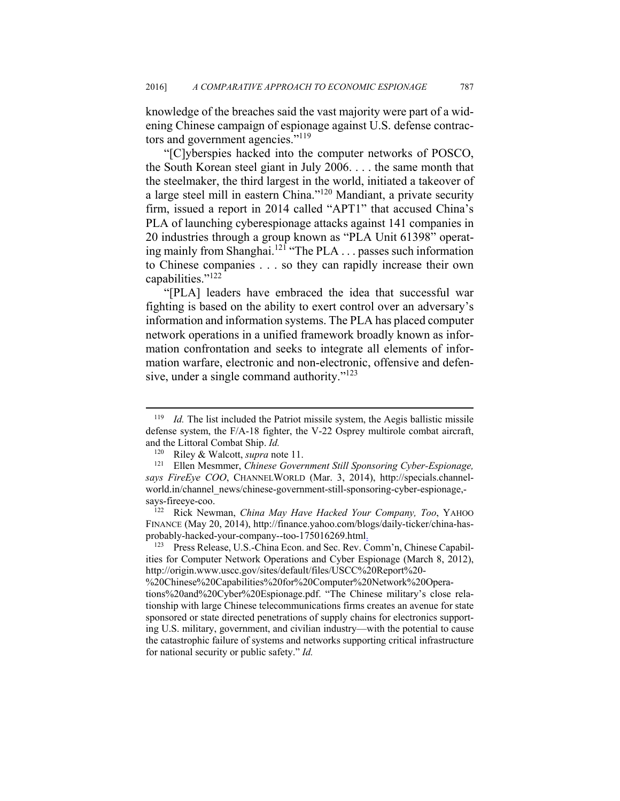knowledge of the breaches said the vast majority were part of a widening Chinese campaign of espionage against U.S. defense contractors and government agencies."<sup>119</sup>

"[C]yberspies hacked into the computer networks of POSCO, the South Korean steel giant in July 2006. . . . the same month that the steelmaker, the third largest in the world, initiated a takeover of a large steel mill in eastern China."120 Mandiant, a private security firm, issued a report in 2014 called "APT1" that accused China's PLA of launching cyberespionage attacks against 141 companies in 20 industries through a group known as "PLA Unit 61398" operating mainly from Shanghai.121 "The PLA . . . passes such information to Chinese companies . . . so they can rapidly increase their own capabilities."122

"[PLA] leaders have embraced the idea that successful war fighting is based on the ability to exert control over an adversary's information and information systems. The PLA has placed computer network operations in a unified framework broadly known as information confrontation and seeks to integrate all elements of information warfare, electronic and non-electronic, offensive and defensive, under a single command authority."<sup>123</sup>

<sup>119</sup> *Id.* The list included the Patriot missile system, the Aegis ballistic missile defense system, the F/A-18 fighter, the V-22 Osprey multirole combat aircraft, and the Littoral Combat Ship. *Id.* 

<sup>120</sup> Riley & Walcott, *supra* note 11.<br><sup>121</sup> Ellen Mesmmer, *Chinese Government Still Sponsoring Cyber-Espionage*, *says FireEye COO*, CHANNELWORLD (Mar. 3, 2014), http://specials.channelworld.in/channel\_news/chinese-government-still-sponsoring-cyber-espionage, says-fireeye-coo. 122 Rick Newman, *China May Have Hacked Your Company, Too*, YAHOO

FINANCE (May 20, 2014), http://finance.yahoo.com/blogs/daily-ticker/china-hasprobably-hacked-your-company--too-175016269.html.

<sup>123</sup> Press Release, U.S.-China Econ. and Sec. Rev. Comm'n, Chinese Capabilities for Computer Network Operations and Cyber Espionage (March 8, 2012), http://origin.www.uscc.gov/sites/default/files/USCC%20Report%20-

<sup>%20</sup>Chinese%20Capabilities%20for%20Computer%20Network%20Operations%20and%20Cyber%20Espionage.pdf. "The Chinese military's close relationship with large Chinese telecommunications firms creates an avenue for state sponsored or state directed penetrations of supply chains for electronics supporting U.S. military, government, and civilian industry—with the potential to cause the catastrophic failure of systems and networks supporting critical infrastructure for national security or public safety." *Id.*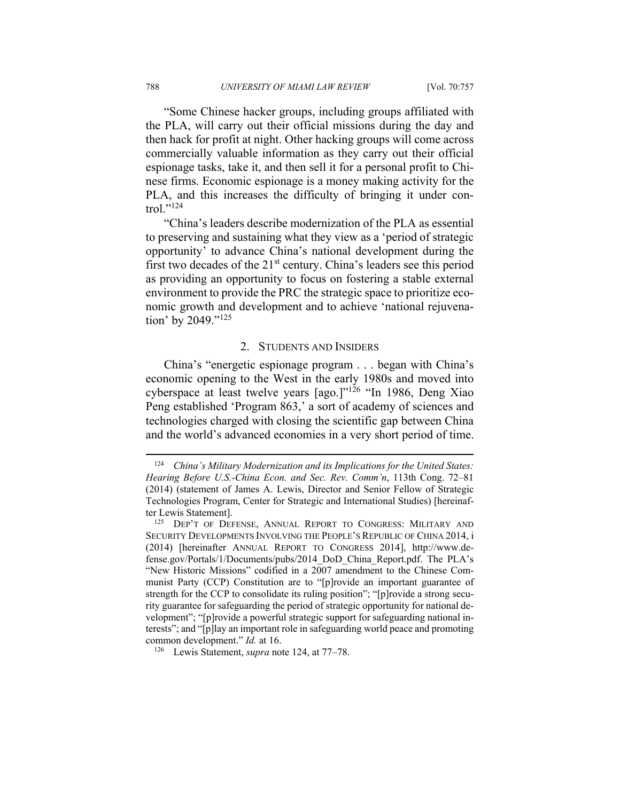"Some Chinese hacker groups, including groups affiliated with the PLA, will carry out their official missions during the day and then hack for profit at night. Other hacking groups will come across commercially valuable information as they carry out their official espionage tasks, take it, and then sell it for a personal profit to Chinese firms. Economic espionage is a money making activity for the PLA, and this increases the difficulty of bringing it under control." $^{124}$ 

"China's leaders describe modernization of the PLA as essential to preserving and sustaining what they view as a 'period of strategic opportunity' to advance China's national development during the first two decades of the  $21<sup>st</sup>$  century. China's leaders see this period as providing an opportunity to focus on fostering a stable external environment to provide the PRC the strategic space to prioritize economic growth and development and to achieve 'national rejuvenation' by 2049."<sup>125</sup>

#### 2. STUDENTS AND INSIDERS

China's "energetic espionage program . . . began with China's economic opening to the West in the early 1980s and moved into cyberspace at least twelve years [ago.]"126 "In 1986, Deng Xiao Peng established 'Program 863,' a sort of academy of sciences and technologies charged with closing the scientific gap between China and the world's advanced economies in a very short period of time.

<sup>124</sup> *China's Military Modernization and its Implications for the United States: Hearing Before U.S.-China Econ. and Sec. Rev. Comm'n*, 113th Cong. 72–81 (2014) (statement of James A. Lewis, Director and Senior Fellow of Strategic Technologies Program, Center for Strategic and International Studies) [hereinaf-

ter Lewis Statement].<br><sup>125</sup> DEP'T OF DEFENSE, ANNUAL REPORT TO CONGRESS: MILITARY AND SECURITY DEVELOPMENTS INVOLVING THE PEOPLE'S REPUBLIC OF CHINA 2014, i (2014) [hereinafter ANNUAL REPORT TO CONGRESS 2014], http://www.defense.gov/Portals/1/Documents/pubs/2014\_DoD\_China\_Report.pdf. The PLA's "New Historic Missions" codified in a 2007 amendment to the Chinese Communist Party (CCP) Constitution are to "[p]rovide an important guarantee of strength for the CCP to consolidate its ruling position"; "[p]rovide a strong security guarantee for safeguarding the period of strategic opportunity for national development"; "[p]rovide a powerful strategic support for safeguarding national interests"; and "[p]lay an important role in safeguarding world peace and promoting common development." *Id.* at 16.<br><sup>126</sup> Lewis Statement, *supra* note 124, at 77–78.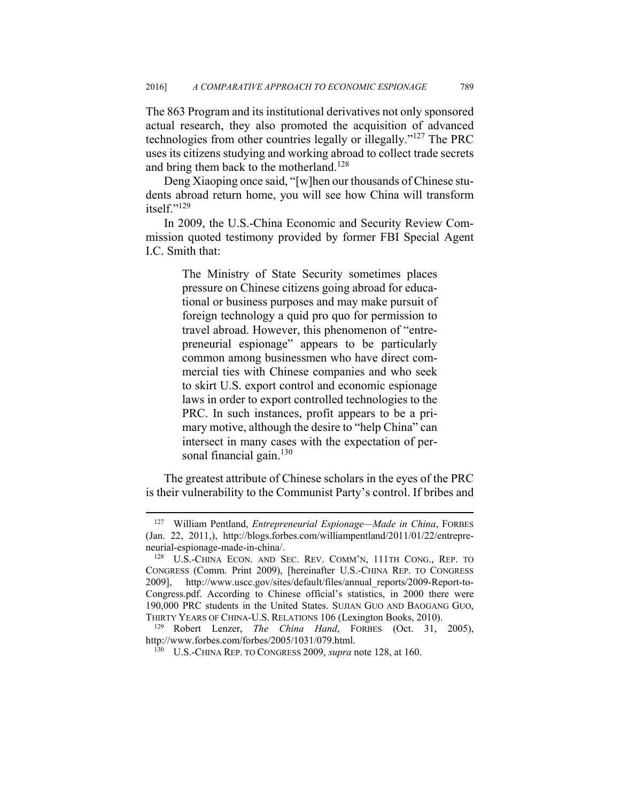The 863 Program and its institutional derivatives not only sponsored actual research, they also promoted the acquisition of advanced technologies from other countries legally or illegally."127 The PRC uses its citizens studying and working abroad to collect trade secrets and bring them back to the motherland.<sup>128</sup>

Deng Xiaoping once said, "[w]hen our thousands of Chinese students abroad return home, you will see how China will transform itself $"129$ 

In 2009, the U.S.-China Economic and Security Review Commission quoted testimony provided by former FBI Special Agent I.C. Smith that:

> The Ministry of State Security sometimes places pressure on Chinese citizens going abroad for educational or business purposes and may make pursuit of foreign technology a quid pro quo for permission to travel abroad. However, this phenomenon of "entrepreneurial espionage" appears to be particularly common among businessmen who have direct commercial ties with Chinese companies and who seek to skirt U.S. export control and economic espionage laws in order to export controlled technologies to the PRC. In such instances, profit appears to be a primary motive, although the desire to "help China" can intersect in many cases with the expectation of personal financial gain. $130$

The greatest attribute of Chinese scholars in the eyes of the PRC is their vulnerability to the Communist Party's control. If bribes and

1

<sup>127</sup> William Pentland, *Entrepreneurial Espionage—Made in China*, FORBES (Jan. 22, 2011,), http://blogs.forbes.com/williampentland/2011/01/22/entrepreneurial-espionage-made-in-china/.<br><sup>128</sup> U.S.-CHINA ECON. AND SEC. REV. COMM'N, 111TH CONG., REP. TO

CONGRESS (Comm. Print 2009), [hereinafter U.S.-CHINA REP. TO CONGRESS 2009], http://www.uscc.gov/sites/default/files/annual\_reports/2009-Report-to-Congress.pdf. According to Chinese official's statistics, in 2000 there were 190,000 PRC students in the United States. SUJIAN GUO AND BAOGANG GUO, THIRTY YEARS OF CHINA-U.S. RELATIONS 106 (Lexington Books, 2010). 129 Robert Lenzer, *The China Hand*, FORBES (Oct. 31, 2005),

http://www.forbes.com/forbes/2005/1031/079.html. 130 U.S.-CHINA REP. TO CONGRESS 2009, *supra* note 128, at 160.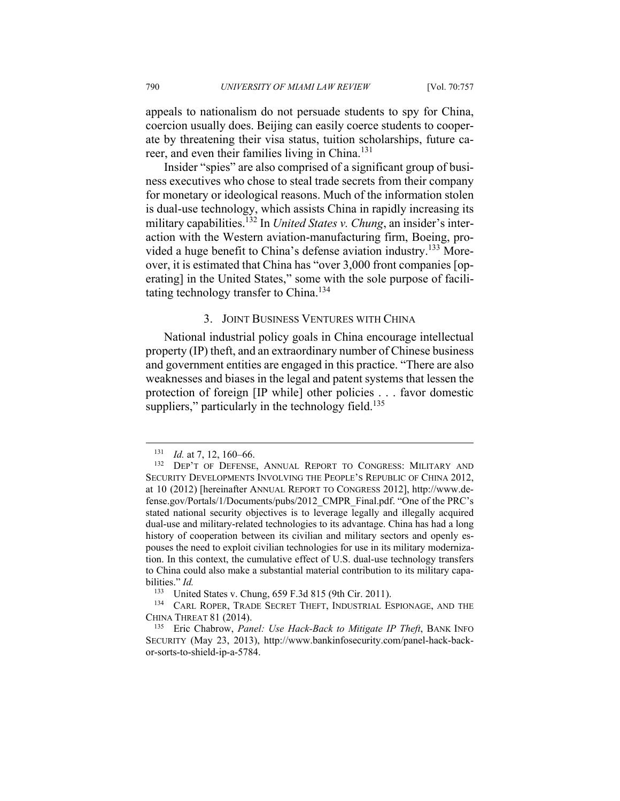appeals to nationalism do not persuade students to spy for China, coercion usually does. Beijing can easily coerce students to cooperate by threatening their visa status, tuition scholarships, future career, and even their families living in China.<sup>131</sup>

Insider "spies" are also comprised of a significant group of business executives who chose to steal trade secrets from their company for monetary or ideological reasons. Much of the information stolen is dual-use technology, which assists China in rapidly increasing its military capabilities.<sup>132</sup> In *United States v. Chung*, an insider's interaction with the Western aviation-manufacturing firm, Boeing, provided a huge benefit to China's defense aviation industry.133 Moreover, it is estimated that China has "over 3,000 front companies [operating] in the United States," some with the sole purpose of facilitating technology transfer to China.<sup>134</sup>

## 3. JOINT BUSINESS VENTURES WITH CHINA

National industrial policy goals in China encourage intellectual property (IP) theft, and an extraordinary number of Chinese business and government entities are engaged in this practice. "There are also weaknesses and biases in the legal and patent systems that lessen the protection of foreign [IP while] other policies . . . favor domestic suppliers," particularly in the technology field. $135$ 

<sup>131</sup> *Id.* at 7, 12, 160–66.<br><sup>132</sup> DEP'T OF DEFENSE, ANNUAL REPORT TO CONGRESS: MILITARY AND SECURITY DEVELOPMENTS INVOLVING THE PEOPLE'S REPUBLIC OF CHINA 2012, at 10 (2012) [hereinafter ANNUAL REPORT TO CONGRESS 2012], http://www.defense.gov/Portals/1/Documents/pubs/2012\_CMPR\_Final.pdf. "One of the PRC's stated national security objectives is to leverage legally and illegally acquired dual-use and military-related technologies to its advantage. China has had a long history of cooperation between its civilian and military sectors and openly espouses the need to exploit civilian technologies for use in its military modernization. In this context, the cumulative effect of U.S. dual-use technology transfers to China could also make a substantial material contribution to its military capabilities." *Id.*

<sup>&</sup>lt;sup>133</sup> United States v. Chung, 659 F.3d 815 (9th Cir. 2011).<br><sup>134</sup> CARL ROPER, TRADE SECRET THEFT, INDUSTRIAL ESPIONAGE, AND THE CHINA THREAT 81 (2014). 135 Eric Chabrow, *Panel: Use Hack-Back to Mitigate IP Theft*, BANK INFO

SECURITY (May 23, 2013), http://www.bankinfosecurity.com/panel-hack-backor-sorts-to-shield-ip-a-5784.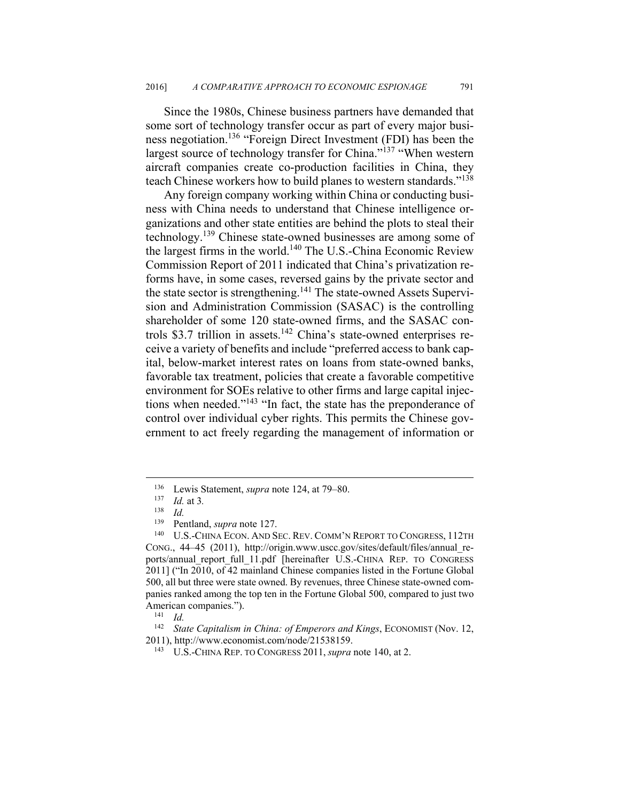Since the 1980s, Chinese business partners have demanded that some sort of technology transfer occur as part of every major business negotiation.136 "Foreign Direct Investment (FDI) has been the largest source of technology transfer for China."<sup>137</sup> "When western aircraft companies create co-production facilities in China, they teach Chinese workers how to build planes to western standards."138

Any foreign company working within China or conducting business with China needs to understand that Chinese intelligence organizations and other state entities are behind the plots to steal their technology.139 Chinese state-owned businesses are among some of the largest firms in the world.140 The U.S.-China Economic Review Commission Report of 2011 indicated that China's privatization reforms have, in some cases, reversed gains by the private sector and the state sector is strengthening.<sup>141</sup> The state-owned Assets Supervision and Administration Commission (SASAC) is the controlling shareholder of some 120 state-owned firms, and the SASAC controls \$3.7 trillion in assets.<sup>142</sup> China's state-owned enterprises receive a variety of benefits and include "preferred access to bank capital, below-market interest rates on loans from state-owned banks, favorable tax treatment, policies that create a favorable competitive environment for SOEs relative to other firms and large capital injections when needed."143 "In fact, the state has the preponderance of control over individual cyber rights. This permits the Chinese government to act freely regarding the management of information or

1

<sup>136</sup> Lewis Statement, *supra* note 124, at 79–80. 137 *Id.* at 3*.*

<sup>138</sup> *Id.*

<sup>&</sup>lt;sup>139</sup> Pentland, *supra* note 127.<br><sup>140</sup> U.S.-CHINA ECON. AND SEC. REV. COMM'N REPORT TO CONGRESS, 112TH CONG., 44–45 (2011), http://origin.www.uscc.gov/sites/default/files/annual\_reports/annual\_report\_full\_11.pdf [hereinafter U.S.-CHINA REP. TO CONGRESS 2011] ("In 2010, of 42 mainland Chinese companies listed in the Fortune Global 500, all but three were state owned. By revenues, three Chinese state-owned companies ranked among the top ten in the Fortune Global 500, compared to just two American companies.").<br><sup>141</sup> *Id.* 

<sup>142</sup> *State Capitalism in China: of Emperors and Kings*, ECONOMIST (Nov. 12, 2011), http://www.economist.com/node/21538159. 143 U.S.-CHINA REP. TO CONGRESS 2011, *supra* note 140, at 2.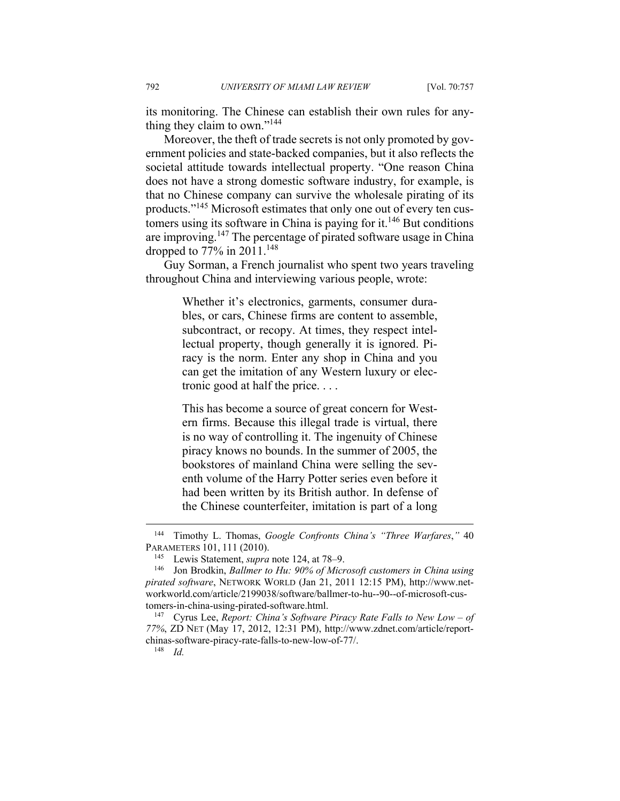its monitoring. The Chinese can establish their own rules for anything they claim to own."<sup>144</sup>

Moreover, the theft of trade secrets is not only promoted by government policies and state-backed companies, but it also reflects the societal attitude towards intellectual property. "One reason China does not have a strong domestic software industry, for example, is that no Chinese company can survive the wholesale pirating of its products."145 Microsoft estimates that only one out of every ten customers using its software in China is paying for it.<sup>146</sup> But conditions are improving.147 The percentage of pirated software usage in China dropped to 77% in  $2011.^{148}$ 

Guy Sorman, a French journalist who spent two years traveling throughout China and interviewing various people, wrote:

> Whether it's electronics, garments, consumer durables, or cars, Chinese firms are content to assemble, subcontract, or recopy. At times, they respect intellectual property, though generally it is ignored. Piracy is the norm. Enter any shop in China and you can get the imitation of any Western luxury or electronic good at half the price. . . .

> This has become a source of great concern for Western firms. Because this illegal trade is virtual, there is no way of controlling it. The ingenuity of Chinese piracy knows no bounds. In the summer of 2005, the bookstores of mainland China were selling the seventh volume of the Harry Potter series even before it had been written by its British author. In defense of the Chinese counterfeiter, imitation is part of a long

<sup>144</sup> Timothy L. Thomas, *Google Confronts China's "Three Warfares*,*"* 40 PARAMETERS 101, 111 (2010).<br><sup>145</sup> Lewis Statement, *supra* note 124, at 78–9.<br><sup>146</sup> Jon Brodkin, *Ballmer to Hu: 90% of Microsoft customers in China using* 

*pirated software*, NETWORK WORLD (Jan 21, 2011 12:15 PM), http://www.networkworld.com/article/2199038/software/ballmer-to-hu--90--of-microsoft-customers-in-china-using-pirated-software.html.<br><sup>147</sup> Cyrus Lee, *Report: China's Software Piracy Rate Falls to New Low – of* 

*<sup>77%</sup>*, ZD NET (May 17, 2012, 12:31 PM), http://www.zdnet.com/article/reportchinas-software-piracy-rate-falls-to-new-low-of-77/. 148 *Id.*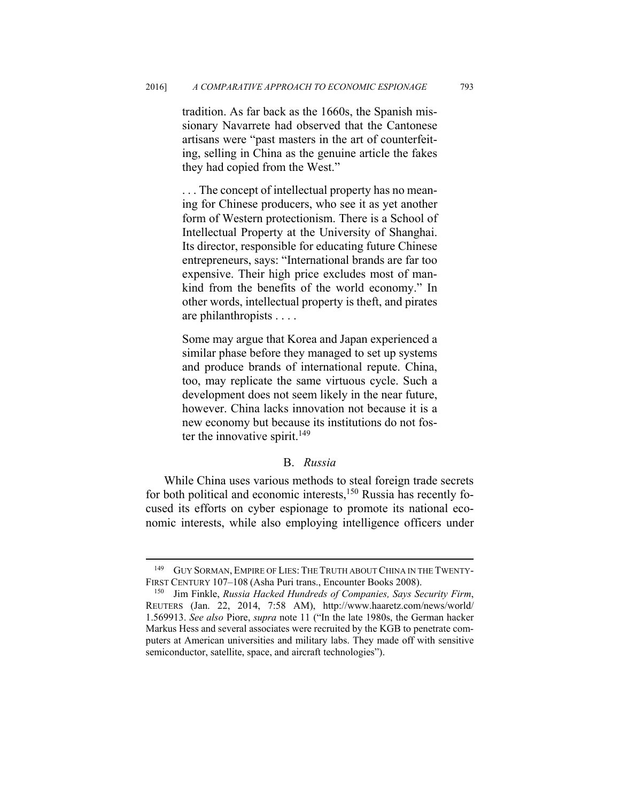tradition. As far back as the 1660s, the Spanish missionary Navarrete had observed that the Cantonese artisans were "past masters in the art of counterfeiting, selling in China as the genuine article the fakes they had copied from the West."

. . . The concept of intellectual property has no meaning for Chinese producers, who see it as yet another form of Western protectionism. There is a School of Intellectual Property at the University of Shanghai. Its director, responsible for educating future Chinese entrepreneurs, says: "International brands are far too expensive. Their high price excludes most of mankind from the benefits of the world economy." In other words, intellectual property is theft, and pirates are philanthropists . . . .

Some may argue that Korea and Japan experienced a similar phase before they managed to set up systems and produce brands of international repute. China, too, may replicate the same virtuous cycle. Such a development does not seem likely in the near future, however. China lacks innovation not because it is a new economy but because its institutions do not foster the innovative spirit.<sup>149</sup>

# B. *Russia*

While China uses various methods to steal foreign trade secrets for both political and economic interests,<sup>150</sup> Russia has recently focused its efforts on cyber espionage to promote its national economic interests, while also employing intelligence officers under

<sup>&</sup>lt;sup>149</sup> GUY SORMAN, EMPIRE OF LIES: THE TRUTH ABOUT CHINA IN THE TWENTY-FIRST CENTURY 107–108 (Asha Puri trans., Encounter Books 2008). 150 Jim Finkle, *Russia Hacked Hundreds of Companies, Says Security Firm*,

REUTERS (Jan. 22, 2014, 7:58 AM), http://www.haaretz.com/news/world/ 1.569913. *See also* Piore, *supra* note 11 ("In the late 1980s, the German hacker Markus Hess and several associates were recruited by the KGB to penetrate computers at American universities and military labs. They made off with sensitive semiconductor, satellite, space, and aircraft technologies").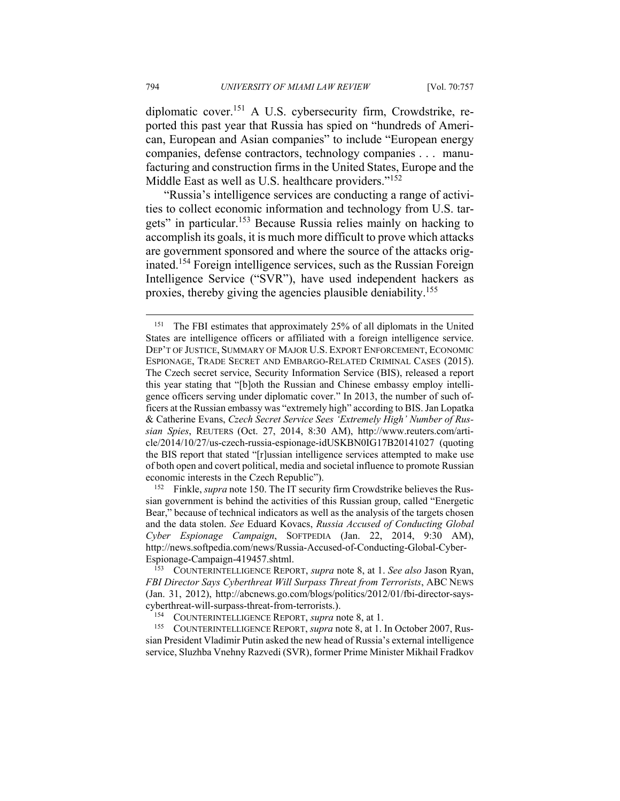diplomatic cover.151 A U.S. cybersecurity firm, Crowdstrike, reported this past year that Russia has spied on "hundreds of American, European and Asian companies" to include "European energy companies, defense contractors, technology companies . . . manufacturing and construction firms in the United States, Europe and the Middle East as well as U.S. healthcare providers."<sup>152</sup>

"Russia's intelligence services are conducting a range of activities to collect economic information and technology from U.S. targets" in particular.153 Because Russia relies mainly on hacking to accomplish its goals, it is much more difficult to prove which attacks are government sponsored and where the source of the attacks originated.154 Foreign intelligence services, such as the Russian Foreign Intelligence Service ("SVR"), have used independent hackers as proxies, thereby giving the agencies plausible deniability.155

sian government is behind the activities of this Russian group, called "Energetic Bear," because of technical indicators as well as the analysis of the targets chosen and the data stolen. *See* Eduard Kovacs, *Russia Accused of Conducting Global Cyber Espionage Campaign*, SOFTPEDIA (Jan. 22, 2014, 9:30 AM), http://news.softpedia.com/news/Russia-Accused-of-Conducting-Global-Cyber-

cyberthreat-will-surpass-threat-from-terrorists.).<br><sup>154</sup> COUNTERINTELLIGENCE REPORT, *supra* note 8, at 1. In October 2007, Rus-<br><sup>155</sup> COUNTERINTELLIGENCE REPORT, *supra* note 8, at 1. In October 2007, Russian President Vladimir Putin asked the new head of Russia's external intelligence service, Sluzhba Vnehny Razvedi (SVR), former Prime Minister Mikhail Fradkov

<sup>&</sup>lt;sup>151</sup> The FBI estimates that approximately 25% of all diplomats in the United States are intelligence officers or affiliated with a foreign intelligence service. DEP'T OF JUSTICE, SUMMARY OF MAJOR U.S. EXPORT ENFORCEMENT, ECONOMIC ESPIONAGE, TRADE SECRET AND EMBARGO-RELATED CRIMINAL CASES (2015). The Czech secret service, Security Information Service (BIS), released a report this year stating that "[b]oth the Russian and Chinese embassy employ intelligence officers serving under diplomatic cover." In 2013, the number of such officers at the Russian embassy was "extremely high" according to BIS. Jan Lopatka & Catherine Evans, *Czech Secret Service Sees 'Extremely High' Number of Russian Spies*, REUTERS (Oct. 27, 2014, 8:30 AM), http://www.reuters.com/article/2014/10/27/us-czech-russia-espionage-idUSKBN0IG17B20141027 (quoting the BIS report that stated "[r]ussian intelligence services attempted to make use of both open and covert political, media and societal influence to promote Russian economic interests in the Czech Republic").<br><sup>152</sup> Finkle, *supra* note 150. The IT security firm Crowdstrike believes the Rus-

Espionage-Campaign-419457.shtml. 153 COUNTERINTELLIGENCE REPORT, *supra* note 8, at 1. *See also* Jason Ryan, *FBI Director Says Cyberthreat Will Surpass Threat from Terrorists*, ABC NEWS (Jan. 31, 2012), http://abcnews.go.com/blogs/politics/2012/01/fbi-director-says-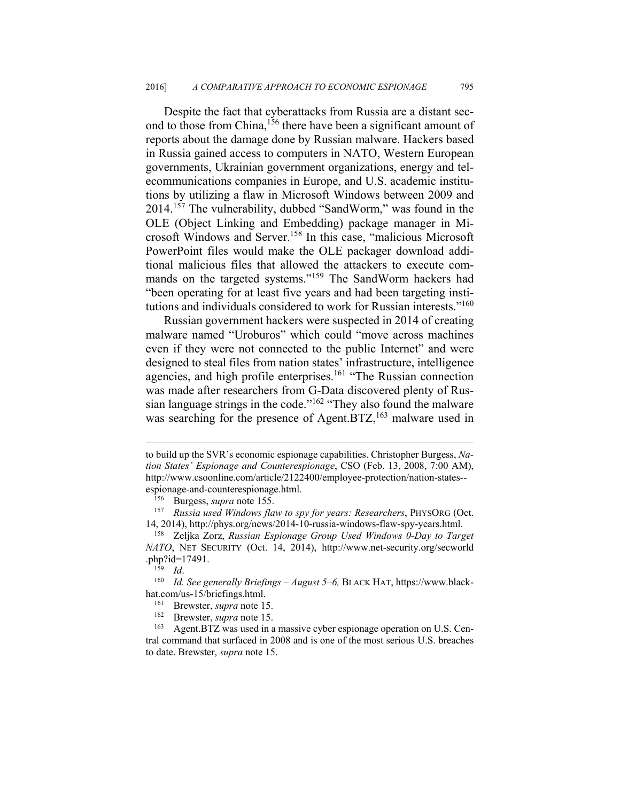Despite the fact that cyberattacks from Russia are a distant second to those from China,<sup>156</sup> there have been a significant amount of reports about the damage done by Russian malware. Hackers based in Russia gained access to computers in NATO, Western European governments, Ukrainian government organizations, energy and telecommunications companies in Europe, and U.S. academic institutions by utilizing a flaw in Microsoft Windows between 2009 and 2014.157 The vulnerability, dubbed "SandWorm," was found in the OLE (Object Linking and Embedding) package manager in Microsoft Windows and Server.158 In this case, "malicious Microsoft PowerPoint files would make the OLE packager download additional malicious files that allowed the attackers to execute commands on the targeted systems."159 The SandWorm hackers had "been operating for at least five years and had been targeting institutions and individuals considered to work for Russian interests."160

Russian government hackers were suspected in 2014 of creating malware named "Uroburos" which could "move across machines even if they were not connected to the public Internet" and were designed to steal files from nation states' infrastructure, intelligence agencies, and high profile enterprises.<sup>161</sup> "The Russian connection was made after researchers from G-Data discovered plenty of Russian language strings in the code."<sup>162</sup> "They also found the malware was searching for the presence of Agent.BTZ,<sup>163</sup> malware used in

to build up the SVR's economic espionage capabilities. Christopher Burgess, *Nation States' Espionage and Counterespionage*, CSO (Feb. 13, 2008, 7:00 AM), http://www.csoonline.com/article/2122400/employee-protection/nation-states- espionage-and-counterespionage.html.<br><sup>156</sup> Burgess, *supra* note 155.<br><sup>157</sup> Russia used Windows flaw to spy for years: Researchers, PHYSORG (Oct.

<sup>14, 2014),</sup> http://phys.org/news/2014-10-russia-windows-flaw-spy-years.html. 158 Zeljka Zorz, *Russian Espionage Group Used Windows 0-Day to Target* 

*NATO*, NET SECURITY (Oct. 14, 2014), http://www.net-security.org/secworld .php?id=17491. 159 *Id*. 160 *Id. See generally Briefings – August 5–6,* BLACK HAT, https://www.black-

hat.com/us-15/briefings.html.<br><sup>161</sup> Brewster, *supra* note 15.<br><sup>162</sup> Brewster, *supra* note 15.<br><sup>163</sup> Agent.BTZ was used in a massive cyber espionage operation on U.S. Cen-

tral command that surfaced in 2008 and is one of the most serious U.S. breaches to date. Brewster, *supra* note 15.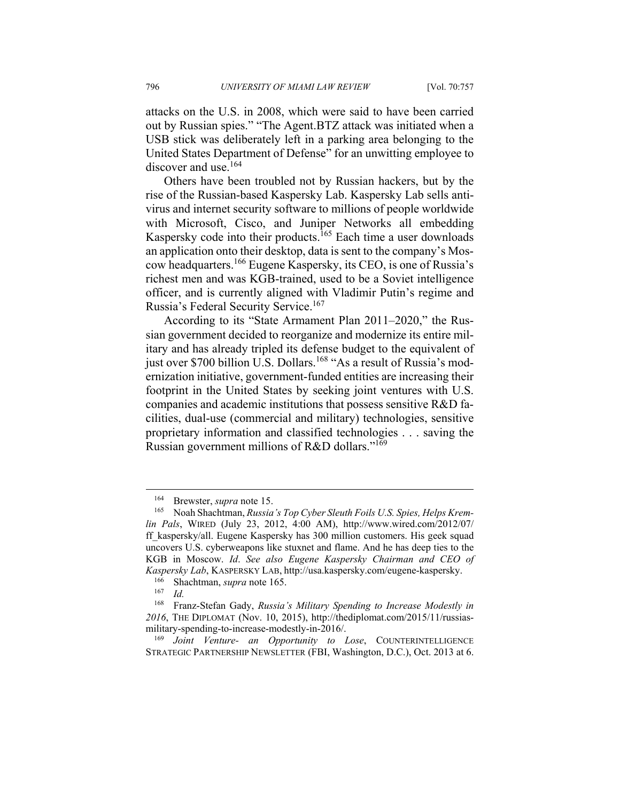attacks on the U.S. in 2008, which were said to have been carried out by Russian spies." "The Agent.BTZ attack was initiated when a USB stick was deliberately left in a parking area belonging to the United States Department of Defense" for an unwitting employee to discover and use.<sup>164</sup>

Others have been troubled not by Russian hackers, but by the rise of the Russian-based Kaspersky Lab. Kaspersky Lab sells antivirus and internet security software to millions of people worldwide with Microsoft, Cisco, and Juniper Networks all embedding Kaspersky code into their products.<sup>165</sup> Each time a user downloads an application onto their desktop, data is sent to the company's Moscow headquarters.166 Eugene Kaspersky, its CEO, is one of Russia's richest men and was KGB-trained, used to be a Soviet intelligence officer, and is currently aligned with Vladimir Putin's regime and Russia's Federal Security Service.<sup>167</sup>

According to its "State Armament Plan 2011–2020," the Russian government decided to reorganize and modernize its entire military and has already tripled its defense budget to the equivalent of just over \$700 billion U.S. Dollars.<sup>168</sup> "As a result of Russia's modernization initiative, government-funded entities are increasing their footprint in the United States by seeking joint ventures with U.S. companies and academic institutions that possess sensitive R&D facilities, dual-use (commercial and military) technologies, sensitive proprietary information and classified technologies . . . saving the Russian government millions of R&D dollars."<sup>169</sup>

<sup>&</sup>lt;sup>164</sup> Brewster, *supra* note 15.<br><sup>165</sup> Noah Shachtman, *Russia's Top Cyber Sleuth Foils U.S. Spies, Helps Kremlin Pals*, WIRED (July 23, 2012, 4:00 AM), http://www.wired.com/2012/07/ ff\_kaspersky/all. Eugene Kaspersky has 300 million customers. His geek squad uncovers U.S. cyberweapons like stuxnet and flame. And he has deep ties to the KGB in Moscow. *Id*. *See also Eugene Kaspersky Chairman and CEO of Kaspersky Lab*, KASPERSKY LAB, http://usa.kaspersky.com/eugene-kaspersky.<br><sup>166</sup> Shachtman, *supra* note 165.<br><sup>167</sup> Id.<br><sup>168</sup> Franz-Stefan Gady, *Russia's Military Spending to Increase Modestly* 

<sup>168</sup> Franz-Stefan Gady, *Russia's Military Spending to Increase Modestly in 2016*, THE DIPLOMAT (Nov. 10, 2015), http://thediplomat.com/2015/11/russiasmilitary-spending-to-increase-modestly-in-2016/. 169 *Joint Venture- an Opportunity to Lose*, COUNTERINTELLIGENCE

STRATEGIC PARTNERSHIP NEWSLETTER (FBI, Washington, D.C.), Oct. 2013 at 6.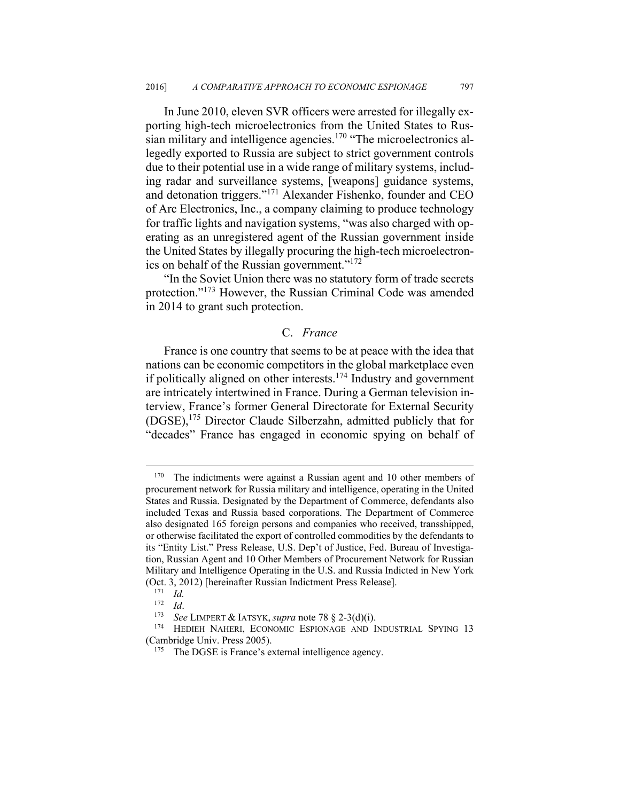In June 2010, eleven SVR officers were arrested for illegally exporting high-tech microelectronics from the United States to Russian military and intelligence agencies.<sup>170</sup> "The microelectronics allegedly exported to Russia are subject to strict government controls due to their potential use in a wide range of military systems, including radar and surveillance systems, [weapons] guidance systems, and detonation triggers."171 Alexander Fishenko, founder and CEO of Arc Electronics, Inc., a company claiming to produce technology for traffic lights and navigation systems, "was also charged with operating as an unregistered agent of the Russian government inside the United States by illegally procuring the high-tech microelectronics on behalf of the Russian government."172

"In the Soviet Union there was no statutory form of trade secrets protection."173 However, the Russian Criminal Code was amended in 2014 to grant such protection.

## C. *France*

France is one country that seems to be at peace with the idea that nations can be economic competitors in the global marketplace even if politically aligned on other interests.174 Industry and government are intricately intertwined in France. During a German television interview, France's former General Directorate for External Security (DGSE),175 Director Claude Silberzahn, admitted publicly that for "decades" France has engaged in economic spying on behalf of

<sup>&</sup>lt;sup>170</sup> The indictments were against a Russian agent and 10 other members of procurement network for Russia military and intelligence, operating in the United States and Russia. Designated by the Department of Commerce, defendants also included Texas and Russia based corporations. The Department of Commerce also designated 165 foreign persons and companies who received, transshipped, or otherwise facilitated the export of controlled commodities by the defendants to its "Entity List." Press Release, U.S. Dep't of Justice, Fed. Bureau of Investigation, Russian Agent and 10 Other Members of Procurement Network for Russian Military and Intelligence Operating in the U.S. and Russia Indicted in New York (Oct. 3, 2012) [hereinafter Russian Indictment Press Release]. 171 *Id.*

<sup>172</sup> *Id.*<br><sup>173</sup> See LIMPERT & IATSYK, *supra* note 78 § 2-3(d)(i).<br><sup>174</sup> HEDIEH NAHERI, ECONOMIC ESPIONAGE AND INDUSTRIAL SPYING 13 (Cambridge Univ. Press 2005).<br><sup>175</sup> The DGSE is France's external intelligence agency.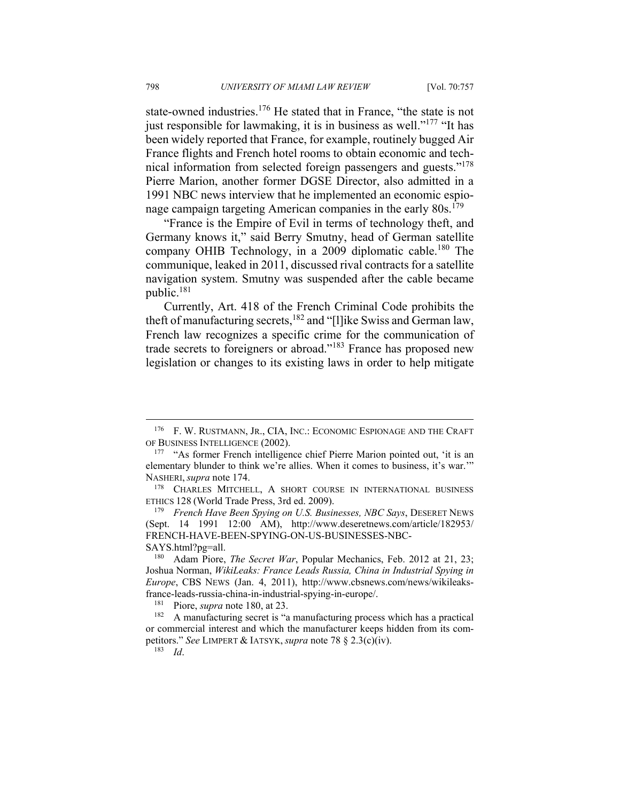state-owned industries.<sup>176</sup> He stated that in France, "the state is not just responsible for lawmaking, it is in business as well."<sup>177</sup> "It has been widely reported that France, for example, routinely bugged Air France flights and French hotel rooms to obtain economic and technical information from selected foreign passengers and guests."178 Pierre Marion, another former DGSE Director, also admitted in a 1991 NBC news interview that he implemented an economic espionage campaign targeting American companies in the early 80s.<sup>179</sup>

"France is the Empire of Evil in terms of technology theft, and Germany knows it," said Berry Smutny, head of German satellite company OHIB Technology, in a 2009 diplomatic cable.<sup>180</sup> The communique, leaked in 2011, discussed rival contracts for a satellite navigation system. Smutny was suspended after the cable became public.<sup>181</sup>

Currently, Art. 418 of the French Criminal Code prohibits the theft of manufacturing secrets,<sup>182</sup> and "[l]ike Swiss and German law, French law recognizes a specific crime for the communication of trade secrets to foreigners or abroad."183 France has proposed new legislation or changes to its existing laws in order to help mitigate

<sup>176</sup> F. W. RUSTMANN, JR., CIA, INC.: ECONOMIC ESPIONAGE AND THE CRAFT OF BUSINESS INTELLIGENCE (2002).<br><sup>177</sup> "As former French intelligence chief Pierre Marion pointed out, 'it is an

elementary blunder to think we're allies. When it comes to business, it's war.'" NASHERI, *supra* note 174.<br><sup>178</sup> CHARLES MITCHELL, A SHORT COURSE IN INTERNATIONAL BUSINESS

ETHICS 128 (World Trade Press, 3rd ed. 2009). 179 *French Have Been Spying on U.S. Businesses, NBC Says*, DESERET NEWS

<sup>(</sup>Sept. 14 1991 12:00 AM), http://www.deseretnews.com/article/182953/ FRENCH-HAVE-BEEN-SPYING-ON-US-BUSINESSES-NBC-

SAYS.html?pg=all. 180 Adam Piore, *The Secret War*, Popular Mechanics, Feb. 2012 at 21, 23; Joshua Norman, *WikiLeaks: France Leads Russia, China in Industrial Spying in Europe*, CBS NEWS (Jan. 4, 2011), http://www.cbsnews.com/news/wikileaksfrance-leads-russia-china-in-industrial-spying-in-europe/.<br><sup>181</sup> Piore, *supra* note 180, at 23.<br><sup>182</sup> A manufacturing secret is "a manufacturing process which has a practical

or commercial interest and which the manufacturer keeps hidden from its competitors." *See* LIMPERT & IATSYK, *supra* note 78 § 2.3(c)(iv). 183 *Id*.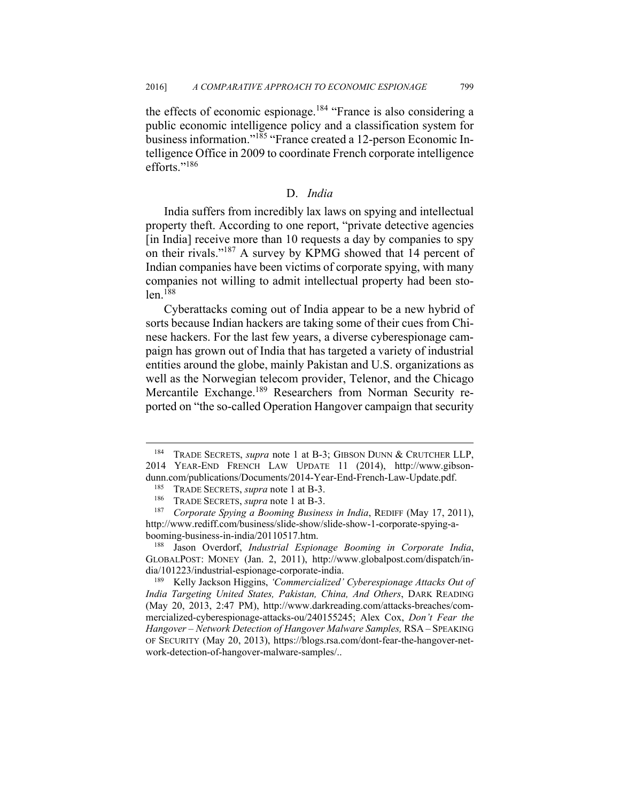the effects of economic espionage.<sup>184</sup> "France is also considering a public economic intelligence policy and a classification system for business information."185 "France created a 12-person Economic Intelligence Office in 2009 to coordinate French corporate intelligence efforts."186

## D. *India*

India suffers from incredibly lax laws on spying and intellectual property theft. According to one report, "private detective agencies [in India] receive more than 10 requests a day by companies to spy on their rivals."187 A survey by KPMG showed that 14 percent of Indian companies have been victims of corporate spying, with many companies not willing to admit intellectual property had been sto $len$ <sup>188</sup>

Cyberattacks coming out of India appear to be a new hybrid of sorts because Indian hackers are taking some of their cues from Chinese hackers. For the last few years, a diverse cyberespionage campaign has grown out of India that has targeted a variety of industrial entities around the globe, mainly Pakistan and U.S. organizations as well as the Norwegian telecom provider, Telenor, and the Chicago Mercantile Exchange.<sup>189</sup> Researchers from Norman Security reported on "the so-called Operation Hangover campaign that security

1

<sup>184</sup> TRADE SECRETS, *supra* note 1 at B-3; GIBSON DUNN & CRUTCHER LLP, 2014 YEAR-END FRENCH LAW UPDATE 11 (2014), http://www.gibsondunn.com/publications/Documents/2014-Year-End-French-Law-Update.pdf.<br><sup>185</sup> TRADE SECRETS, *supra* note 1 at B-3.<br><sup>186</sup> TRADE SECRETS, *supra* note 1 at B-3.<br><sup>187</sup> Corporate Spying a Booming Business in India, REDIFF (May 1

http://www.rediff.com/business/slide-show/slide-show-1-corporate-spying-abooming-business-in-india/20110517.htm. 188 Jason Overdorf, *Industrial Espionage Booming in Corporate India*,

GLOBALPOST: MONEY (Jan. 2, 2011), http://www.globalpost.com/dispatch/in-

dia/101223/industrial-espionage-corporate-india.<br><sup>189</sup> Kelly Jackson Higgins, *'Commercialized' Cyberespionage Attacks Out of India Targeting United States, Pakistan, China, And Others*, DARK READING (May 20, 2013, 2:47 PM), http://www.darkreading.com/attacks-breaches/commercialized-cyberespionage-attacks-ou/240155245; Alex Cox, *Don't Fear the Hangover – Network Detection of Hangover Malware Samples,* RSA – SPEAKING OF SECURITY (May 20, 2013), https://blogs.rsa.com/dont-fear-the-hangover-network-detection-of-hangover-malware-samples/..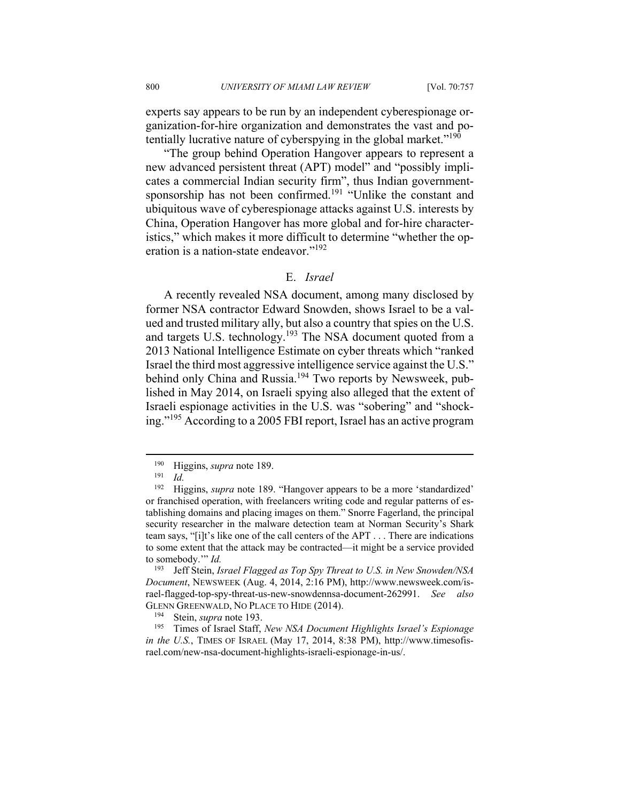experts say appears to be run by an independent cyberespionage organization-for-hire organization and demonstrates the vast and potentially lucrative nature of cyberspying in the global market."190

"The group behind Operation Hangover appears to represent a new advanced persistent threat (APT) model" and "possibly implicates a commercial Indian security firm", thus Indian governmentsponsorship has not been confirmed.<sup>191</sup> "Unlike the constant and ubiquitous wave of cyberespionage attacks against U.S. interests by China, Operation Hangover has more global and for-hire characteristics," which makes it more difficult to determine "whether the operation is a nation-state endeavor."192

## E. *Israel*

A recently revealed NSA document, among many disclosed by former NSA contractor Edward Snowden, shows Israel to be a valued and trusted military ally, but also a country that spies on the U.S. and targets U.S. technology.193 The NSA document quoted from a 2013 National Intelligence Estimate on cyber threats which "ranked Israel the third most aggressive intelligence service against the U.S." behind only China and Russia.<sup>194</sup> Two reports by Newsweek, published in May 2014, on Israeli spying also alleged that the extent of Israeli espionage activities in the U.S. was "sobering" and "shocking."195 According to a 2005 FBI report, Israel has an active program

 $\overline{a}$ 

193 Jeff Stein, *Israel Flagged as Top Spy Threat to U.S. in New Snowden/NSA Document*, NEWSWEEK (Aug. 4, 2014, 2:16 PM), http://www.newsweek.com/israel-flagged-top-spy-threat-us-new-snowdennsa-document-262991. *See also*

GLENN GREENWALD, NO PLACE TO HIDE (2014).<br><sup>194</sup> Stein, *supra* note 193.<br><sup>195</sup> Times of Israel Staff, *New NSA Document Highlights Israel's Espionage in the U.S.*, TIMES OF ISRAEL (May 17, 2014, 8:38 PM), http://www.timesofisrael.com/new-nsa-document-highlights-israeli-espionage-in-us/.

<sup>190</sup> Higgins, *supra* note 189. 191 *Id.*

<sup>192</sup> Higgins, *supra* note 189. "Hangover appears to be a more 'standardized' or franchised operation, with freelancers writing code and regular patterns of establishing domains and placing images on them." Snorre Fagerland, the principal security researcher in the malware detection team at Norman Security's Shark team says, "[i]t's like one of the call centers of the APT . . . There are indications to some extent that the attack may be contracted—it might be a service provided to somebody.'" *Id.*<br><sup>193</sup> Leff Stein *Is*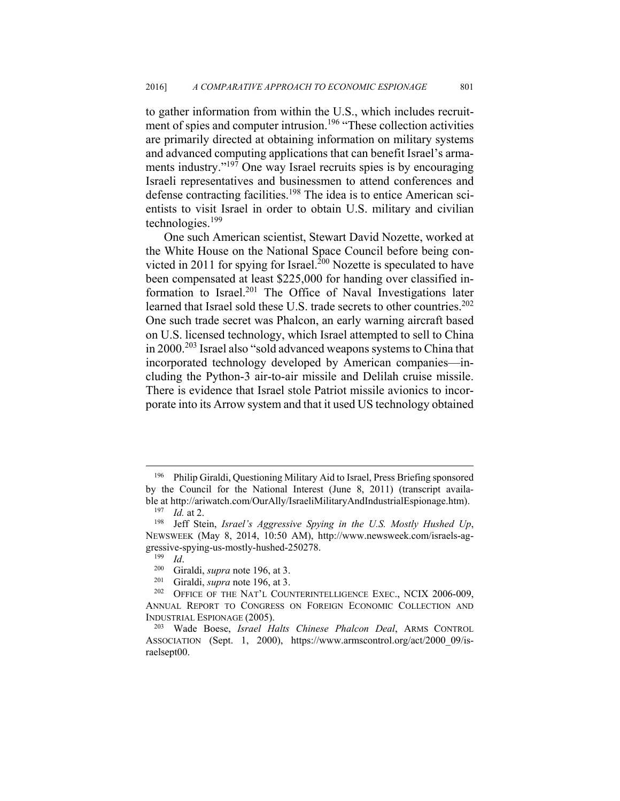to gather information from within the U.S., which includes recruitment of spies and computer intrusion.<sup>196</sup> "These collection activities are primarily directed at obtaining information on military systems and advanced computing applications that can benefit Israel's armaments industry."<sup>197</sup> One way Israel recruits spies is by encouraging Israeli representatives and businessmen to attend conferences and defense contracting facilities.<sup>198</sup> The idea is to entice American scientists to visit Israel in order to obtain U.S. military and civilian technologies.<sup>199</sup>

One such American scientist, Stewart David Nozette, worked at the White House on the National Space Council before being convicted in 2011 for spying for Israel.<sup>200</sup> Nozette is speculated to have been compensated at least \$225,000 for handing over classified information to Israel.<sup>201</sup> The Office of Naval Investigations later learned that Israel sold these U.S. trade secrets to other countries.<sup>202</sup> One such trade secret was Phalcon, an early warning aircraft based on U.S. licensed technology, which Israel attempted to sell to China in 2000.<sup>203</sup> Israel also "sold advanced weapons systems to China that incorporated technology developed by American companies—including the Python-3 air-to-air missile and Delilah cruise missile. There is evidence that Israel stole Patriot missile avionics to incorporate into its Arrow system and that it used US technology obtained

<sup>196</sup> Philip Giraldi, Questioning Military Aid to Israel, Press Briefing sponsored by the Council for the National Interest (June 8, 2011) (transcript available at http://ariwatch.com/OurAlly/IsraeliMilitaryAndIndustrialEspionage.htm).<br><sup>197</sup> *Id.* at 2. 198 Jeff Stein, *Israel's Aggressive Spying in the U.S. Mostly Hushed Up*,

NEWSWEEK (May 8, 2014, 10:50 AM), http://www.newsweek.com/israels-aggressive-spying-us-mostly-hushed-250278.<br><sup>199</sup> Id.<br><sup>200</sup> Giraldi, *supra* note 196, at 3.<br><sup>201</sup> GFICE OF THE NAT'L COUNTERINTELLIGENCE EXEC., NCIX 2006-009,

ANNUAL REPORT TO CONGRESS ON FOREIGN ECONOMIC COLLECTION AND

INDUSTRIAL ESPIONAGE (2005). 203 Wade Boese, *Israel Halts Chinese Phalcon Deal*, ARMS CONTROL ASSOCIATION (Sept. 1, 2000), https://www.armscontrol.org/act/2000\_09/israelsept00.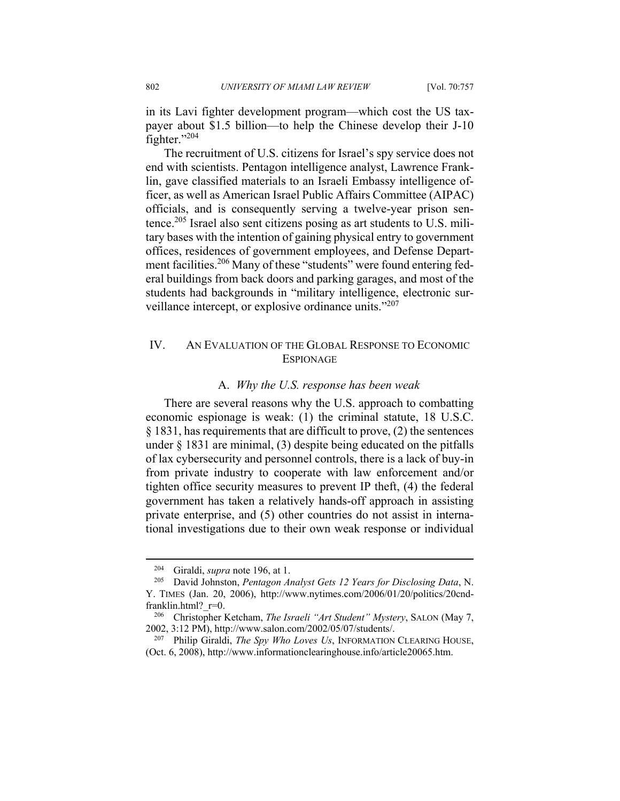in its Lavi fighter development program—which cost the US taxpayer about \$1.5 billion—to help the Chinese develop their J-10 fighter."204

The recruitment of U.S. citizens for Israel's spy service does not end with scientists. Pentagon intelligence analyst, Lawrence Franklin, gave classified materials to an Israeli Embassy intelligence officer, as well as American Israel Public Affairs Committee (AIPAC) officials, and is consequently serving a twelve-year prison sentence.<sup>205</sup> Israel also sent citizens posing as art students to U.S. military bases with the intention of gaining physical entry to government offices, residences of government employees, and Defense Department facilities.<sup>206</sup> Many of these "students" were found entering federal buildings from back doors and parking garages, and most of the students had backgrounds in "military intelligence, electronic surveillance intercept, or explosive ordinance units."<sup>207</sup>

# IV. AN EVALUATION OF THE GLOBAL RESPONSE TO ECONOMIC **ESPIONAGE**

## A. *Why the U.S. response has been weak*

There are several reasons why the U.S. approach to combatting economic espionage is weak: (1) the criminal statute, 18 U.S.C. § 1831, has requirements that are difficult to prove, (2) the sentences under § 1831 are minimal, (3) despite being educated on the pitfalls of lax cybersecurity and personnel controls, there is a lack of buy-in from private industry to cooperate with law enforcement and/or tighten office security measures to prevent IP theft, (4) the federal government has taken a relatively hands-off approach in assisting private enterprise, and (5) other countries do not assist in international investigations due to their own weak response or individual

<sup>204</sup> Giraldi, *supra* note 196, at 1. 205 David Johnston, *Pentagon Analyst Gets 12 Years for Disclosing Data*, N. Y. TIMES (Jan. 20, 2006), http://www.nytimes.com/2006/01/20/politics/20cndfranklin.html?\_r=0. 206 Christopher Ketcham, *The Israeli "Art Student" Mystery*, SALON (May 7,

<sup>2002, 3:12</sup> PM), http://www.salon.com/2002/05/07/students/. 207 Philip Giraldi, *The Spy Who Loves Us*, INFORMATION CLEARING HOUSE,

<sup>(</sup>Oct. 6, 2008), http://www.informationclearinghouse.info/article20065.htm.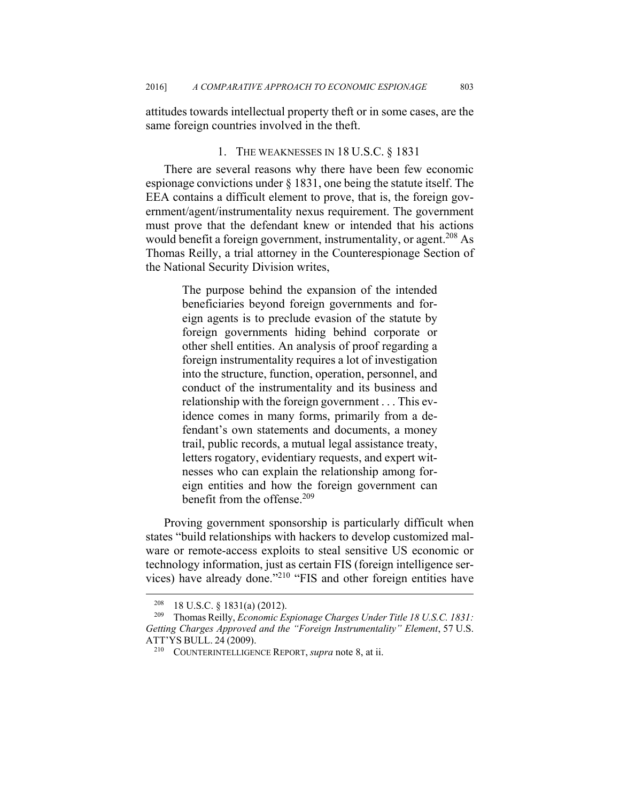attitudes towards intellectual property theft or in some cases, are the same foreign countries involved in the theft.

#### 1. THE WEAKNESSES IN 18 U.S.C. § 1831

There are several reasons why there have been few economic espionage convictions under § 1831, one being the statute itself. The EEA contains a difficult element to prove, that is, the foreign government/agent/instrumentality nexus requirement. The government must prove that the defendant knew or intended that his actions would benefit a foreign government, instrumentality, or agent.<sup>208</sup> As Thomas Reilly, a trial attorney in the Counterespionage Section of the National Security Division writes,

> The purpose behind the expansion of the intended beneficiaries beyond foreign governments and foreign agents is to preclude evasion of the statute by foreign governments hiding behind corporate or other shell entities. An analysis of proof regarding a foreign instrumentality requires a lot of investigation into the structure, function, operation, personnel, and conduct of the instrumentality and its business and relationship with the foreign government . . . This evidence comes in many forms, primarily from a defendant's own statements and documents, a money trail, public records, a mutual legal assistance treaty, letters rogatory, evidentiary requests, and expert witnesses who can explain the relationship among foreign entities and how the foreign government can benefit from the offense.<sup>209</sup>

Proving government sponsorship is particularly difficult when states "build relationships with hackers to develop customized malware or remote-access exploits to steal sensitive US economic or technology information, just as certain FIS (foreign intelligence services) have already done."210 "FIS and other foreign entities have

<sup>208 18</sup> U.S.C. § 1831(a) (2012). 209 Thomas Reilly, *Economic Espionage Charges Under Title 18 U.S.C. 1831: Getting Charges Approved and the "Foreign Instrumentality" Element*, 57 U.S. ATT'YS BULL. <sup>24</sup> (2009). 210 COUNTERINTELLIGENCE REPORT, *supra* note 8, at ii.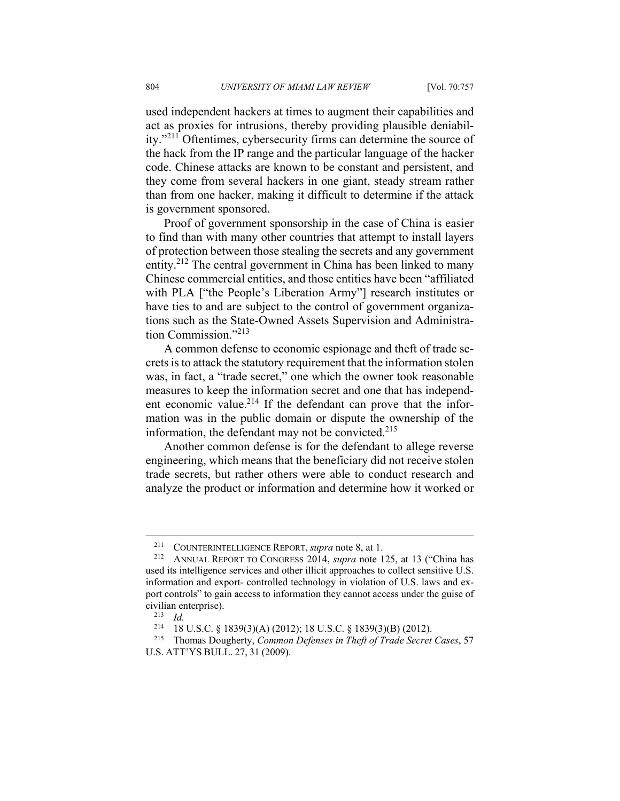used independent hackers at times to augment their capabilities and act as proxies for intrusions, thereby providing plausible deniability."211 Oftentimes, cybersecurity firms can determine the source of the hack from the IP range and the particular language of the hacker code. Chinese attacks are known to be constant and persistent, and they come from several hackers in one giant, steady stream rather than from one hacker, making it difficult to determine if the attack is government sponsored.

Proof of government sponsorship in the case of China is easier to find than with many other countries that attempt to install layers of protection between those stealing the secrets and any government entity.<sup>212</sup> The central government in China has been linked to many Chinese commercial entities, and those entities have been "affiliated with PLA ["the People's Liberation Army"] research institutes or have ties to and are subject to the control of government organizations such as the State-Owned Assets Supervision and Administration Commission."213

A common defense to economic espionage and theft of trade secrets is to attack the statutory requirement that the information stolen was, in fact, a "trade secret," one which the owner took reasonable measures to keep the information secret and one that has independent economic value.<sup>214</sup> If the defendant can prove that the information was in the public domain or dispute the ownership of the information, the defendant may not be convicted.<sup>215</sup>

Another common defense is for the defendant to allege reverse engineering, which means that the beneficiary did not receive stolen trade secrets, but rather others were able to conduct research and analyze the product or information and determine how it worked or

1

<sup>211</sup> COUNTERINTELLIGENCE REPORT, *supra* note 8, at 1. 212 ANNUAL REPORT TO CONGRESS 2014, *supra* note 125, at 13 ("China has used its intelligence services and other illicit approaches to collect sensitive U.S. information and export- controlled technology in violation of U.S. laws and export controls" to gain access to information they cannot access under the guise of civilian enterprise).<br><sup>213</sup> *Id.*<br><sup>214</sup> **18 U S C** 8

<sup>214 18</sup> U.S.C. § 1839(3)(A) (2012); 18 U.S.C. § 1839(3)(B) (2012). 215 Thomas Dougherty, *Common Defenses in Theft of Trade Secret Cases*, 57

U.S. ATT'YS BULL. 27, 31 (2009).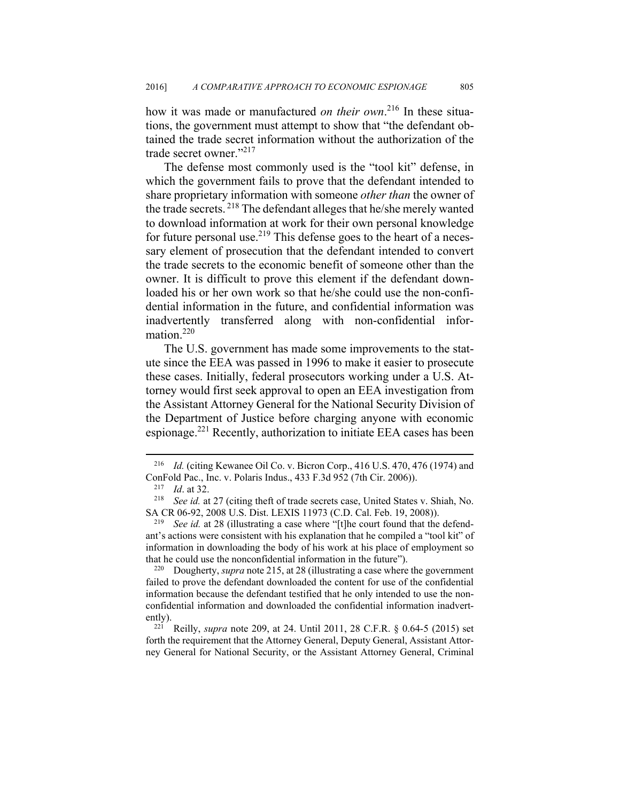how it was made or manufactured *on their own*. 216 In these situations, the government must attempt to show that "the defendant obtained the trade secret information without the authorization of the trade secret owner."217

The defense most commonly used is the "tool kit" defense, in which the government fails to prove that the defendant intended to share proprietary information with someone *other than* the owner of the trade secrets. 218 The defendant alleges that he/she merely wanted to download information at work for their own personal knowledge for future personal use.<sup>219</sup> This defense goes to the heart of a necessary element of prosecution that the defendant intended to convert the trade secrets to the economic benefit of someone other than the owner. It is difficult to prove this element if the defendant downloaded his or her own work so that he/she could use the non-confidential information in the future, and confidential information was inadvertently transferred along with non-confidential information.<sup>220</sup>

The U.S. government has made some improvements to the statute since the EEA was passed in 1996 to make it easier to prosecute these cases. Initially, federal prosecutors working under a U.S. Attorney would first seek approval to open an EEA investigation from the Assistant Attorney General for the National Security Division of the Department of Justice before charging anyone with economic espionage.221 Recently, authorization to initiate EEA cases has been

<sup>216</sup> *Id.* (citing Kewanee Oil Co. v. Bicron Corp., 416 U.S. 470, 476 (1974) and ConFold Pac., Inc. v. Polaris Indus., 433 F.3d 952 (7th Cir. 2006)). 217 *Id*. at 32. 218 *See id.* at 27 (citing theft of trade secrets case, United States v. Shiah, No.

SA CR 06-92, 2008 U.S. Dist. LEXIS 11973 (C.D. Cal. Feb. 19, 2008)).<br><sup>219</sup> See id. at 28 (illustrating a case where "[t]he court found that the defendant's actions were consistent with his explanation that he compiled a "tool kit" of information in downloading the body of his work at his place of employment so that he could use the nonconfidential information in the future").<br><sup>220</sup> Dougherty, *supra* note 215, at 28 (illustrating a case where the government

failed to prove the defendant downloaded the content for use of the confidential information because the defendant testified that he only intended to use the nonconfidential information and downloaded the confidential information inadvertently). 221 Reilly, *supra* note 209, at 24. Until 2011, 28 C.F.R. § 0.64-5 (2015) set

forth the requirement that the Attorney General, Deputy General, Assistant Attorney General for National Security, or the Assistant Attorney General, Criminal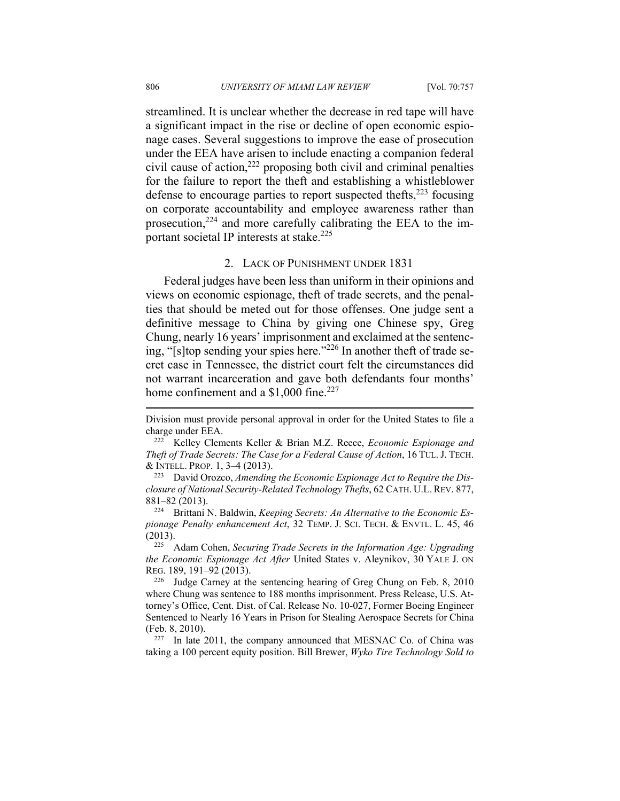streamlined. It is unclear whether the decrease in red tape will have a significant impact in the rise or decline of open economic espionage cases. Several suggestions to improve the ease of prosecution under the EEA have arisen to include enacting a companion federal civil cause of action, $^{222}$  proposing both civil and criminal penalties for the failure to report the theft and establishing a whistleblower defense to encourage parties to report suspected thefts, $2^{23}$  focusing on corporate accountability and employee awareness rather than prosecution, $2^{24}$  and more carefully calibrating the EEA to the important societal IP interests at stake.<sup>225</sup>

## 2. LACK OF PUNISHMENT UNDER 1831

Federal judges have been less than uniform in their opinions and views on economic espionage, theft of trade secrets, and the penalties that should be meted out for those offenses. One judge sent a definitive message to China by giving one Chinese spy, Greg Chung, nearly 16 years' imprisonment and exclaimed at the sentencing, "[s]top sending your spies here."226 In another theft of trade secret case in Tennessee, the district court felt the circumstances did not warrant incarceration and gave both defendants four months' home confinement and a  $$1,000$  fine.<sup>227</sup>

1

Division must provide personal approval in order for the United States to file a charge under EEA. 222 Kelley Clements Keller & Brian M.Z. Reece, *Economic Espionage and* 

*Theft of Trade Secrets: The Case for a Federal Cause of Action*, 16 TUL.J. TECH. & INTELL. PROP. 1, 3–4 (2013). 223 David Orozco, *Amending the Economic Espionage Act to Require the Dis-*

*closure of National Security-Related Technology Thefts*, 62 CATH. U.L. REV. 877, 881–82 (2013). 224 Brittani N. Baldwin, *Keeping Secrets: An Alternative to the Economic Es-*

*pionage Penalty enhancement Act*, 32 TEMP. J. SCI. TECH. & ENVTL. L. 45, 46 (2013). 225 Adam Cohen, *Securing Trade Secrets in the Information Age: Upgrading* 

*the Economic Espionage Act After* United States v. Aleynikov, 30 YALE J. ON REG. 189, 191–92 (2013). 226 Judge Carney at the sentencing hearing of Greg Chung on Feb. 8, 2010

where Chung was sentence to 188 months imprisonment. Press Release, U.S. Attorney's Office, Cent. Dist. of Cal. Release No. 10-027, Former Boeing Engineer Sentenced to Nearly 16 Years in Prison for Stealing Aerospace Secrets for China (Feb. 8, 2010).<br><sup>227</sup> In late 2011, the company announced that MESNAC Co. of China was

taking a 100 percent equity position. Bill Brewer, *Wyko Tire Technology Sold to*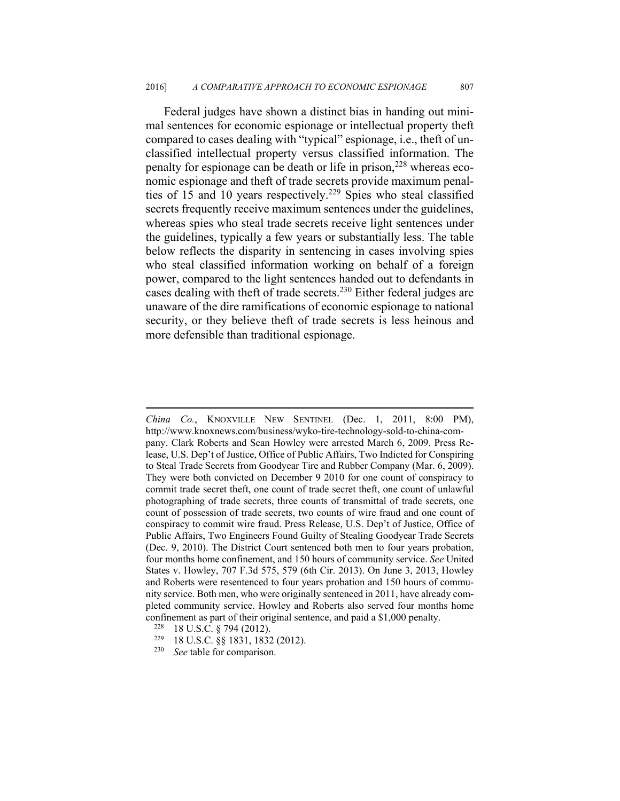Federal judges have shown a distinct bias in handing out minimal sentences for economic espionage or intellectual property theft compared to cases dealing with "typical" espionage, i.e., theft of unclassified intellectual property versus classified information. The penalty for espionage can be death or life in prison,  $228$  whereas economic espionage and theft of trade secrets provide maximum penalties of 15 and 10 years respectively.<sup>229</sup> Spies who steal classified secrets frequently receive maximum sentences under the guidelines, whereas spies who steal trade secrets receive light sentences under the guidelines, typically a few years or substantially less. The table below reflects the disparity in sentencing in cases involving spies who steal classified information working on behalf of a foreign power, compared to the light sentences handed out to defendants in cases dealing with theft of trade secrets.<sup>230</sup> Either federal judges are unaware of the dire ramifications of economic espionage to national security, or they believe theft of trade secrets is less heinous and more defensible than traditional espionage.

*China Co.*, KNOXVILLE NEW SENTINEL (Dec. 1, 2011, 8:00 PM), http://www.knoxnews.com/business/wyko-tire-technology-sold-to-china-company. Clark Roberts and Sean Howley were arrested March 6, 2009. Press Release, U.S. Dep't of Justice, Office of Public Affairs, Two Indicted for Conspiring to Steal Trade Secrets from Goodyear Tire and Rubber Company (Mar. 6, 2009). They were both convicted on December 9 2010 for one count of conspiracy to commit trade secret theft, one count of trade secret theft, one count of unlawful photographing of trade secrets, three counts of transmittal of trade secrets, one count of possession of trade secrets, two counts of wire fraud and one count of conspiracy to commit wire fraud. Press Release, U.S. Dep't of Justice, Office of Public Affairs, Two Engineers Found Guilty of Stealing Goodyear Trade Secrets (Dec. 9, 2010). The District Court sentenced both men to four years probation, four months home confinement, and 150 hours of community service. *See* United States v. Howley, 707 F.3d 575, 579 (6th Cir. 2013). On June 3, 2013, Howley and Roberts were resentenced to four years probation and 150 hours of community service. Both men, who were originally sentenced in 2011, have already completed community service. Howley and Roberts also served four months home confinement as part of their original sentence, and paid a \$1,000 penalty.<br><sup>228</sup> 18 U.S.C. § 794 (2012).<br><sup>229</sup> 18 U.S.C. §§ 1831, 1832 (2012).<br><sup>230</sup> *See* table for comparison.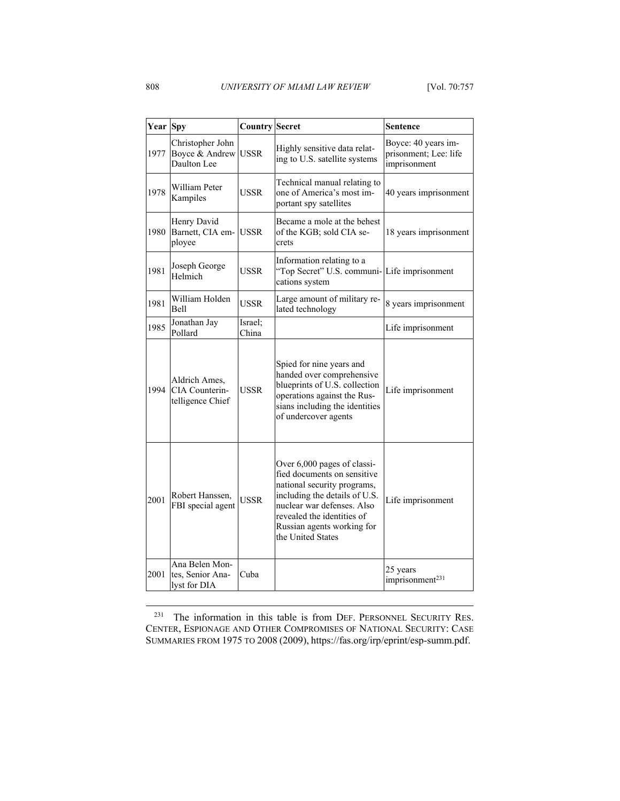| <b>Year</b> Spy |                                                     | <b>Country Secret</b> |                                                                                                                                                                                                                                           | <b>Sentence</b>                                              |
|-----------------|-----------------------------------------------------|-----------------------|-------------------------------------------------------------------------------------------------------------------------------------------------------------------------------------------------------------------------------------------|--------------------------------------------------------------|
| 1977            | Christopher John<br>Boyce & Andrew<br>Daulton Lee   | <b>USSR</b>           | Highly sensitive data relat-<br>ing to U.S. satellite systems                                                                                                                                                                             | Boyce: 40 years im-<br>prisonment; Lee: life<br>imprisonment |
| 1978            | William Peter<br>Kampiles                           | <b>USSR</b>           | Technical manual relating to<br>one of America's most im-<br>portant spy satellites                                                                                                                                                       | 40 years imprisonment                                        |
| 1980            | Henry David<br>Barnett, CIA em-<br>ployee           | <b>USSR</b>           | Became a mole at the behest<br>of the KGB; sold CIA se-<br>crets                                                                                                                                                                          | 18 years imprisonment                                        |
| 1981            | Joseph George<br>Helmich                            | USSR                  | Information relating to a<br>"Top Secret" U.S. communi-Life imprisonment<br>cations system                                                                                                                                                |                                                              |
| 1981            | William Holden<br>Bell                              | USSR                  | Large amount of military re-<br>lated technology                                                                                                                                                                                          | 8 years imprisonment                                         |
| 1985            | Jonathan Jay<br>Pollard                             | Israel;<br>China      |                                                                                                                                                                                                                                           | Life imprisonment                                            |
| 1994            | Aldrich Ames.<br>CIA Counterin-<br>telligence Chief | <b>USSR</b>           | Spied for nine years and<br>handed over comprehensive<br>blueprints of U.S. collection<br>operations against the Rus-<br>sians including the identities<br>of undercover agents                                                           | Life imprisonment                                            |
| 2001            | Robert Hanssen,<br>FBI special agent                | USSR                  | Over 6,000 pages of classi-<br>fied documents on sensitive<br>national security programs,<br>including the details of U.S.<br>nuclear war defenses. Also<br>revealed the identities of<br>Russian agents working for<br>the United States | Life imprisonment                                            |
| 2001            | Ana Belen Mon-<br>tes, Senior Ana-<br>lyst for DIA  | Cuba                  |                                                                                                                                                                                                                                           | 25 years<br>imprisonment <sup>231</sup>                      |

<sup>231</sup> The information in this table is from DEF. PERSONNEL SECURITY RES. CENTER, ESPIONAGE AND OTHER COMPROMISES OF NATIONAL SECURITY: CASE SUMMARIES FROM 1975 TO 2008 (2009), https://fas.org/irp/eprint/esp-summ.pdf.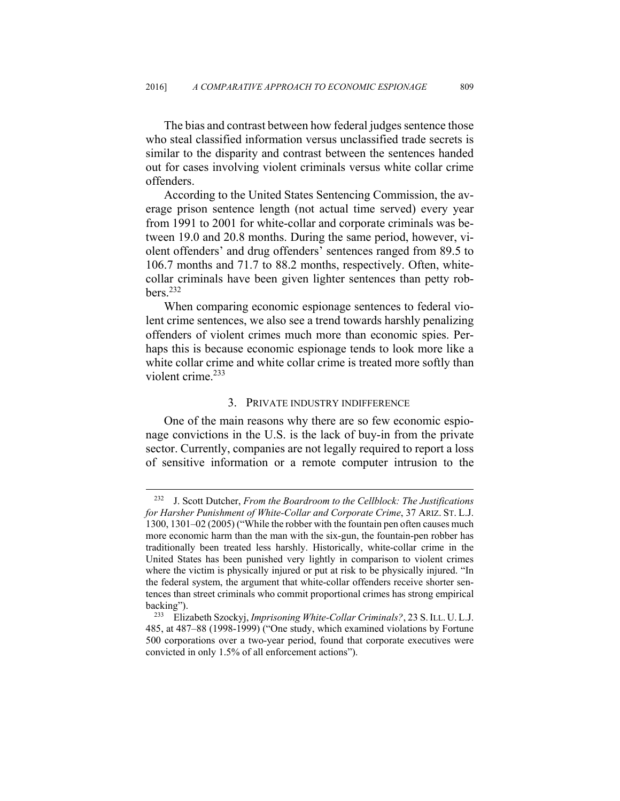The bias and contrast between how federal judges sentence those who steal classified information versus unclassified trade secrets is similar to the disparity and contrast between the sentences handed out for cases involving violent criminals versus white collar crime offenders.

According to the United States Sentencing Commission, the average prison sentence length (not actual time served) every year from 1991 to 2001 for white-collar and corporate criminals was between 19.0 and 20.8 months. During the same period, however, violent offenders' and drug offenders' sentences ranged from 89.5 to 106.7 months and 71.7 to 88.2 months, respectively. Often, whitecollar criminals have been given lighter sentences than petty rob $bers.<sup>232</sup>$ 

When comparing economic espionage sentences to federal violent crime sentences, we also see a trend towards harshly penalizing offenders of violent crimes much more than economic spies. Perhaps this is because economic espionage tends to look more like a white collar crime and white collar crime is treated more softly than violent crime. $233$ 

#### 3. PRIVATE INDUSTRY INDIFFERENCE

One of the main reasons why there are so few economic espionage convictions in the U.S. is the lack of buy-in from the private sector. Currently, companies are not legally required to report a loss of sensitive information or a remote computer intrusion to the

<sup>232</sup> J. Scott Dutcher, *From the Boardroom to the Cellblock: The Justifications for Harsher Punishment of White-Collar and Corporate Crime*, 37 ARIZ. ST. L.J. 1300, 1301–02 (2005) ("While the robber with the fountain pen often causes much more economic harm than the man with the six-gun, the fountain-pen robber has traditionally been treated less harshly. Historically, white-collar crime in the United States has been punished very lightly in comparison to violent crimes where the victim is physically injured or put at risk to be physically injured. "In the federal system, the argument that white-collar offenders receive shorter sentences than street criminals who commit proportional crimes has strong empirical backing"). 233 Elizabeth Szockyj, *Imprisoning White-Collar Criminals?*, 23 S.ILL. U. L.J.

<sup>485,</sup> at 487–88 (1998-1999) ("One study, which examined violations by Fortune 500 corporations over a two-year period, found that corporate executives were convicted in only 1.5% of all enforcement actions").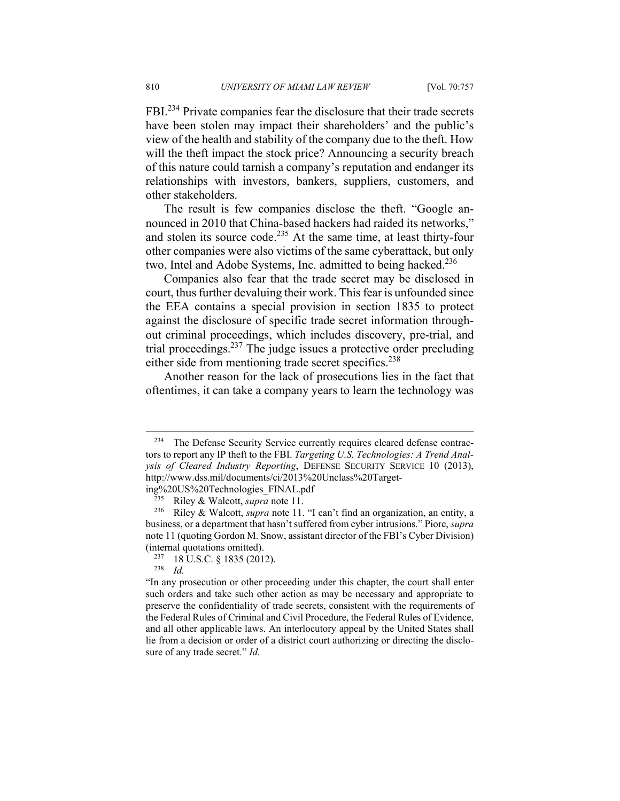FBI.234 Private companies fear the disclosure that their trade secrets have been stolen may impact their shareholders' and the public's view of the health and stability of the company due to the theft. How will the theft impact the stock price? Announcing a security breach of this nature could tarnish a company's reputation and endanger its relationships with investors, bankers, suppliers, customers, and other stakeholders.

The result is few companies disclose the theft. "Google announced in 2010 that China-based hackers had raided its networks," and stolen its source code.<sup>235</sup> At the same time, at least thirty-four other companies were also victims of the same cyberattack, but only two, Intel and Adobe Systems, Inc. admitted to being hacked.<sup>236</sup>

Companies also fear that the trade secret may be disclosed in court, thus further devaluing their work. This fear is unfounded since the EEA contains a special provision in section 1835 to protect against the disclosure of specific trade secret information throughout criminal proceedings, which includes discovery, pre-trial, and trial proceedings.237 The judge issues a protective order precluding either side from mentioning trade secret specifics.<sup>238</sup>

Another reason for the lack of prosecutions lies in the fact that oftentimes, it can take a company years to learn the technology was

<sup>&</sup>lt;sup>234</sup> The Defense Security Service currently requires cleared defense contractors to report any IP theft to the FBI. *Targeting U.S. Technologies: A Trend Analysis of Cleared Industry Reporting*, DEFENSE SECURITY SERVICE 10 (2013), http://www.dss.mil/documents/ci/2013%20Unclass%20Target-

ing%20US%20Technologies\_FINAL.pdf 235 Riley & Walcott, *supra* note 11. 236 Riley & Walcott, *supra* note 11. "I can't find an organization, an entity, a business, or a department that hasn't suffered from cyber intrusions." Piore, *supra*  note 11 (quoting Gordon M. Snow, assistant director of the FBI's Cyber Division) (internal quotations omitted). 237 18 U.S.C. § 1835 (2012). 238 *Id.*

<sup>&</sup>quot;In any prosecution or other proceeding under this chapter, the court shall enter such orders and take such other action as may be necessary and appropriate to preserve the confidentiality of trade secrets, consistent with the requirements of the Federal Rules of Criminal and Civil Procedure, the Federal Rules of Evidence, and all other applicable laws. An interlocutory appeal by the United States shall lie from a decision or order of a district court authorizing or directing the disclosure of any trade secret." *Id.*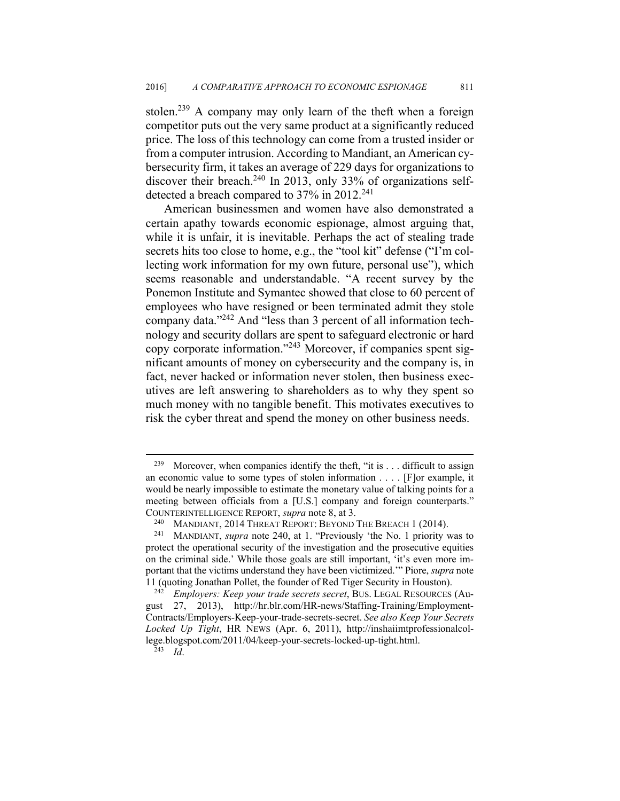stolen.<sup>239</sup> A company may only learn of the theft when a foreign competitor puts out the very same product at a significantly reduced price. The loss of this technology can come from a trusted insider or from a computer intrusion. According to Mandiant, an American cybersecurity firm, it takes an average of 229 days for organizations to discover their breach.<sup>240</sup> In 2013, only 33% of organizations selfdetected a breach compared to 37% in 2012.<sup>241</sup>

American businessmen and women have also demonstrated a certain apathy towards economic espionage, almost arguing that, while it is unfair, it is inevitable. Perhaps the act of stealing trade secrets hits too close to home, e.g., the "tool kit" defense ("I'm collecting work information for my own future, personal use"), which seems reasonable and understandable. "A recent survey by the Ponemon Institute and Symantec showed that close to 60 percent of employees who have resigned or been terminated admit they stole company data."242 And "less than 3 percent of all information technology and security dollars are spent to safeguard electronic or hard copy corporate information."243 Moreover, if companies spent significant amounts of money on cybersecurity and the company is, in fact, never hacked or information never stolen, then business executives are left answering to shareholders as to why they spent so much money with no tangible benefit. This motivates executives to risk the cyber threat and spend the money on other business needs.

<sup>&</sup>lt;sup>239</sup> Moreover, when companies identify the theft, "it is  $\dots$  difficult to assign an economic value to some types of stolen information . . . . [F]or example, it would be nearly impossible to estimate the monetary value of talking points for a meeting between officials from a [U.S.] company and foreign counterparts." COUNTERINTELLIGENCE REPORT, *supra* note 8, at 3. 240 MANDIANT, 2014 THREAT REPORT: BEYOND THE BREACH 1 (2014). 241 MANDIANT, *supra* note 240, at 1. "Previously 'the No. 1 priority was to

protect the operational security of the investigation and the prosecutive equities on the criminal side.' While those goals are still important, 'it's even more important that the victims understand they have been victimized.'" Piore, *supra* note 11 (quoting Jonathan Pollet, the founder of Red Tiger Security in Houston). 242 *Employers: Keep your trade secrets secret*, BUS. LEGAL RESOURCES (Au-

gust 27, 2013), http://hr.blr.com/HR-news/Staffing-Training/Employment-Contracts/Employers-Keep-your-trade-secrets-secret. *See also Keep Your Secrets Locked Up Tight*, HR NEWS (Apr. 6, 2011), http://inshaiimtprofessionalcollege.blogspot.com/2011/04/keep-your-secrets-locked-up-tight.html. 243 *Id*.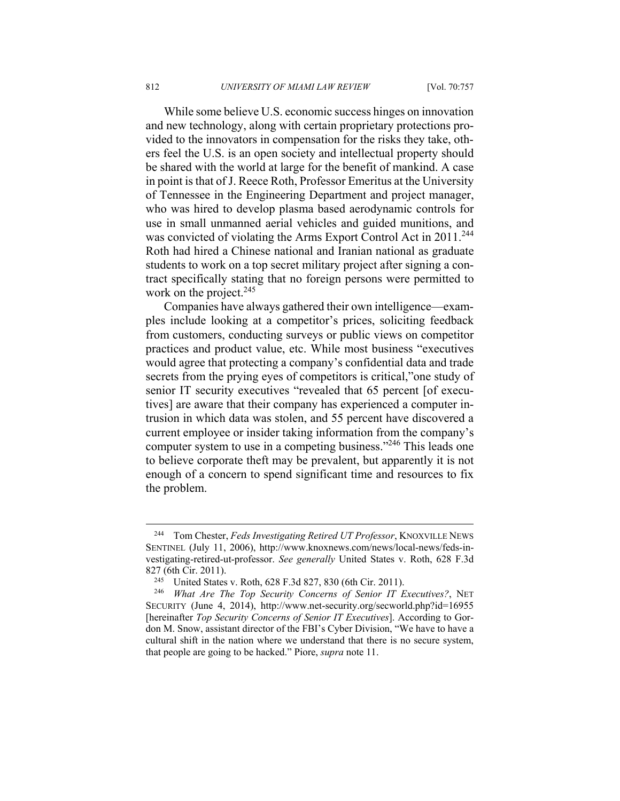While some believe U.S. economic success hinges on innovation and new technology, along with certain proprietary protections provided to the innovators in compensation for the risks they take, others feel the U.S. is an open society and intellectual property should be shared with the world at large for the benefit of mankind. A case in point is that of J. Reece Roth, Professor Emeritus at the University of Tennessee in the Engineering Department and project manager, who was hired to develop plasma based aerodynamic controls for use in small unmanned aerial vehicles and guided munitions, and was convicted of violating the Arms Export Control Act in 2011.<sup>244</sup> Roth had hired a Chinese national and Iranian national as graduate students to work on a top secret military project after signing a contract specifically stating that no foreign persons were permitted to work on the project. $245$ 

Companies have always gathered their own intelligence—examples include looking at a competitor's prices, soliciting feedback from customers, conducting surveys or public views on competitor practices and product value, etc. While most business "executives would agree that protecting a company's confidential data and trade secrets from the prying eyes of competitors is critical,"one study of senior IT security executives "revealed that 65 percent [of executives] are aware that their company has experienced a computer intrusion in which data was stolen, and 55 percent have discovered a current employee or insider taking information from the company's computer system to use in a competing business."<sup>246</sup> This leads one to believe corporate theft may be prevalent, but apparently it is not enough of a concern to spend significant time and resources to fix the problem.

<sup>244</sup> Tom Chester, *Feds Investigating Retired UT Professor*, KNOXVILLE NEWS SENTINEL (July 11, 2006), http://www.knoxnews.com/news/local-news/feds-investigating-retired-ut-professor. *See generally* United States v. Roth, 628 F.3d

<sup>827 (6</sup>th Cir. 2011). 245 United States v. Roth, 628 F.3d 827, 830 (6th Cir. 2011). 246 *What Are The Top Security Concerns of Senior IT Executives?*, NET SECURITY (June 4, 2014), http://www.net-security.org/secworld.php?id=16955 [hereinafter *Top Security Concerns of Senior IT Executives*]. According to Gordon M. Snow, assistant director of the FBI's Cyber Division, "We have to have a cultural shift in the nation where we understand that there is no secure system, that people are going to be hacked." Piore, *supra* note 11.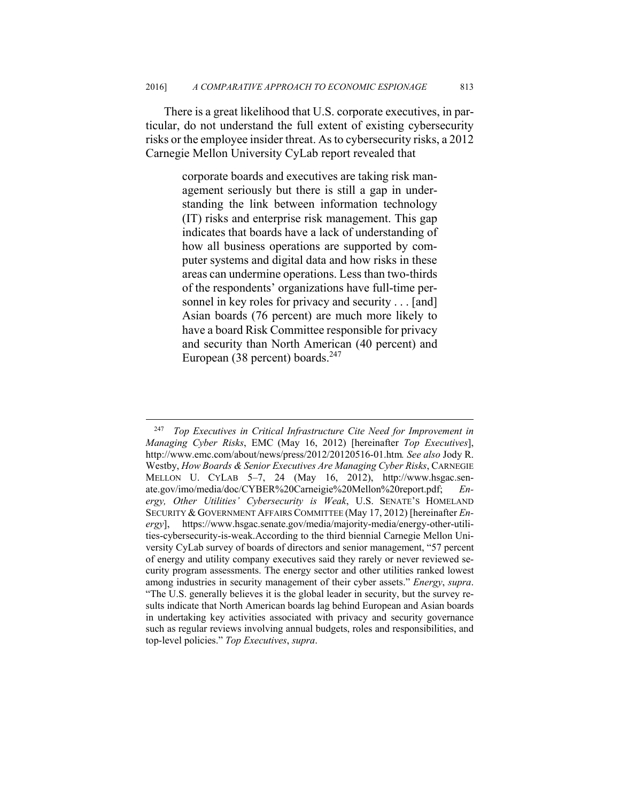There is a great likelihood that U.S. corporate executives, in particular, do not understand the full extent of existing cybersecurity risks or the employee insider threat. As to cybersecurity risks, a 2012 Carnegie Mellon University CyLab report revealed that

> corporate boards and executives are taking risk management seriously but there is still a gap in understanding the link between information technology (IT) risks and enterprise risk management. This gap indicates that boards have a lack of understanding of how all business operations are supported by computer systems and digital data and how risks in these areas can undermine operations. Less than two-thirds of the respondents' organizations have full-time personnel in key roles for privacy and security . . . [and] Asian boards (76 percent) are much more likely to have a board Risk Committee responsible for privacy and security than North American (40 percent) and European (38 percent) boards. $247$

<u>.</u>

<sup>247</sup> *Top Executives in Critical Infrastructure Cite Need for Improvement in Managing Cyber Risks*, EMC (May 16, 2012) [hereinafter *Top Executives*], http://www.emc.com/about/news/press/2012/20120516-01.htm*. See also* Jody R. Westby, *How Boards & Senior Executives Are Managing Cyber Risks*, CARNEGIE MELLON U. CYLAB 5–7, 24 (May 16, 2012), http://www.hsgac.senate.gov/imo/media/doc/CYBER%20Carneigie%20Mellon%20report.pdf; *Energy, Other Utilities' Cybersecurity is Weak*, U.S. SENATE'S HOMELAND SECURITY & GOVERNMENT AFFAIRS COMMITTEE (May 17, 2012) [hereinafter *Energy*], https://www.hsgac.senate.gov/media/majority-media/energy-other-utilities-cybersecurity-is-weak.According to the third biennial Carnegie Mellon University CyLab survey of boards of directors and senior management, "57 percent of energy and utility company executives said they rarely or never reviewed security program assessments. The energy sector and other utilities ranked lowest among industries in security management of their cyber assets." *Energy*, *supra*. "The U.S. generally believes it is the global leader in security, but the survey results indicate that North American boards lag behind European and Asian boards in undertaking key activities associated with privacy and security governance such as regular reviews involving annual budgets, roles and responsibilities, and top-level policies." *Top Executives*, *supra*.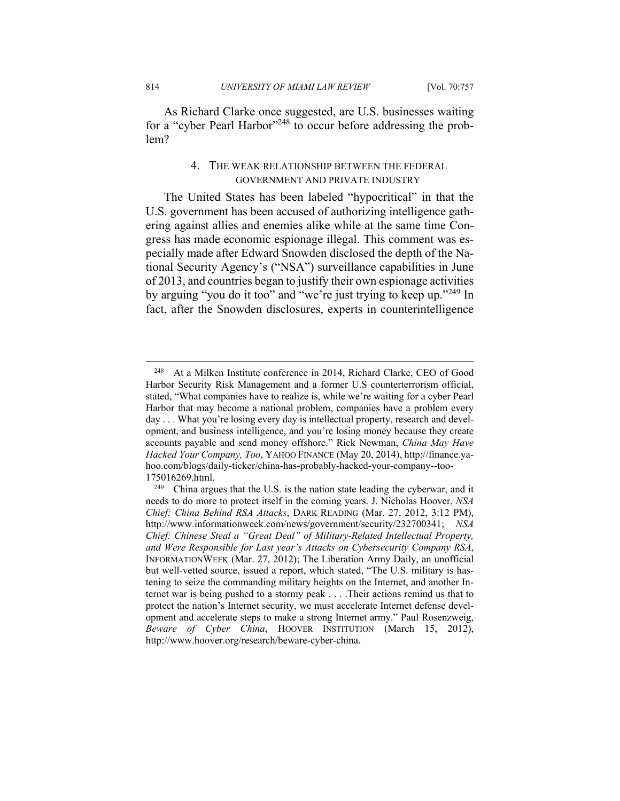814 *UNIVERSITY OF MIAMI LAW REVIEW* [Vol. 70:757

As Richard Clarke once suggested, are U.S. businesses waiting for a "cyber Pearl Harbor"248 to occur before addressing the problem?

## 4. THE WEAK RELATIONSHIP BETWEEN THE FEDERAL GOVERNMENT AND PRIVATE INDUSTRY

The United States has been labeled "hypocritical" in that the U.S. government has been accused of authorizing intelligence gathering against allies and enemies alike while at the same time Congress has made economic espionage illegal. This comment was especially made after Edward Snowden disclosed the depth of the National Security Agency's ("NSA") surveillance capabilities in June of 2013, and countries began to justify their own espionage activities by arguing "you do it too" and "we're just trying to keep up."249 In fact, after the Snowden disclosures, experts in counterintelligence

1

<sup>248</sup> At a Milken Institute conference in 2014, Richard Clarke, CEO of Good Harbor Security Risk Management and a former U.S counterterrorism official, stated, "What companies have to realize is, while we're waiting for a cyber Pearl Harbor that may become a national problem, companies have a problem every day . . . What you're losing every day is intellectual property, research and development, and business intelligence, and you're losing money because they create accounts payable and send money offshore." Rick Newman, *China May Have Hacked Your Company, Too*, YAHOO FINANCE (May 20, 2014), http://finance.yahoo.com/blogs/daily-ticker/china-has-probably-hacked-your-company--too-

<sup>175016269.</sup>html. 249 China argues that the U.S. is the nation state leading the cyberwar, and it needs to do more to protect itself in the coming years. J. Nicholas Hoover, *NSA Chief: China Behind RSA Attacks*, DARK READING (Mar. 27, 2012, 3:12 PM), http://www.informationweek.com/news/government/security/232700341; *NSA Chief: Chinese Steal a "Great Deal" of Military-Related Intellectual Property, and Were Responsible for Last year's Attacks on Cybersecurity Company RSA*, INFORMATIONWEEK (Mar. 27, 2012); The Liberation Army Daily, an unofficial but well-vetted source, issued a report, which stated, "The U.S. military is hastening to seize the commanding military heights on the Internet, and another Internet war is being pushed to a stormy peak . . . .Their actions remind us that to protect the nation's Internet security, we must accelerate Internet defense development and accelerate steps to make a strong Internet army." Paul Rosenzweig, *Beware of Cyber China*, HOOVER INSTITUTION (March 15, 2012), http://www.hoover.org/research/beware-cyber-china.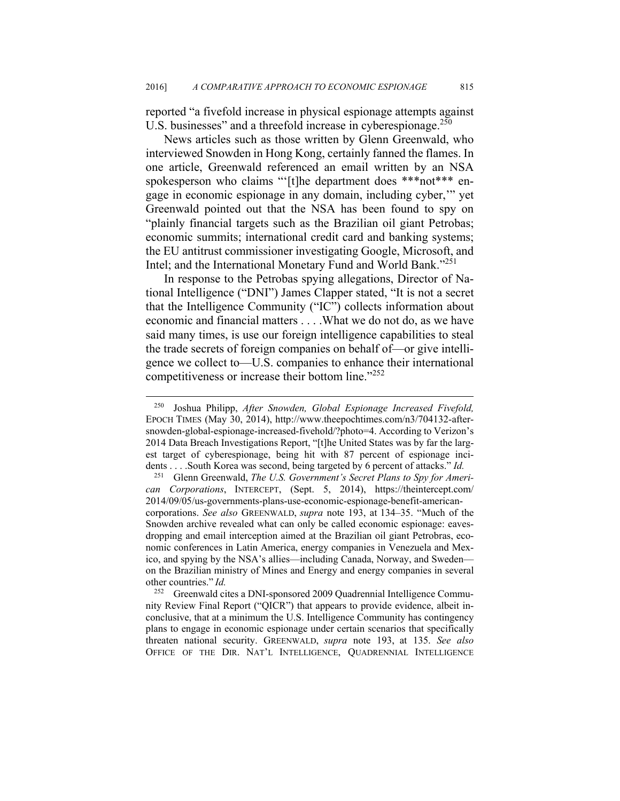reported "a fivefold increase in physical espionage attempts against U.S. businesses" and a threefold increase in cyberespionage.<sup>250</sup>

News articles such as those written by Glenn Greenwald, who interviewed Snowden in Hong Kong, certainly fanned the flames. In one article, Greenwald referenced an email written by an NSA spokesperson who claims "'[t]he department does \*\*\*not\*\*\* engage in economic espionage in any domain, including cyber,'" yet Greenwald pointed out that the NSA has been found to spy on "plainly financial targets such as the Brazilian oil giant Petrobas; economic summits; international credit card and banking systems; the EU antitrust commissioner investigating Google, Microsoft, and Intel; and the International Monetary Fund and World Bank."251

In response to the Petrobas spying allegations, Director of National Intelligence ("DNI") James Clapper stated, "It is not a secret that the Intelligence Community ("IC") collects information about economic and financial matters . . . .What we do not do, as we have said many times, is use our foreign intelligence capabilities to steal the trade secrets of foreign companies on behalf of—or give intelligence we collect to—U.S. companies to enhance their international competitiveness or increase their bottom line."252

<sup>250</sup> Joshua Philipp, *After Snowden, Global Espionage Increased Fivefold,* EPOCH TIMES (May 30, 2014), http://www.theepochtimes.com/n3/704132-aftersnowden-global-espionage-increased-fivehold/?photo=4. According to Verizon's 2014 Data Breach Investigations Report, "[t]he United States was by far the largest target of cyberespionage, being hit with 87 percent of espionage incidents . . . .South Korea was second, being targeted by 6 percent of attacks." *Id.*

<sup>251</sup> Glenn Greenwald, *The U.S. Government's Secret Plans to Spy for American Corporations*, INTERCEPT, (Sept. 5, 2014), https://theintercept.com/ 2014/09/05/us-governments-plans-use-economic-espionage-benefit-americancorporations. *See also* GREENWALD, *supra* note 193, at 134–35. "Much of the Snowden archive revealed what can only be called economic espionage: eavesdropping and email interception aimed at the Brazilian oil giant Petrobras, economic conferences in Latin America, energy companies in Venezuela and Mexico, and spying by the NSA's allies—including Canada, Norway, and Sweden on the Brazilian ministry of Mines and Energy and energy companies in several other countries." *Id.*

<sup>&</sup>lt;sup>252</sup> Greenwald cites a DNI-sponsored 2009 Quadrennial Intelligence Community Review Final Report ("QICR") that appears to provide evidence, albeit inconclusive, that at a minimum the U.S. Intelligence Community has contingency plans to engage in economic espionage under certain scenarios that specifically threaten national security. GREENWALD, *supra* note 193, at 135. *See also* OFFICE OF THE DIR. NAT'L INTELLIGENCE, QUADRENNIAL INTELLIGENCE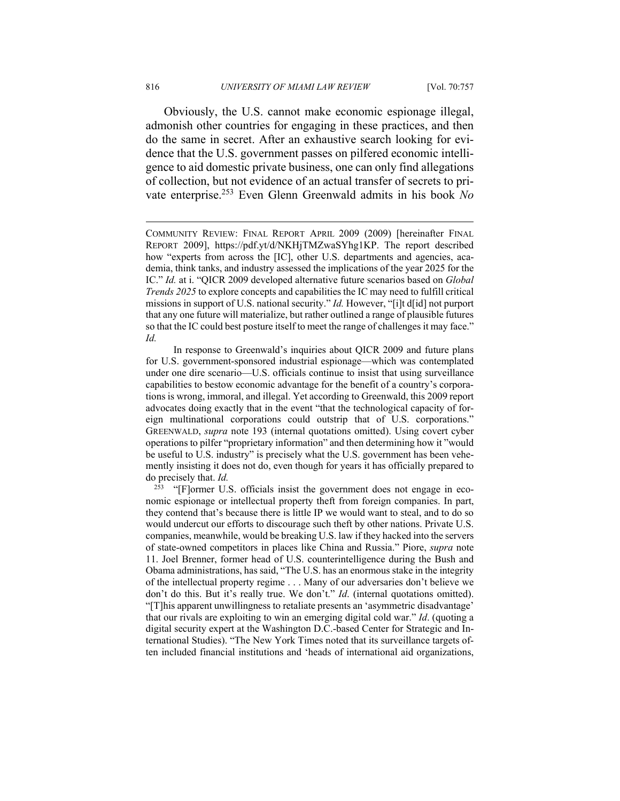Obviously, the U.S. cannot make economic espionage illegal, admonish other countries for engaging in these practices, and then do the same in secret. After an exhaustive search looking for evidence that the U.S. government passes on pilfered economic intelligence to aid domestic private business, one can only find allegations of collection, but not evidence of an actual transfer of secrets to private enterprise.253 Even Glenn Greenwald admits in his book *No* 

 In response to Greenwald's inquiries about QICR 2009 and future plans for U.S. government-sponsored industrial espionage—which was contemplated under one dire scenario—U.S. officials continue to insist that using surveillance capabilities to bestow economic advantage for the benefit of a country's corporations is wrong, immoral, and illegal. Yet according to Greenwald, this 2009 report advocates doing exactly that in the event "that the technological capacity of foreign multinational corporations could outstrip that of U.S. corporations." GREENWALD, *supra* note 193 (internal quotations omitted). Using covert cyber operations to pilfer "proprietary information" and then determining how it "would be useful to U.S. industry" is precisely what the U.S. government has been vehemently insisting it does not do, even though for years it has officially prepared to do precisely that. *Id.*

<sup>253</sup> "[F]ormer U.S. officials insist the government does not engage in economic espionage or intellectual property theft from foreign companies. In part, they contend that's because there is little IP we would want to steal, and to do so would undercut our efforts to discourage such theft by other nations. Private U.S. companies, meanwhile, would be breaking U.S. law if they hacked into the servers of state-owned competitors in places like China and Russia." Piore, *supra* note 11. Joel Brenner, former head of U.S. counterintelligence during the Bush and Obama administrations, has said, "The U.S. has an enormous stake in the integrity of the intellectual property regime . . . Many of our adversaries don't believe we don't do this. But it's really true. We don't." *Id*. (internal quotations omitted). "[T]his apparent unwillingness to retaliate presents an 'asymmetric disadvantage' that our rivals are exploiting to win an emerging digital cold war." *Id*. (quoting a digital security expert at the Washington D.C.-based Center for Strategic and International Studies). "The New York Times noted that its surveillance targets often included financial institutions and 'heads of international aid organizations,

COMMUNITY REVIEW: FINAL REPORT APRIL 2009 (2009) [hereinafter FINAL REPORT 2009], https://pdf.yt/d/NKHjTMZwaSYhg1KP. The report described how "experts from across the [IC], other U.S. departments and agencies, academia, think tanks, and industry assessed the implications of the year 2025 for the IC." *Id.* at i. "QICR 2009 developed alternative future scenarios based on *Global Trends 2025* to explore concepts and capabilities the IC may need to fulfill critical missions in support of U.S. national security." *Id.* However, "[i]t d[id] not purport that any one future will materialize, but rather outlined a range of plausible futures so that the IC could best posture itself to meet the range of challenges it may face." *Id.*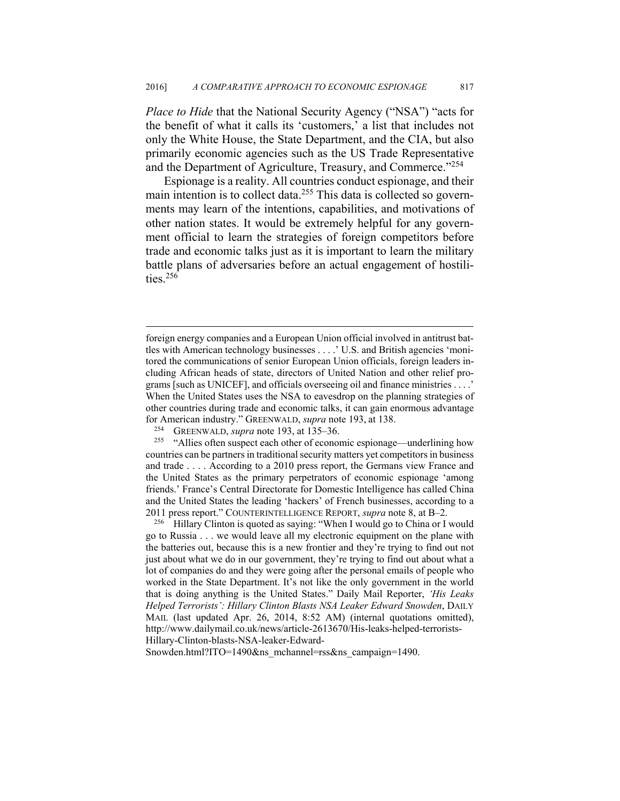*Place to Hide* that the National Security Agency ("NSA") "acts for the benefit of what it calls its 'customers,' a list that includes not only the White House, the State Department, and the CIA, but also primarily economic agencies such as the US Trade Representative and the Department of Agriculture, Treasury, and Commerce."<sup>254</sup>

Espionage is a reality. All countries conduct espionage, and their main intention is to collect data.<sup>255</sup> This data is collected so governments may learn of the intentions, capabilities, and motivations of other nation states. It would be extremely helpful for any government official to learn the strategies of foreign competitors before trade and economic talks just as it is important to learn the military battle plans of adversaries before an actual engagement of hostilities.<sup>256</sup>

1

go to Russia . . . we would leave all my electronic equipment on the plane with the batteries out, because this is a new frontier and they're trying to find out not just about what we do in our government, they're trying to find out about what a lot of companies do and they were going after the personal emails of people who worked in the State Department. It's not like the only government in the world that is doing anything is the United States." Daily Mail Reporter, *'His Leaks Helped Terrorists': Hillary Clinton Blasts NSA Leaker Edward Snowden*, DAILY MAIL (last updated Apr. 26, 2014, 8:52 AM) (internal quotations omitted), http://www.dailymail.co.uk/news/article-2613670/His-leaks-helped-terrorists-Hillary-Clinton-blasts-NSA-leaker-Edward-

Snowden.html?ITO=1490&ns\_mchannel=rss&ns\_campaign=1490.

foreign energy companies and a European Union official involved in antitrust battles with American technology businesses . . . .' U.S. and British agencies 'monitored the communications of senior European Union officials, foreign leaders including African heads of state, directors of United Nation and other relief programs [such as UNICEF], and officials overseeing oil and finance ministries . . . .' When the United States uses the NSA to eavesdrop on the planning strategies of other countries during trade and economic talks, it can gain enormous advantage

for American industry." GREENWALD, *supra* note 193, at 138.<br><sup>254</sup> GREENWALD, *supra* note 193, at 135–36.<br><sup>255</sup> "Allies often suspect each other of economic espionage—underlining how countries can be partners in traditional security matters yet competitors in business and trade . . . . According to a 2010 press report, the Germans view France and the United States as the primary perpetrators of economic espionage 'among friends.' France's Central Directorate for Domestic Intelligence has called China and the United States the leading 'hackers' of French businesses, according to a 2011 press report." COUNTERINTELLIGENCE REPORT, *supra* note 8, at B–2. 256 Hillary Clinton is quoted as saying: "When I would go to China or I would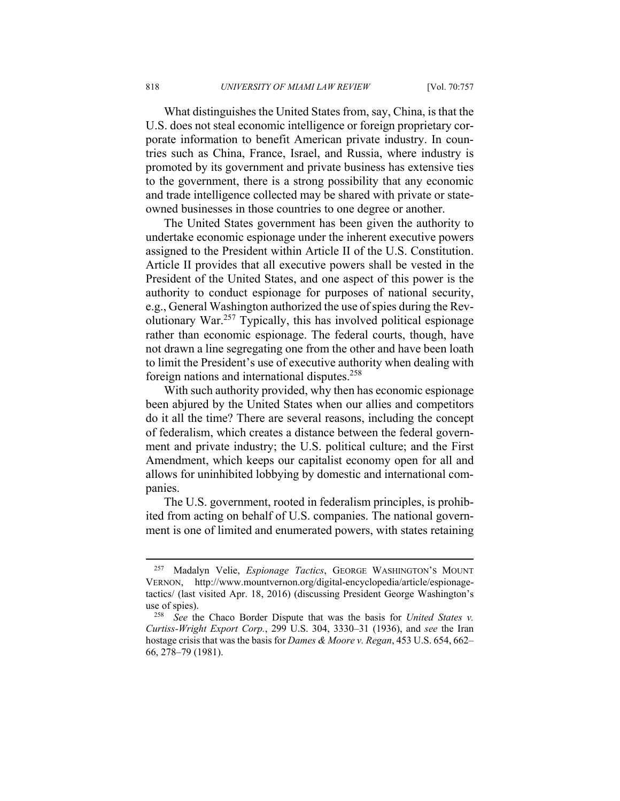What distinguishes the United States from, say, China, is that the U.S. does not steal economic intelligence or foreign proprietary corporate information to benefit American private industry. In countries such as China, France, Israel, and Russia, where industry is promoted by its government and private business has extensive ties to the government, there is a strong possibility that any economic and trade intelligence collected may be shared with private or stateowned businesses in those countries to one degree or another.

The United States government has been given the authority to undertake economic espionage under the inherent executive powers assigned to the President within Article II of the U.S. Constitution. Article II provides that all executive powers shall be vested in the President of the United States, and one aspect of this power is the authority to conduct espionage for purposes of national security, e.g., General Washington authorized the use of spies during the Revolutionary War.257 Typically, this has involved political espionage rather than economic espionage. The federal courts, though, have not drawn a line segregating one from the other and have been loath to limit the President's use of executive authority when dealing with foreign nations and international disputes.258

With such authority provided, why then has economic espionage been abjured by the United States when our allies and competitors do it all the time? There are several reasons, including the concept of federalism, which creates a distance between the federal government and private industry; the U.S. political culture; and the First Amendment, which keeps our capitalist economy open for all and allows for uninhibited lobbying by domestic and international companies.

The U.S. government, rooted in federalism principles, is prohibited from acting on behalf of U.S. companies. The national government is one of limited and enumerated powers, with states retaining

<sup>257</sup> Madalyn Velie, *Espionage Tactics*, GEORGE WASHINGTON'S MOUNT VERNON, http://www.mountvernon.org/digital-encyclopedia/article/espionagetactics/ (last visited Apr. 18, 2016) (discussing President George Washington's use of spies). 258 *See* the Chaco Border Dispute that was the basis for *United States v.* 

*Curtiss-Wright Export Corp.*, 299 U.S. 304, 3330–31 (1936), and *see* the Iran hostage crisis that was the basis for *Dames & Moore v. Regan*, 453 U.S. 654, 662– 66, 278–79 (1981).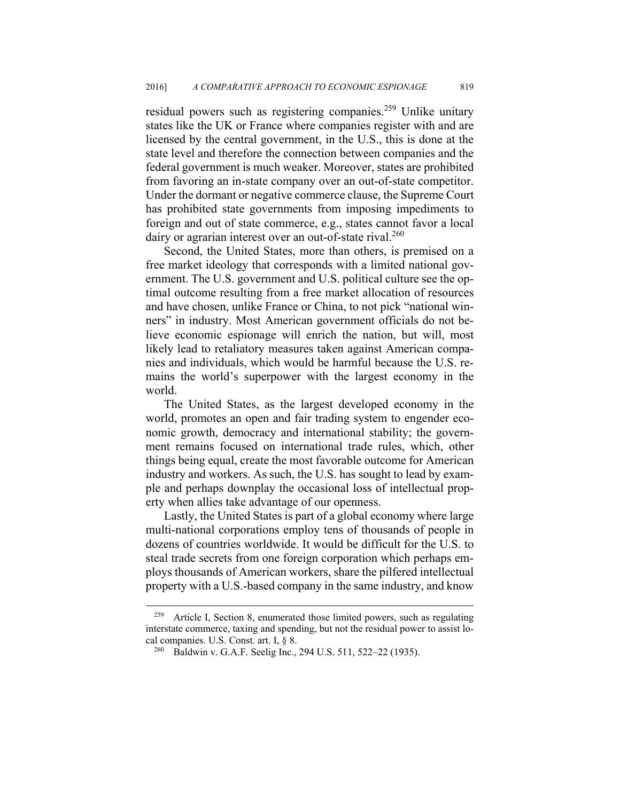residual powers such as registering companies.<sup>259</sup> Unlike unitary states like the UK or France where companies register with and are licensed by the central government, in the U.S., this is done at the state level and therefore the connection between companies and the federal government is much weaker. Moreover, states are prohibited from favoring an in-state company over an out-of-state competitor. Under the dormant or negative commerce clause, the Supreme Court has prohibited state governments from imposing impediments to foreign and out of state commerce, e.g., states cannot favor a local dairy or agrarian interest over an out-of-state rival.<sup>260</sup>

Second, the United States, more than others, is premised on a free market ideology that corresponds with a limited national government. The U.S. government and U.S. political culture see the optimal outcome resulting from a free market allocation of resources and have chosen, unlike France or China, to not pick "national winners" in industry. Most American government officials do not believe economic espionage will enrich the nation, but will, most likely lead to retaliatory measures taken against American companies and individuals, which would be harmful because the U.S. remains the world's superpower with the largest economy in the world.

The United States, as the largest developed economy in the world, promotes an open and fair trading system to engender economic growth, democracy and international stability; the government remains focused on international trade rules, which, other things being equal, create the most favorable outcome for American industry and workers. As such, the U.S. has sought to lead by example and perhaps downplay the occasional loss of intellectual property when allies take advantage of our openness.

Lastly, the United States is part of a global economy where large multi-national corporations employ tens of thousands of people in dozens of countries worldwide. It would be difficult for the U.S. to steal trade secrets from one foreign corporation which perhaps employs thousands of American workers, share the pilfered intellectual property with a U.S.-based company in the same industry, and know

<sup>259</sup> Article I, Section 8, enumerated those limited powers, such as regulating interstate commerce, taxing and spending, but not the residual power to assist local companies. U.S. Const. art. I, § 8.<br><sup>260</sup> Baldwin v. G.A.F. Seelig Inc., 294 U.S. 511, 522–22 (1935).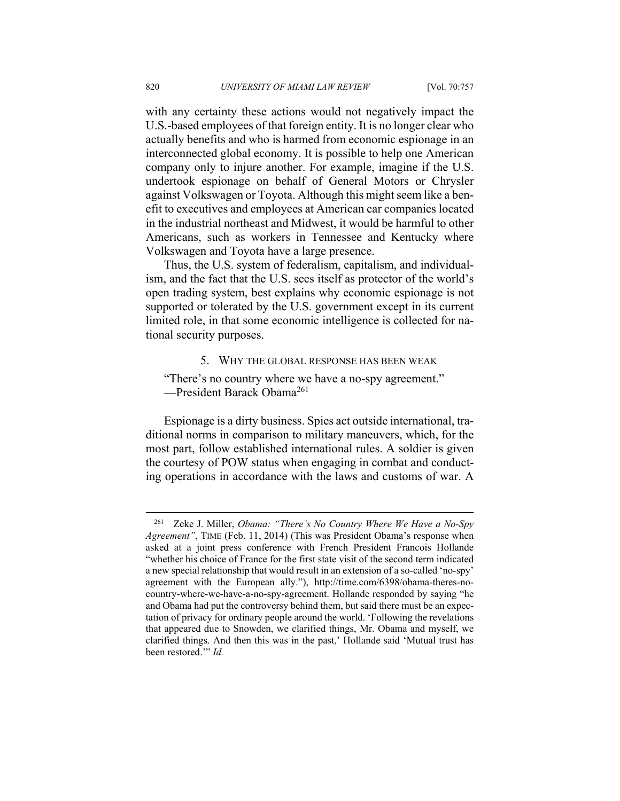with any certainty these actions would not negatively impact the U.S.-based employees of that foreign entity. It is no longer clear who actually benefits and who is harmed from economic espionage in an interconnected global economy. It is possible to help one American company only to injure another. For example, imagine if the U.S. undertook espionage on behalf of General Motors or Chrysler against Volkswagen or Toyota. Although this might seem like a benefit to executives and employees at American car companies located in the industrial northeast and Midwest, it would be harmful to other Americans, such as workers in Tennessee and Kentucky where Volkswagen and Toyota have a large presence.

Thus, the U.S. system of federalism, capitalism, and individualism, and the fact that the U.S. sees itself as protector of the world's open trading system, best explains why economic espionage is not supported or tolerated by the U.S. government except in its current limited role, in that some economic intelligence is collected for national security purposes.

5. WHY THE GLOBAL RESPONSE HAS BEEN WEAK

"There's no country where we have a no-spy agreement." -President Barack Obama<sup>261</sup>

Espionage is a dirty business. Spies act outside international, traditional norms in comparison to military maneuvers, which, for the most part, follow established international rules. A soldier is given the courtesy of POW status when engaging in combat and conducting operations in accordance with the laws and customs of war. A

<sup>261</sup> Zeke J. Miller, *Obama: "There's No Country Where We Have a No-Spy Agreement"*, TIME (Feb. 11, 2014) (This was President Obama's response when asked at a joint press conference with French President Francois Hollande "whether his choice of France for the first state visit of the second term indicated a new special relationship that would result in an extension of a so-called 'no-spy' agreement with the European ally."), http://time.com/6398/obama-theres-nocountry-where-we-have-a-no-spy-agreement. Hollande responded by saying "he and Obama had put the controversy behind them, but said there must be an expectation of privacy for ordinary people around the world. 'Following the revelations that appeared due to Snowden, we clarified things, Mr. Obama and myself, we clarified things. And then this was in the past,' Hollande said 'Mutual trust has been restored.'" *Id.*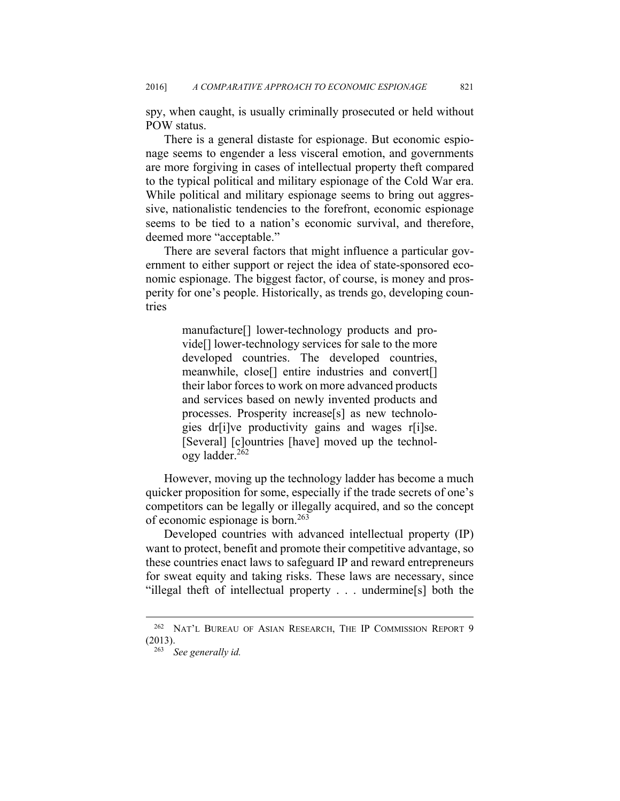spy, when caught, is usually criminally prosecuted or held without POW status.

There is a general distaste for espionage. But economic espionage seems to engender a less visceral emotion, and governments are more forgiving in cases of intellectual property theft compared to the typical political and military espionage of the Cold War era. While political and military espionage seems to bring out aggressive, nationalistic tendencies to the forefront, economic espionage seems to be tied to a nation's economic survival, and therefore, deemed more "acceptable."

There are several factors that might influence a particular government to either support or reject the idea of state-sponsored economic espionage. The biggest factor, of course, is money and prosperity for one's people. Historically, as trends go, developing countries

> manufacture[] lower-technology products and provide[] lower-technology services for sale to the more developed countries. The developed countries, meanwhile, close[] entire industries and convert[] their labor forces to work on more advanced products and services based on newly invented products and processes. Prosperity increase[s] as new technologies dr[i]ve productivity gains and wages r[i]se. [Several] [c]ountries [have] moved up the technology ladder.262

However, moving up the technology ladder has become a much quicker proposition for some, especially if the trade secrets of one's competitors can be legally or illegally acquired, and so the concept of economic espionage is born.263

Developed countries with advanced intellectual property (IP) want to protect, benefit and promote their competitive advantage, so these countries enact laws to safeguard IP and reward entrepreneurs for sweat equity and taking risks. These laws are necessary, since "illegal theft of intellectual property . . . undermine[s] both the

<sup>262</sup> NAT'L BUREAU OF ASIAN RESEARCH, THE IP COMMISSION REPORT 9 (2013). 263 *See generally id.*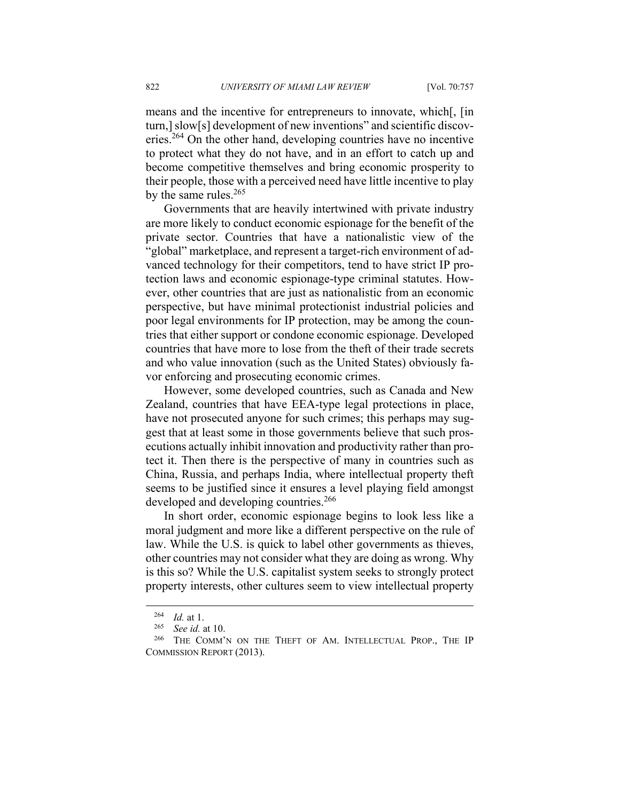means and the incentive for entrepreneurs to innovate, which[, [in turn,] slow[s] development of new inventions" and scientific discoveries.264 On the other hand, developing countries have no incentive to protect what they do not have, and in an effort to catch up and become competitive themselves and bring economic prosperity to their people, those with a perceived need have little incentive to play by the same rules. $265$ 

Governments that are heavily intertwined with private industry are more likely to conduct economic espionage for the benefit of the private sector. Countries that have a nationalistic view of the "global" marketplace, and represent a target-rich environment of advanced technology for their competitors, tend to have strict IP protection laws and economic espionage-type criminal statutes. However, other countries that are just as nationalistic from an economic perspective, but have minimal protectionist industrial policies and poor legal environments for IP protection, may be among the countries that either support or condone economic espionage. Developed countries that have more to lose from the theft of their trade secrets and who value innovation (such as the United States) obviously favor enforcing and prosecuting economic crimes.

However, some developed countries, such as Canada and New Zealand, countries that have EEA-type legal protections in place, have not prosecuted anyone for such crimes; this perhaps may suggest that at least some in those governments believe that such prosecutions actually inhibit innovation and productivity rather than protect it. Then there is the perspective of many in countries such as China, Russia, and perhaps India, where intellectual property theft seems to be justified since it ensures a level playing field amongst developed and developing countries.<sup>266</sup>

In short order, economic espionage begins to look less like a moral judgment and more like a different perspective on the rule of law. While the U.S. is quick to label other governments as thieves, other countries may not consider what they are doing as wrong. Why is this so? While the U.S. capitalist system seeks to strongly protect property interests, other cultures seem to view intellectual property

<sup>&</sup>lt;sup>264</sup> *Id.* at 1.<br><sup>265</sup> See id. at 10.<br><sup>266</sup> THE COMM'N ON THE THEFT OF AM. INTELLECTUAL PROP., THE IP COMMISSION REPORT (2013).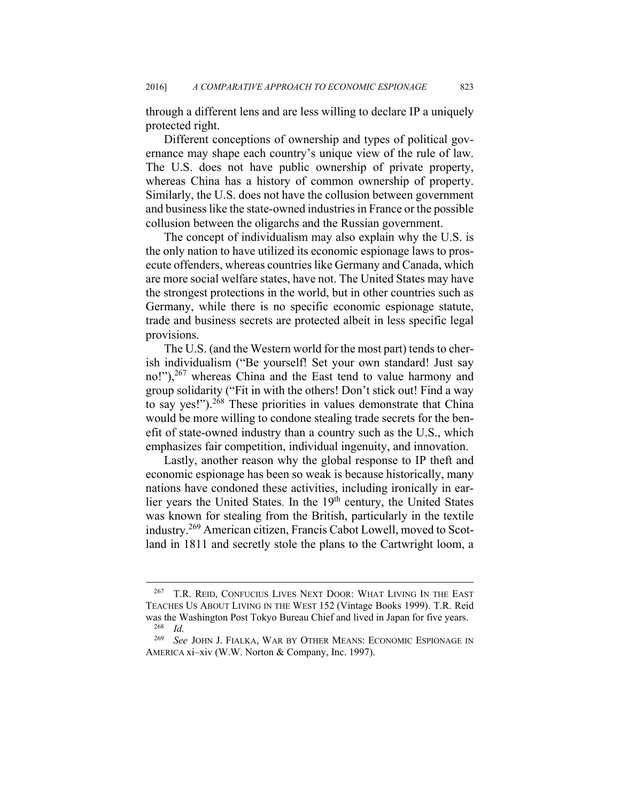through a different lens and are less willing to declare IP a uniquely protected right.

Different conceptions of ownership and types of political governance may shape each country's unique view of the rule of law. The U.S. does not have public ownership of private property, whereas China has a history of common ownership of property. Similarly, the U.S. does not have the collusion between government and business like the state-owned industries in France or the possible collusion between the oligarchs and the Russian government.

The concept of individualism may also explain why the U.S. is the only nation to have utilized its economic espionage laws to prosecute offenders, whereas countries like Germany and Canada, which are more social welfare states, have not. The United States may have the strongest protections in the world, but in other countries such as Germany, while there is no specific economic espionage statute, trade and business secrets are protected albeit in less specific legal provisions.

The U.S. (and the Western world for the most part) tends to cherish individualism ("Be yourself! Set your own standard! Just say no!"),<sup>267</sup> whereas China and the East tend to value harmony and group solidarity ("Fit in with the others! Don't stick out! Find a way to say yes!").<sup>268</sup> These priorities in values demonstrate that China would be more willing to condone stealing trade secrets for the benefit of state-owned industry than a country such as the U.S., which emphasizes fair competition, individual ingenuity, and innovation.

Lastly, another reason why the global response to IP theft and economic espionage has been so weak is because historically, many nations have condoned these activities, including ironically in earlier years the United States. In the 19<sup>th</sup> century, the United States was known for stealing from the British, particularly in the textile industry.269 American citizen, Francis Cabot Lowell, moved to Scotland in 1811 and secretly stole the plans to the Cartwright loom, a

1

<sup>&</sup>lt;sup>267</sup> T.R. REID, CONFUCIUS LIVES NEXT DOOR: WHAT LIVING IN THE EAST TEACHES US ABOUT LIVING IN THE WEST 152 (Vintage Books 1999). T.R. Reid was the Washington Post Tokyo Bureau Chief and lived in Japan for five years.<br><sup>268</sup> *Id.* <sup>269</sup> See JOHN L FIALKA, WAR BY OTHER MEANS: ECONOMIC ESPIONAGE II

<sup>269</sup> *See* JOHN J. FIALKA, WAR BY OTHER MEANS: ECONOMIC ESPIONAGE IN AMERICA xi–xiv (W.W. Norton & Company, Inc. 1997).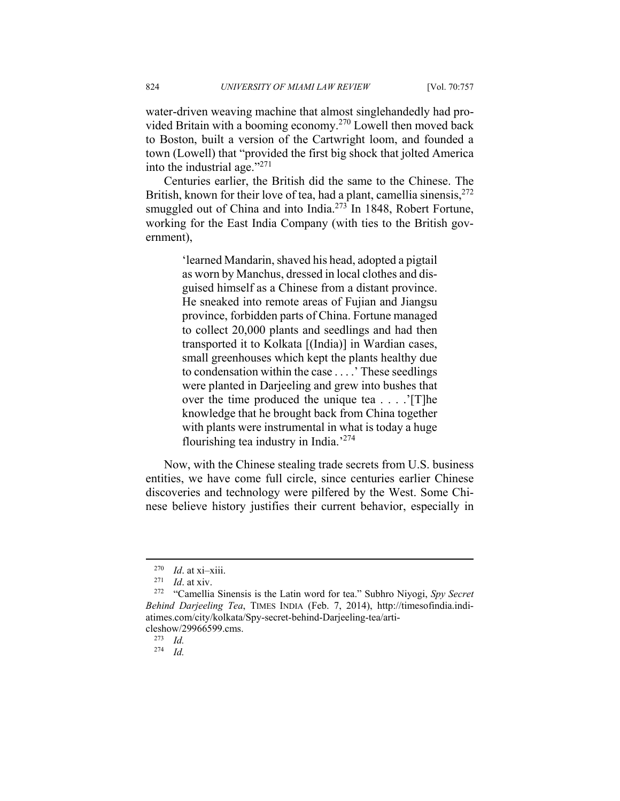water-driven weaving machine that almost singlehandedly had provided Britain with a booming economy.270 Lowell then moved back to Boston, built a version of the Cartwright loom, and founded a town (Lowell) that "provided the first big shock that jolted America into the industrial age. $1271$ 

Centuries earlier, the British did the same to the Chinese. The British, known for their love of tea, had a plant, camellia sinensis,  $272$ smuggled out of China and into India.<sup>273</sup> In 1848, Robert Fortune, working for the East India Company (with ties to the British government),

> 'learned Mandarin, shaved his head, adopted a pigtail as worn by Manchus, dressed in local clothes and disguised himself as a Chinese from a distant province. He sneaked into remote areas of Fujian and Jiangsu province, forbidden parts of China. Fortune managed to collect 20,000 plants and seedlings and had then transported it to Kolkata [(India)] in Wardian cases, small greenhouses which kept the plants healthy due to condensation within the case . . . .' These seedlings were planted in Darjeeling and grew into bushes that over the time produced the unique tea . . . .'[T]he knowledge that he brought back from China together with plants were instrumental in what is today a huge flourishing tea industry in India.'274

Now, with the Chinese stealing trade secrets from U.S. business entities, we have come full circle, since centuries earlier Chinese discoveries and technology were pilfered by the West. Some Chinese believe history justifies their current behavior, especially in

<u>.</u>

<sup>270</sup> *Id*. at xi–xiii. 271 *Id*. at xiv. 272 "Camellia Sinensis is the Latin word for tea." Subhro Niyogi, *Spy Secret Behind Darjeeling Tea*, TIMES INDIA (Feb. 7, 2014), http://timesofindia.indiatimes.com/city/kolkata/Spy-secret-behind-Darjeeling-tea/articleshow/29966599.cms. 273 *Id.*

<sup>274</sup> *Id.*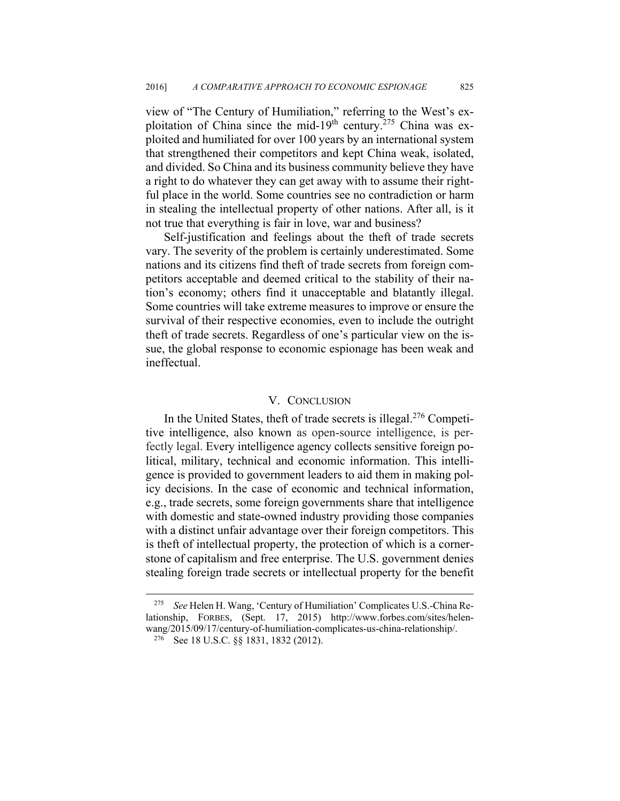view of "The Century of Humiliation," referring to the West's exploitation of China since the mid-19<sup>th</sup> century.<sup>275</sup> China was exploited and humiliated for over 100 years by an international system that strengthened their competitors and kept China weak, isolated, and divided. So China and its business community believe they have a right to do whatever they can get away with to assume their rightful place in the world. Some countries see no contradiction or harm in stealing the intellectual property of other nations. After all, is it not true that everything is fair in love, war and business?

Self-justification and feelings about the theft of trade secrets vary. The severity of the problem is certainly underestimated. Some nations and its citizens find theft of trade secrets from foreign competitors acceptable and deemed critical to the stability of their nation's economy; others find it unacceptable and blatantly illegal. Some countries will take extreme measures to improve or ensure the survival of their respective economies, even to include the outright theft of trade secrets. Regardless of one's particular view on the issue, the global response to economic espionage has been weak and ineffectual.

## V. CONCLUSION

In the United States, theft of trade secrets is illegal.276 Competitive intelligence, also known as open-source intelligence, is perfectly legal. Every intelligence agency collects sensitive foreign political, military, technical and economic information. This intelligence is provided to government leaders to aid them in making policy decisions. In the case of economic and technical information, e.g., trade secrets, some foreign governments share that intelligence with domestic and state-owned industry providing those companies with a distinct unfair advantage over their foreign competitors. This is theft of intellectual property, the protection of which is a cornerstone of capitalism and free enterprise. The U.S. government denies stealing foreign trade secrets or intellectual property for the benefit

<sup>275</sup> *See* Helen H. Wang, 'Century of Humiliation' Complicates U.S.-China Relationship, FORBES, (Sept. 17, 2015) http://www.forbes.com/sites/helenwang/2015/09/17/century-of-humiliation-complicates-us-china-relationship/.<br><sup>276</sup> See 18 U.S.C. §§ 1831, 1832 (2012).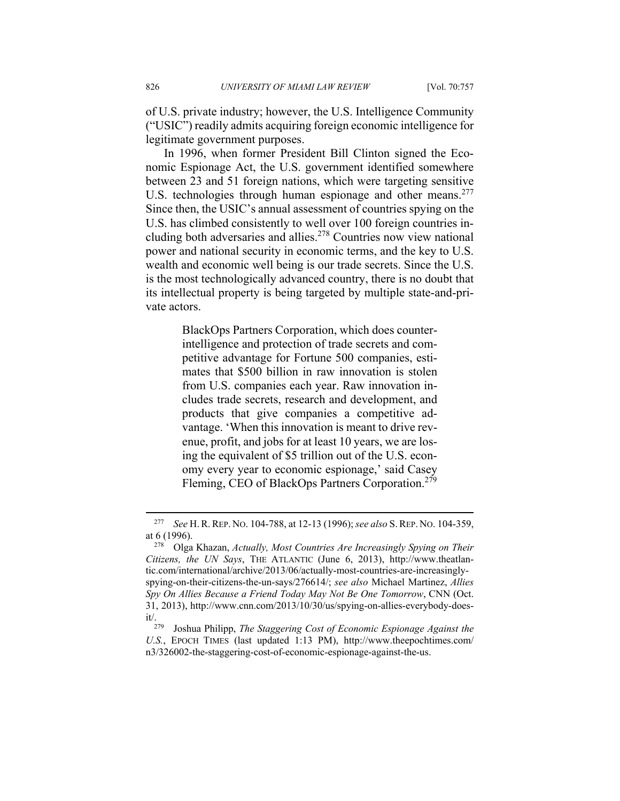of U.S. private industry; however, the U.S. Intelligence Community ("USIC") readily admits acquiring foreign economic intelligence for legitimate government purposes.

In 1996, when former President Bill Clinton signed the Economic Espionage Act, the U.S. government identified somewhere between 23 and 51 foreign nations, which were targeting sensitive U.S. technologies through human espionage and other means.<sup>277</sup> Since then, the USIC's annual assessment of countries spying on the U.S. has climbed consistently to well over 100 foreign countries including both adversaries and allies.<sup>278</sup> Countries now view national power and national security in economic terms, and the key to U.S. wealth and economic well being is our trade secrets. Since the U.S. is the most technologically advanced country, there is no doubt that its intellectual property is being targeted by multiple state-and-private actors.

> BlackOps Partners Corporation, which does counterintelligence and protection of trade secrets and competitive advantage for Fortune 500 companies, estimates that \$500 billion in raw innovation is stolen from U.S. companies each year. Raw innovation includes trade secrets, research and development, and products that give companies a competitive advantage. 'When this innovation is meant to drive revenue, profit, and jobs for at least 10 years, we are losing the equivalent of \$5 trillion out of the U.S. economy every year to economic espionage,' said Casey Fleming, CEO of BlackOps Partners Corporation.<sup>279</sup>

<sup>277</sup> *See* H.R.REP. NO. 104-788, at 12-13 (1996); *see also* S.REP. NO. 104-359, at 6 (1996). 278 Olga Khazan, *Actually, Most Countries Are Increasingly Spying on Their* 

*Citizens, the UN Says*, THE ATLANTIC (June 6, 2013), http://www.theatlantic.com/international/archive/2013/06/actually-most-countries-are-increasinglyspying-on-their-citizens-the-un-says/276614/; *see also* Michael Martinez, *Allies Spy On Allies Because a Friend Today May Not Be One Tomorrow*, CNN (Oct. 31, 2013), http://www.cnn.com/2013/10/30/us/spying-on-allies-everybody-doesit/. 279 Joshua Philipp, *The Staggering Cost of Economic Espionage Against the* 

*U.S.*, EPOCH TIMES (last updated 1:13 PM), http://www.theepochtimes.com/ n3/326002-the-staggering-cost-of-economic-espionage-against-the-us.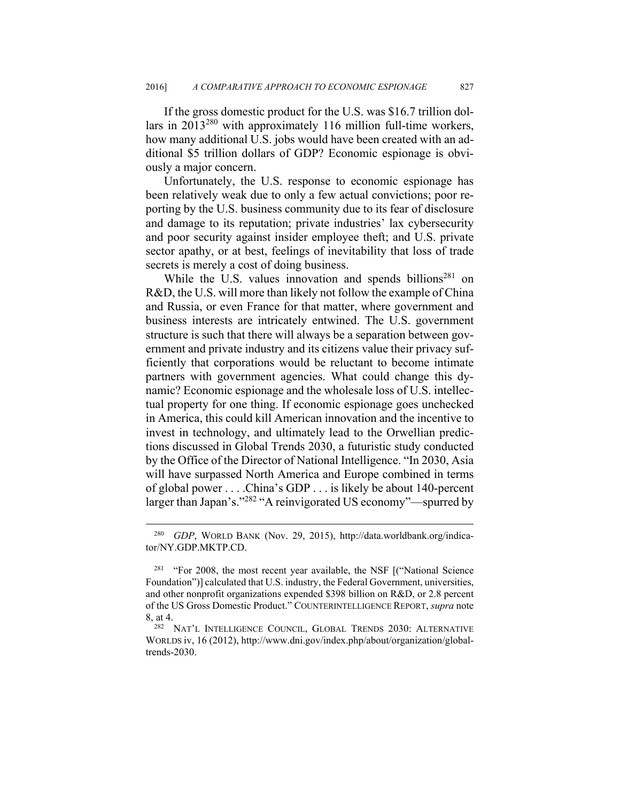If the gross domestic product for the U.S. was \$16.7 trillion dollars in 2013280 with approximately 116 million full-time workers, how many additional U.S. jobs would have been created with an additional \$5 trillion dollars of GDP? Economic espionage is obviously a major concern.

Unfortunately, the U.S. response to economic espionage has been relatively weak due to only a few actual convictions; poor reporting by the U.S. business community due to its fear of disclosure and damage to its reputation; private industries' lax cybersecurity and poor security against insider employee theft; and U.S. private sector apathy, or at best, feelings of inevitability that loss of trade secrets is merely a cost of doing business.

While the U.S. values innovation and spends billions<sup>281</sup> on R&D, the U.S. will more than likely not follow the example of China and Russia, or even France for that matter, where government and business interests are intricately entwined. The U.S. government structure is such that there will always be a separation between government and private industry and its citizens value their privacy sufficiently that corporations would be reluctant to become intimate partners with government agencies. What could change this dynamic? Economic espionage and the wholesale loss of U.S. intellectual property for one thing. If economic espionage goes unchecked in America, this could kill American innovation and the incentive to invest in technology, and ultimately lead to the Orwellian predictions discussed in Global Trends 2030, a futuristic study conducted by the Office of the Director of National Intelligence. "In 2030, Asia will have surpassed North America and Europe combined in terms of global power . . . .China's GDP . . . is likely be about 140-percent larger than Japan's."<sup>282</sup> "A reinvigorated US economy"—spurred by

<u>.</u>

<sup>280</sup> *GDP*, WORLD BANK (Nov. 29, 2015), http://data.worldbank.org/indicator/NY.GDP.MKTP.CD.

<sup>&</sup>lt;sup>281</sup> "For 2008, the most recent year available, the NSF  $\lbrack$  ("National Science") Foundation")] calculated that U.S. industry, the Federal Government, universities, and other nonprofit organizations expended \$398 billion on R&D, or 2.8 percent of the US Gross Domestic Product." COUNTERINTELLIGENCE REPORT, *supra* note

<sup>8,</sup> at 4.<br><sup>282</sup> NAT'L INTELLIGENCE COUNCIL, GLOBAL TRENDS 2030: ALTERNATIVE WORLDS iv, 16 (2012), http://www.dni.gov/index.php/about/organization/globaltrends-2030.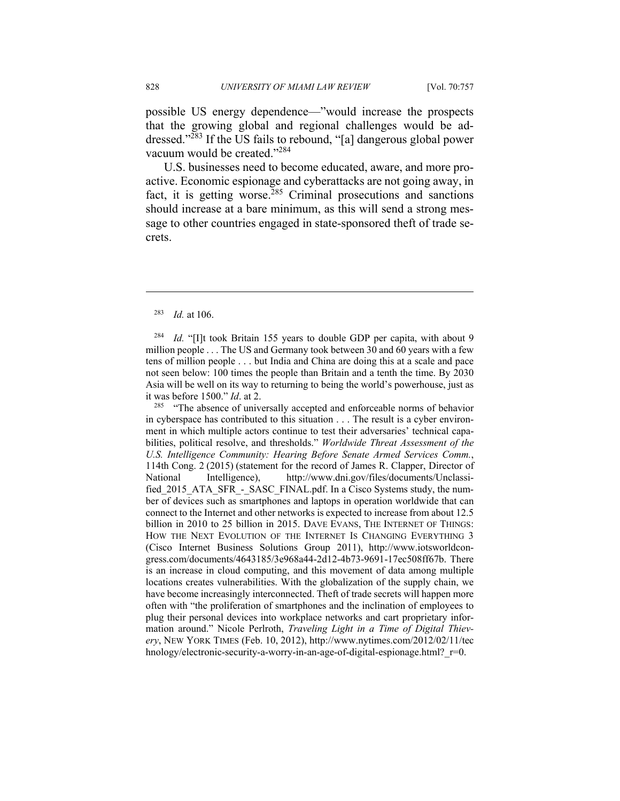possible US energy dependence—"would increase the prospects that the growing global and regional challenges would be addressed."283 If the US fails to rebound, "[a] dangerous global power vacuum would be created."284

U.S. businesses need to become educated, aware, and more proactive. Economic espionage and cyberattacks are not going away, in fact, it is getting worse.<sup>285</sup> Criminal prosecutions and sanctions should increase at a bare minimum, as this will send a strong message to other countries engaged in state-sponsored theft of trade secrets.

## <sup>283</sup> *Id.* at 106.

 $\overline{a}$ 

<sup>284</sup> *Id.* "[I]t took Britain 155 years to double GDP per capita, with about 9 million people . . . The US and Germany took between 30 and 60 years with a few tens of million people . . . but India and China are doing this at a scale and pace not seen below: 100 times the people than Britain and a tenth the time. By 2030 Asia will be well on its way to returning to being the world's powerhouse, just as it was before 1500." *Id*. at 2.<br><sup>285</sup> "The absence of universally accepted and enforceable norms of behavior

in cyberspace has contributed to this situation . . . The result is a cyber environment in which multiple actors continue to test their adversaries' technical capabilities, political resolve, and thresholds." *Worldwide Threat Assessment of the U.S. Intelligence Community: Hearing Before Senate Armed Services Comm.*, 114th Cong. 2 (2015) (statement for the record of James R. Clapper, Director of National Intelligence), http://www.dni.gov/files/documents/Unclassified\_2015\_ATA\_SFR\_-\_SASC\_FINAL.pdf. In a Cisco Systems study, the number of devices such as smartphones and laptops in operation worldwide that can connect to the Internet and other networks is expected to increase from about 12.5 billion in 2010 to 25 billion in 2015. DAVE EVANS, THE INTERNET OF THINGS: HOW THE NEXT EVOLUTION OF THE INTERNET IS CHANGING EVERYTHING 3 (Cisco Internet Business Solutions Group 2011), http://www.iotsworldcongress.com/documents/4643185/3e968a44-2d12-4b73-9691-17ec508ff67b. There is an increase in cloud computing, and this movement of data among multiple locations creates vulnerabilities. With the globalization of the supply chain, we have become increasingly interconnected. Theft of trade secrets will happen more often with "the proliferation of smartphones and the inclination of employees to plug their personal devices into workplace networks and cart proprietary information around." Nicole Perlroth, *Traveling Light in a Time of Digital Thievery*, NEW YORK TIMES (Feb. 10, 2012), http://www.nytimes.com/2012/02/11/tec hnology/electronic-security-a-worry-in-an-age-of-digital-espionage.html? r=0.